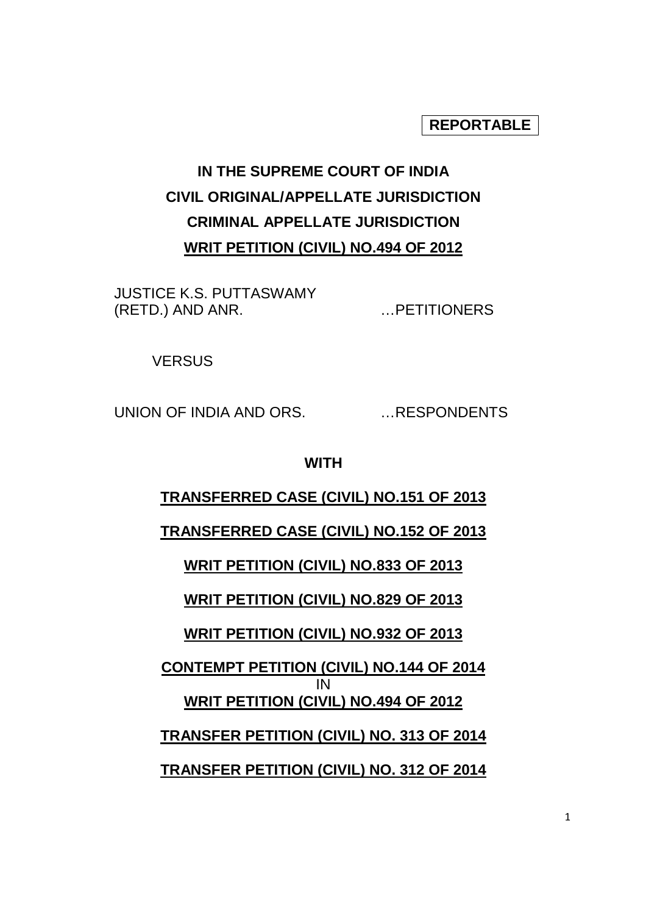# **REPORTABLE**

# **IN THE SUPREME COURT OF INDIA CIVIL ORIGINAL/APPELLATE JURISDICTION CRIMINAL APPELLATE JURISDICTION WRIT PETITION (CIVIL) NO.494 OF 2012**

JUSTICE K.S. PUTTASWAMY (RETD.) AND ANR. …PETITIONERS

**VERSUS** 

UNION OF INDIA AND ORS. …RESPONDENTS

#### **WITH**

# **TRANSFERRED CASE (CIVIL) NO.151 OF 2013**

## **TRANSFERRED CASE (CIVIL) NO.152 OF 2013**

**WRIT PETITION (CIVIL) NO.833 OF 2013**

# **WRIT PETITION (CIVIL) NO.829 OF 2013**

## **WRIT PETITION (CIVIL) NO.932 OF 2013**

**CONTEMPT PETITION (CIVIL) NO.144 OF 2014**  IN **WRIT PETITION (CIVIL) NO.494 OF 2012**

**TRANSFER PETITION (CIVIL) NO. 313 OF 2014**

**TRANSFER PETITION (CIVIL) NO. 312 OF 2014**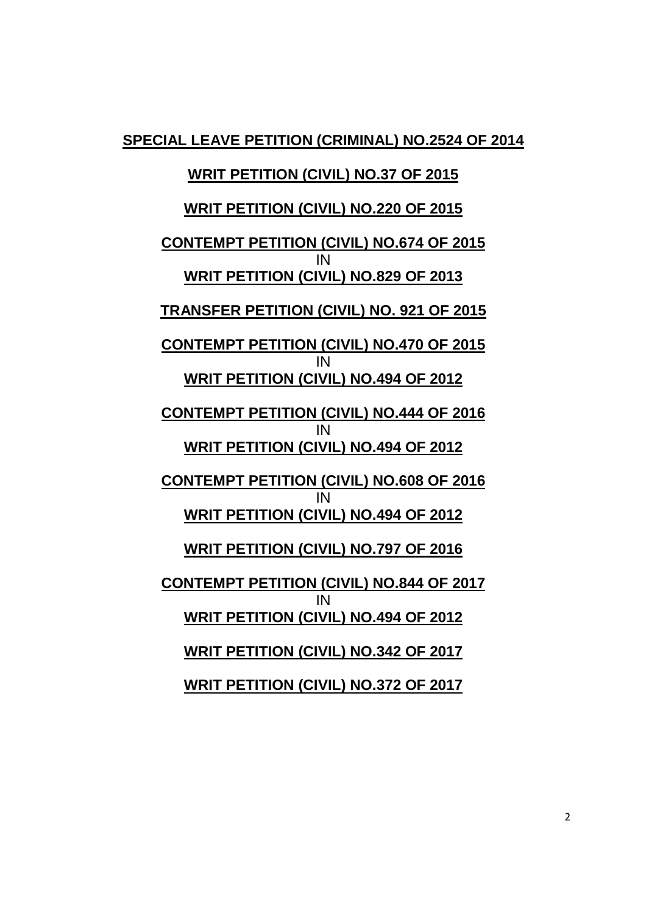**SPECIAL LEAVE PETITION (CRIMINAL) NO.2524 OF 2014**

## **WRIT PETITION (CIVIL) NO.37 OF 2015**

## **WRIT PETITION (CIVIL) NO.220 OF 2015**

**CONTEMPT PETITION (CIVIL) NO.674 OF 2015**  IN **WRIT PETITION (CIVIL) NO.829 OF 2013**

**TRANSFER PETITION (CIVIL) NO. 921 OF 2015**

**CONTEMPT PETITION (CIVIL) NO.470 OF 2015**  IN **WRIT PETITION (CIVIL) NO.494 OF 2012**

**CONTEMPT PETITION (CIVIL) NO.444 OF 2016**  IN **WRIT PETITION (CIVIL) NO.494 OF 2012**

**CONTEMPT PETITION (CIVIL) NO.608 OF 2016**  IN **WRIT PETITION (CIVIL) NO.494 OF 2012**

**WRIT PETITION (CIVIL) NO.797 OF 2016**

**CONTEMPT PETITION (CIVIL) NO.844 OF 2017**  IN **WRIT PETITION (CIVIL) NO.494 OF 2012**

**WRIT PETITION (CIVIL) NO.342 OF 2017**

**WRIT PETITION (CIVIL) NO.372 OF 2017**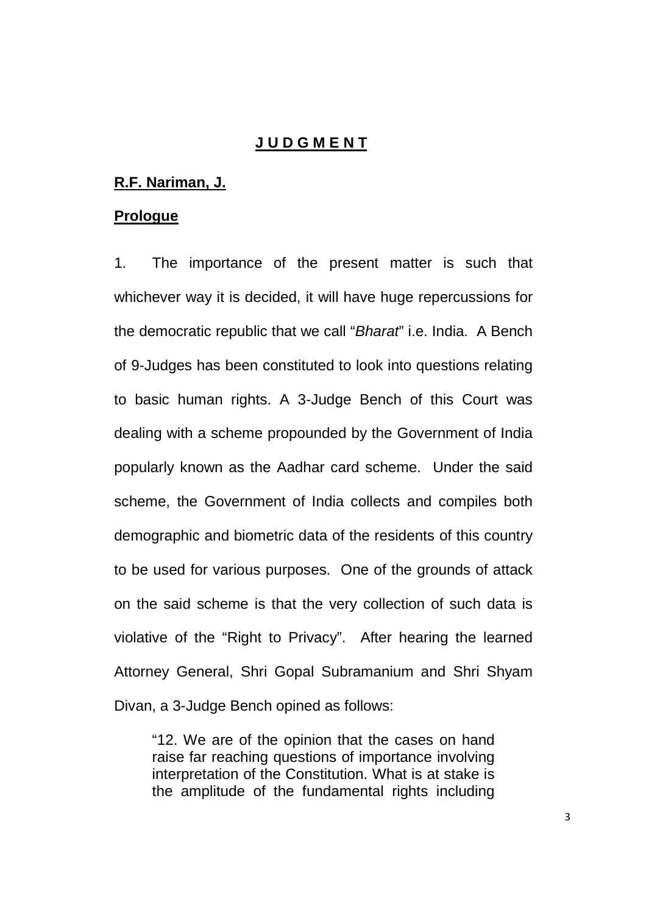## **J U D G M E N T**

#### **R.F. Nariman, J.**

#### **Prologue**

1. The importance of the present matter is such that whichever way it is decided, it will have huge repercussions for the democratic republic that we call "Bharat" i.e. India. A Bench of 9-Judges has been constituted to look into questions relating to basic human rights. A 3-Judge Bench of this Court was dealing with a scheme propounded by the Government of India popularly known as the Aadhar card scheme. Under the said scheme, the Government of India collects and compiles both demographic and biometric data of the residents of this country to be used for various purposes. One of the grounds of attack on the said scheme is that the very collection of such data is violative of the "Right to Privacy". After hearing the learned Attorney General, Shri Gopal Subramanium and Shri Shyam Divan, a 3-Judge Bench opined as follows:

"12. We are of the opinion that the cases on hand raise far reaching questions of importance involving interpretation of the Constitution. What is at stake is the amplitude of the fundamental rights including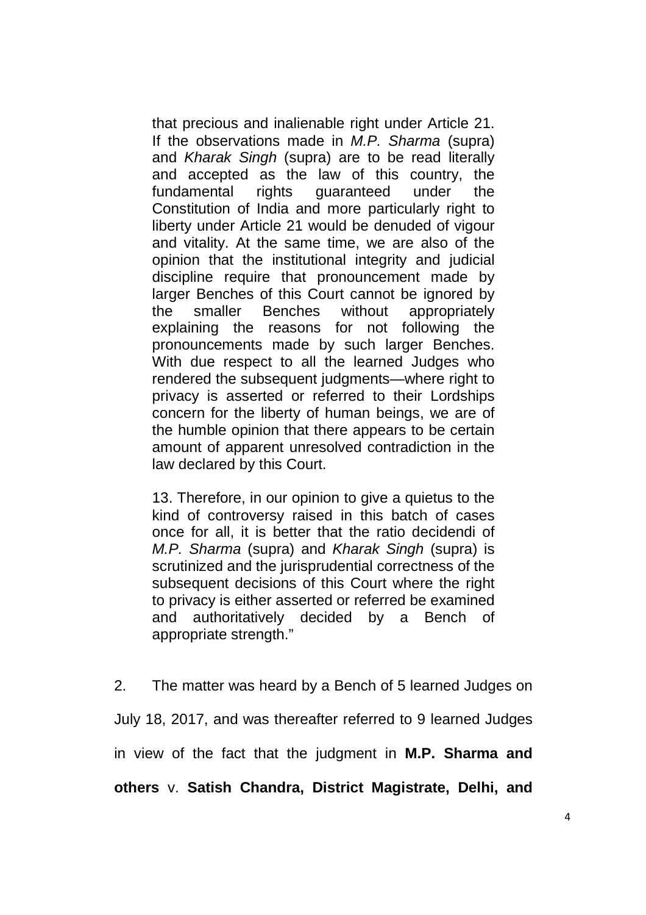that precious and inalienable right under Article 21. If the observations made in M.P. Sharma (supra) and Kharak Singh (supra) are to be read literally and accepted as the law of this country, the fundamental rights guaranteed under the Constitution of India and more particularly right to liberty under Article 21 would be denuded of vigour and vitality. At the same time, we are also of the opinion that the institutional integrity and judicial discipline require that pronouncement made by larger Benches of this Court cannot be ignored by the smaller Benches without appropriately explaining the reasons for not following the pronouncements made by such larger Benches. With due respect to all the learned Judges who rendered the subsequent judgments—where right to privacy is asserted or referred to their Lordships concern for the liberty of human beings, we are of the humble opinion that there appears to be certain amount of apparent unresolved contradiction in the law declared by this Court.

13. Therefore, in our opinion to give a quietus to the kind of controversy raised in this batch of cases once for all, it is better that the ratio decidendi of M.P. Sharma (supra) and Kharak Singh (supra) is scrutinized and the jurisprudential correctness of the subsequent decisions of this Court where the right to privacy is either asserted or referred be examined and authoritatively decided by a Bench of appropriate strength."

2. The matter was heard by a Bench of 5 learned Judges on July 18, 2017, and was thereafter referred to 9 learned Judges in view of the fact that the judgment in **M.P. Sharma and others** v. **Satish Chandra, District Magistrate, Delhi, and**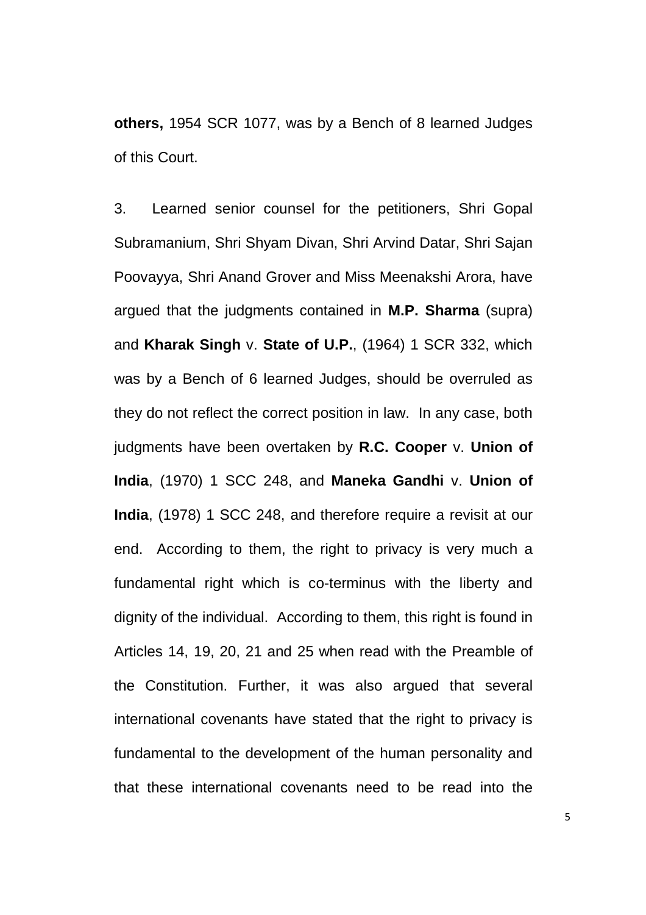**others,** 1954 SCR 1077, was by a Bench of 8 learned Judges of this Court.

3. Learned senior counsel for the petitioners, Shri Gopal Subramanium, Shri Shyam Divan, Shri Arvind Datar, Shri Sajan Poovayya, Shri Anand Grover and Miss Meenakshi Arora, have argued that the judgments contained in **M.P. Sharma** (supra) and **Kharak Singh** v. **State of U.P.**, (1964) 1 SCR 332, which was by a Bench of 6 learned Judges, should be overruled as they do not reflect the correct position in law. In any case, both judgments have been overtaken by **R.C. Cooper** v. **Union of India**, (1970) 1 SCC 248, and **Maneka Gandhi** v. **Union of India**, (1978) 1 SCC 248, and therefore require a revisit at our end. According to them, the right to privacy is very much a fundamental right which is co-terminus with the liberty and dignity of the individual. According to them, this right is found in Articles 14, 19, 20, 21 and 25 when read with the Preamble of the Constitution. Further, it was also argued that several international covenants have stated that the right to privacy is fundamental to the development of the human personality and that these international covenants need to be read into the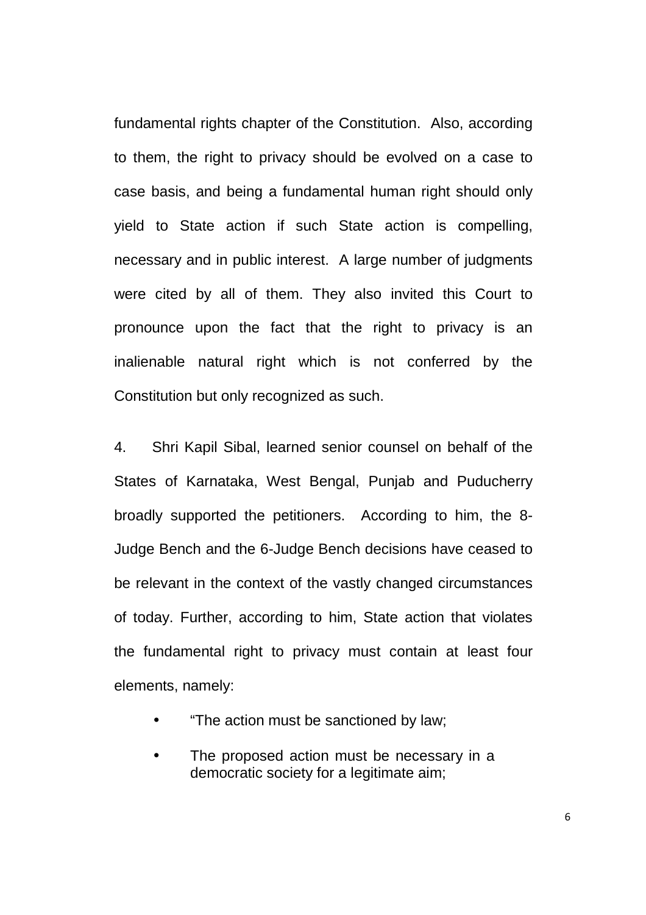fundamental rights chapter of the Constitution. Also, according to them, the right to privacy should be evolved on a case to case basis, and being a fundamental human right should only yield to State action if such State action is compelling, necessary and in public interest. A large number of judgments were cited by all of them. They also invited this Court to pronounce upon the fact that the right to privacy is an inalienable natural right which is not conferred by the Constitution but only recognized as such.

4. Shri Kapil Sibal, learned senior counsel on behalf of the States of Karnataka, West Bengal, Punjab and Puducherry broadly supported the petitioners. According to him, the 8- Judge Bench and the 6-Judge Bench decisions have ceased to be relevant in the context of the vastly changed circumstances of today. Further, according to him, State action that violates the fundamental right to privacy must contain at least four elements, namely:

- "The action must be sanctioned by law;
- The proposed action must be necessary in a democratic society for a legitimate aim;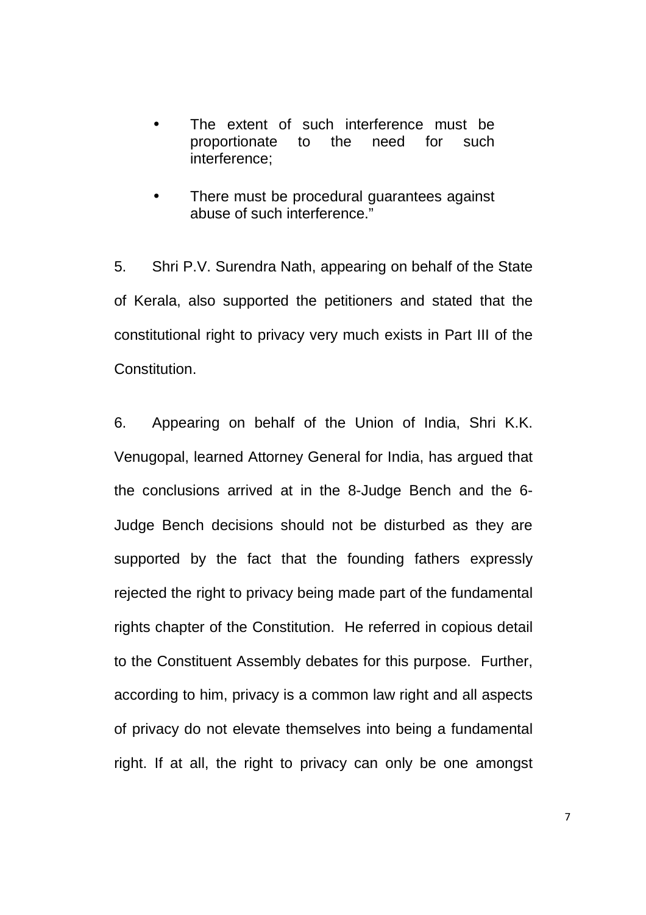- The extent of such interference must be proportionate to the need for such interference;
- There must be procedural quarantees against abuse of such interference."

5. Shri P.V. Surendra Nath, appearing on behalf of the State of Kerala, also supported the petitioners and stated that the constitutional right to privacy very much exists in Part III of the **Constitution** 

6. Appearing on behalf of the Union of India, Shri K.K. Venugopal, learned Attorney General for India, has argued that the conclusions arrived at in the 8-Judge Bench and the 6- Judge Bench decisions should not be disturbed as they are supported by the fact that the founding fathers expressly rejected the right to privacy being made part of the fundamental rights chapter of the Constitution. He referred in copious detail to the Constituent Assembly debates for this purpose. Further, according to him, privacy is a common law right and all aspects of privacy do not elevate themselves into being a fundamental right. If at all, the right to privacy can only be one amongst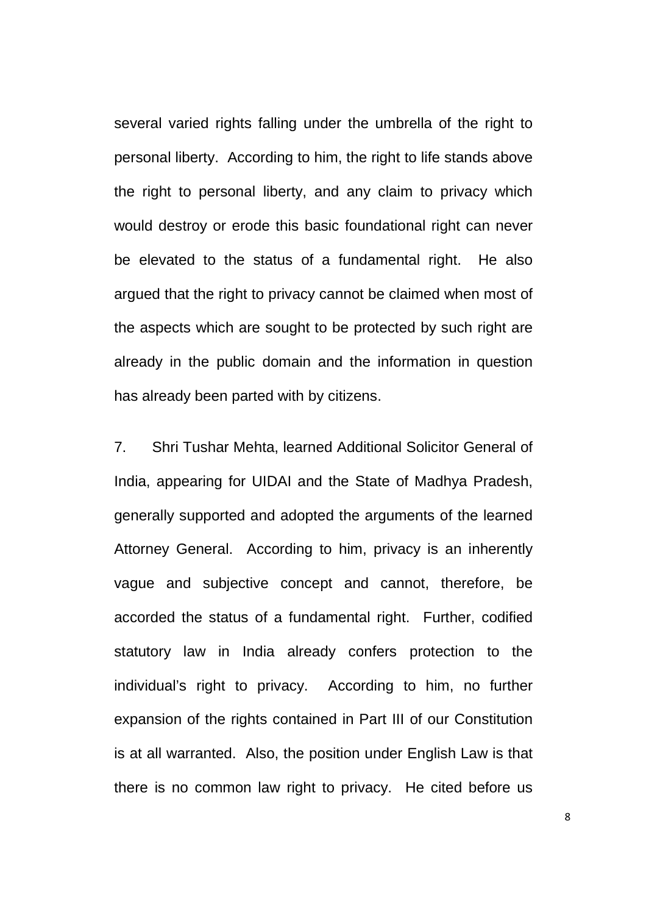several varied rights falling under the umbrella of the right to personal liberty. According to him, the right to life stands above the right to personal liberty, and any claim to privacy which would destroy or erode this basic foundational right can never be elevated to the status of a fundamental right. He also argued that the right to privacy cannot be claimed when most of the aspects which are sought to be protected by such right are already in the public domain and the information in question has already been parted with by citizens.

7. Shri Tushar Mehta, learned Additional Solicitor General of India, appearing for UIDAI and the State of Madhya Pradesh, generally supported and adopted the arguments of the learned Attorney General. According to him, privacy is an inherently vague and subjective concept and cannot, therefore, be accorded the status of a fundamental right. Further, codified statutory law in India already confers protection to the individual's right to privacy. According to him, no further expansion of the rights contained in Part III of our Constitution is at all warranted. Also, the position under English Law is that there is no common law right to privacy. He cited before us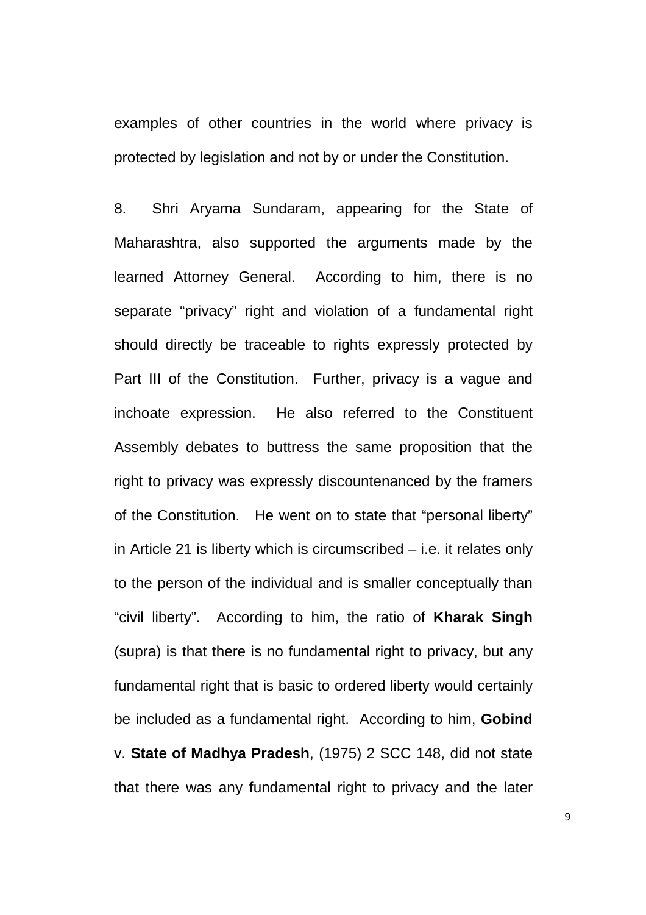examples of other countries in the world where privacy is protected by legislation and not by or under the Constitution.

8. Shri Aryama Sundaram, appearing for the State of Maharashtra, also supported the arguments made by the learned Attorney General. According to him, there is no separate "privacy" right and violation of a fundamental right should directly be traceable to rights expressly protected by Part III of the Constitution. Further, privacy is a vague and inchoate expression. He also referred to the Constituent Assembly debates to buttress the same proposition that the right to privacy was expressly discountenanced by the framers of the Constitution. He went on to state that "personal liberty" in Article 21 is liberty which is circumscribed – i.e. it relates only to the person of the individual and is smaller conceptually than "civil liberty". According to him, the ratio of **Kharak Singh** (supra) is that there is no fundamental right to privacy, but any fundamental right that is basic to ordered liberty would certainly be included as a fundamental right. According to him, **Gobind**  v. **State of Madhya Pradesh**, (1975) 2 SCC 148, did not state that there was any fundamental right to privacy and the later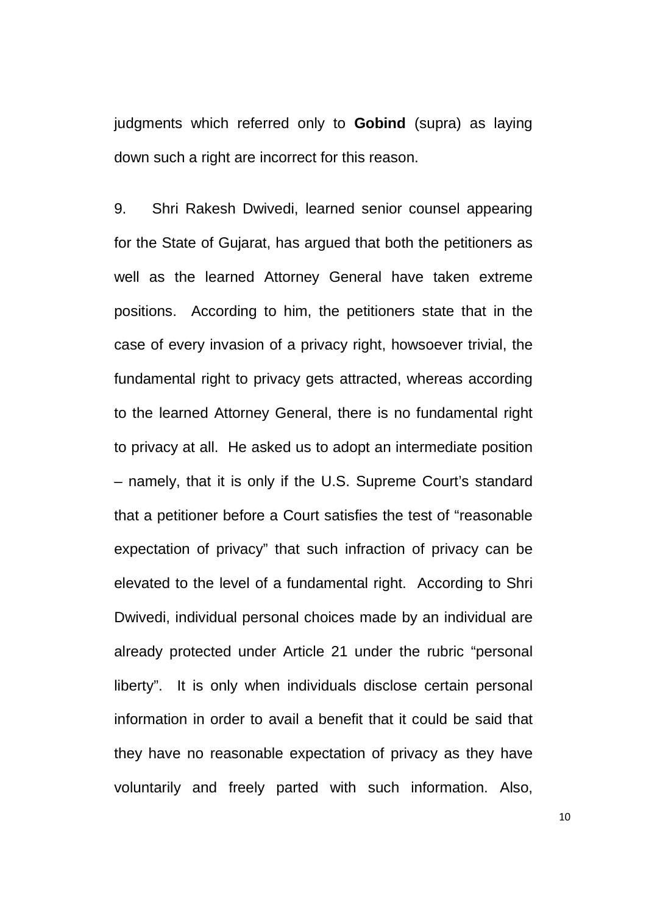judgments which referred only to **Gobind** (supra) as laying down such a right are incorrect for this reason.

9. Shri Rakesh Dwivedi, learned senior counsel appearing for the State of Gujarat, has argued that both the petitioners as well as the learned Attorney General have taken extreme positions. According to him, the petitioners state that in the case of every invasion of a privacy right, howsoever trivial, the fundamental right to privacy gets attracted, whereas according to the learned Attorney General, there is no fundamental right to privacy at all. He asked us to adopt an intermediate position – namely, that it is only if the U.S. Supreme Court's standard that a petitioner before a Court satisfies the test of "reasonable expectation of privacy" that such infraction of privacy can be elevated to the level of a fundamental right. According to Shri Dwivedi, individual personal choices made by an individual are already protected under Article 21 under the rubric "personal liberty". It is only when individuals disclose certain personal information in order to avail a benefit that it could be said that they have no reasonable expectation of privacy as they have voluntarily and freely parted with such information. Also,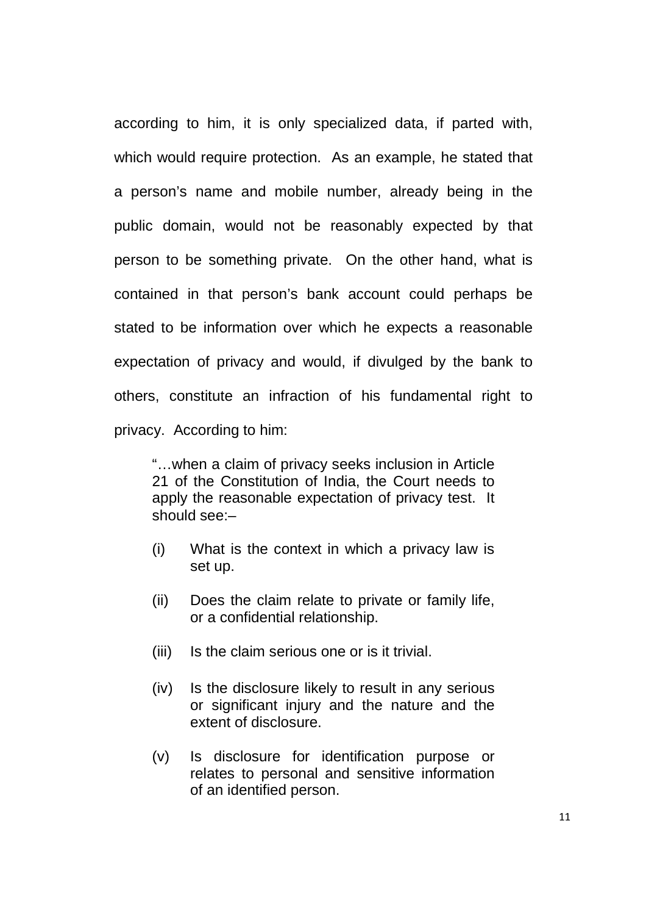according to him, it is only specialized data, if parted with, which would require protection. As an example, he stated that a person's name and mobile number, already being in the public domain, would not be reasonably expected by that person to be something private. On the other hand, what is contained in that person's bank account could perhaps be stated to be information over which he expects a reasonable expectation of privacy and would, if divulged by the bank to others, constitute an infraction of his fundamental right to privacy. According to him:

"…when a claim of privacy seeks inclusion in Article 21 of the Constitution of India, the Court needs to apply the reasonable expectation of privacy test. It should see:–

- (i) What is the context in which a privacy law is set up.
- (ii) Does the claim relate to private or family life, or a confidential relationship.
- (iii) Is the claim serious one or is it trivial.
- (iv) Is the disclosure likely to result in any serious or significant injury and the nature and the extent of disclosure.
- (v) Is disclosure for identification purpose or relates to personal and sensitive information of an identified person.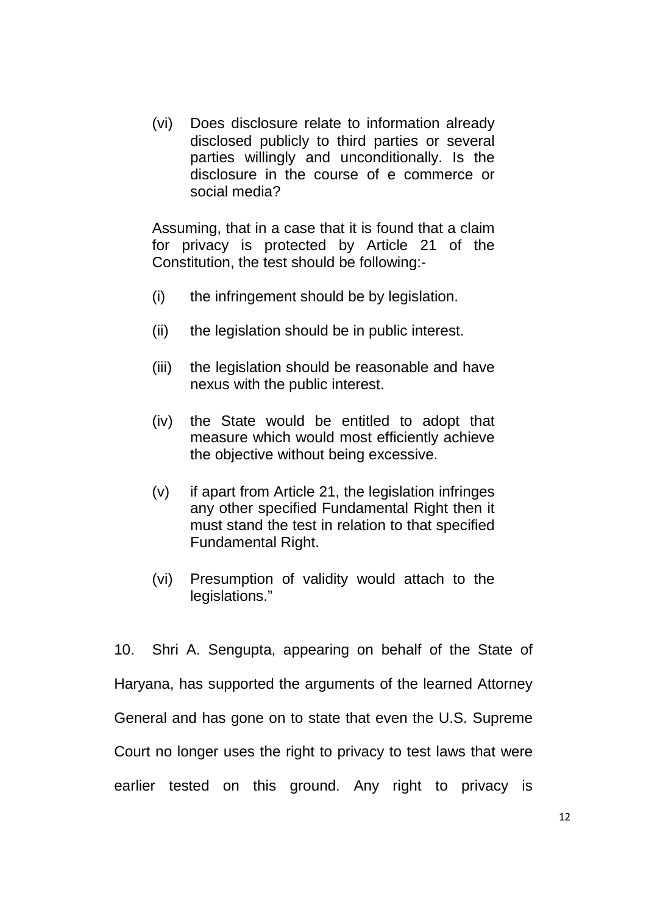(vi) Does disclosure relate to information already disclosed publicly to third parties or several parties willingly and unconditionally. Is the disclosure in the course of e commerce or social media?

Assuming, that in a case that it is found that a claim for privacy is protected by Article 21 of the Constitution, the test should be following:-

- (i) the infringement should be by legislation.
- (ii) the legislation should be in public interest.
- (iii) the legislation should be reasonable and have nexus with the public interest.
- (iv) the State would be entitled to adopt that measure which would most efficiently achieve the objective without being excessive.
- (v) if apart from Article 21, the legislation infringes any other specified Fundamental Right then it must stand the test in relation to that specified Fundamental Right.
- (vi) Presumption of validity would attach to the legislations."

10. Shri A. Sengupta, appearing on behalf of the State of Haryana, has supported the arguments of the learned Attorney General and has gone on to state that even the U.S. Supreme Court no longer uses the right to privacy to test laws that were earlier tested on this ground. Any right to privacy is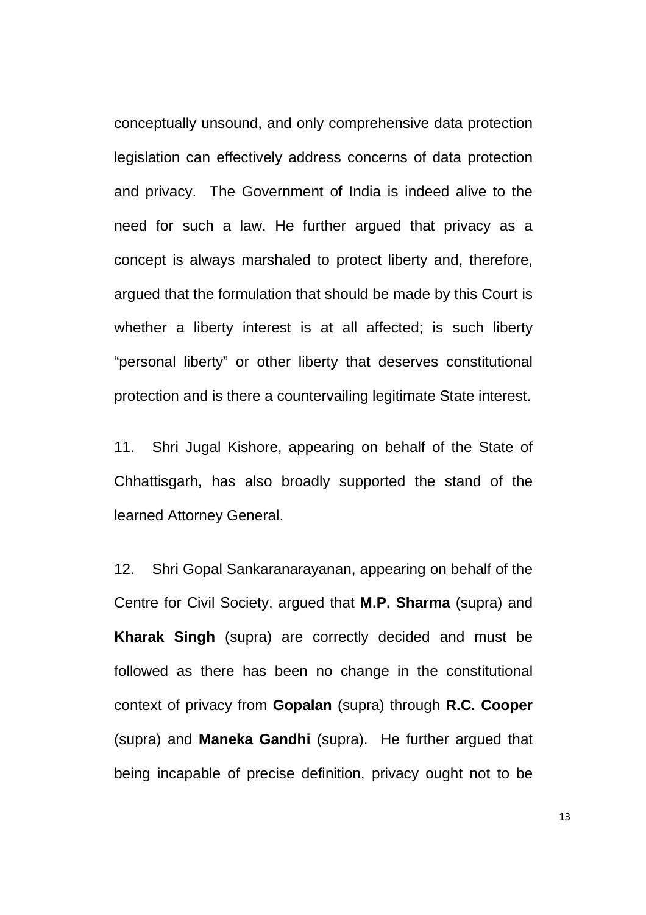conceptually unsound, and only comprehensive data protection legislation can effectively address concerns of data protection and privacy. The Government of India is indeed alive to the need for such a law. He further argued that privacy as a concept is always marshaled to protect liberty and, therefore, argued that the formulation that should be made by this Court is whether a liberty interest is at all affected; is such liberty "personal liberty" or other liberty that deserves constitutional protection and is there a countervailing legitimate State interest.

11. Shri Jugal Kishore, appearing on behalf of the State of Chhattisgarh, has also broadly supported the stand of the learned Attorney General.

12. Shri Gopal Sankaranarayanan, appearing on behalf of the Centre for Civil Society, argued that **M.P. Sharma** (supra) and **Kharak Singh** (supra) are correctly decided and must be followed as there has been no change in the constitutional context of privacy from **Gopalan** (supra) through **R.C. Cooper**  (supra) and **Maneka Gandhi** (supra). He further argued that being incapable of precise definition, privacy ought not to be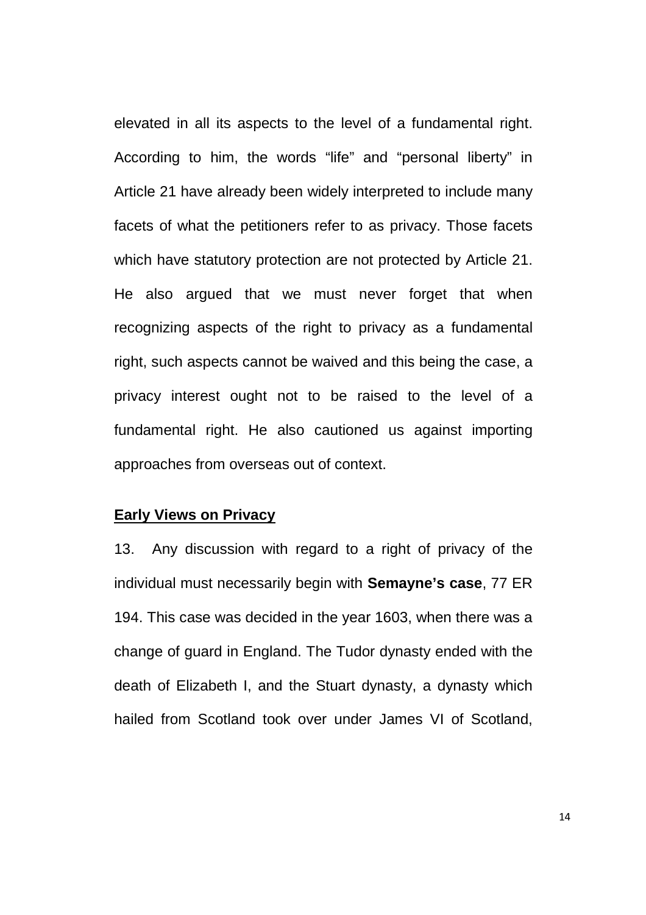elevated in all its aspects to the level of a fundamental right. According to him, the words "life" and "personal liberty" in Article 21 have already been widely interpreted to include many facets of what the petitioners refer to as privacy. Those facets which have statutory protection are not protected by Article 21. He also argued that we must never forget that when recognizing aspects of the right to privacy as a fundamental right, such aspects cannot be waived and this being the case, a privacy interest ought not to be raised to the level of a fundamental right. He also cautioned us against importing approaches from overseas out of context.

#### **Early Views on Privacy**

13. Any discussion with regard to a right of privacy of the individual must necessarily begin with **Semayne's case**, 77 ER 194. This case was decided in the year 1603, when there was a change of guard in England. The Tudor dynasty ended with the death of Elizabeth I, and the Stuart dynasty, a dynasty which hailed from Scotland took over under James VI of Scotland,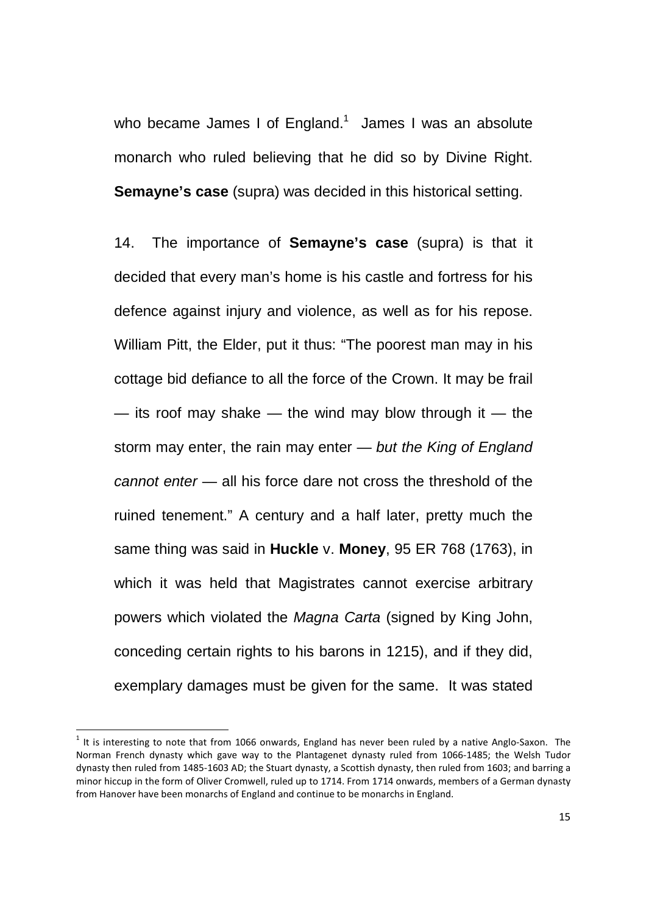who became James I of England. $1$  James I was an absolute monarch who ruled believing that he did so by Divine Right. **Semayne's case** (supra) was decided in this historical setting.

14. The importance of **Semayne's case** (supra) is that it decided that every man's home is his castle and fortress for his defence against injury and violence, as well as for his repose. William Pitt, the Elder, put it thus: "The poorest man may in his cottage bid defiance to all the force of the Crown. It may be frail  $-$  its roof may shake  $-$  the wind may blow through it  $-$  the storm may enter, the rain may enter  $-$  but the King of England cannot enter — all his force dare not cross the threshold of the ruined tenement." A century and a half later, pretty much the same thing was said in **Huckle** v. **Money**, 95 ER 768 (1763), in which it was held that Magistrates cannot exercise arbitrary powers which violated the Magna Carta (signed by King John, conceding certain rights to his barons in 1215), and if they did, exemplary damages must be given for the same. It was stated

<u>.</u>

 $1$  It is interesting to note that from 1066 onwards, England has never been ruled by a native Anglo-Saxon. The Norman French dynasty which gave way to the Plantagenet dynasty ruled from 1066-1485; the Welsh Tudor dynasty then ruled from 1485-1603 AD; the Stuart dynasty, a Scottish dynasty, then ruled from 1603; and barring a minor hiccup in the form of Oliver Cromwell, ruled up to 1714. From 1714 onwards, members of a German dynasty from Hanover have been monarchs of England and continue to be monarchs in England.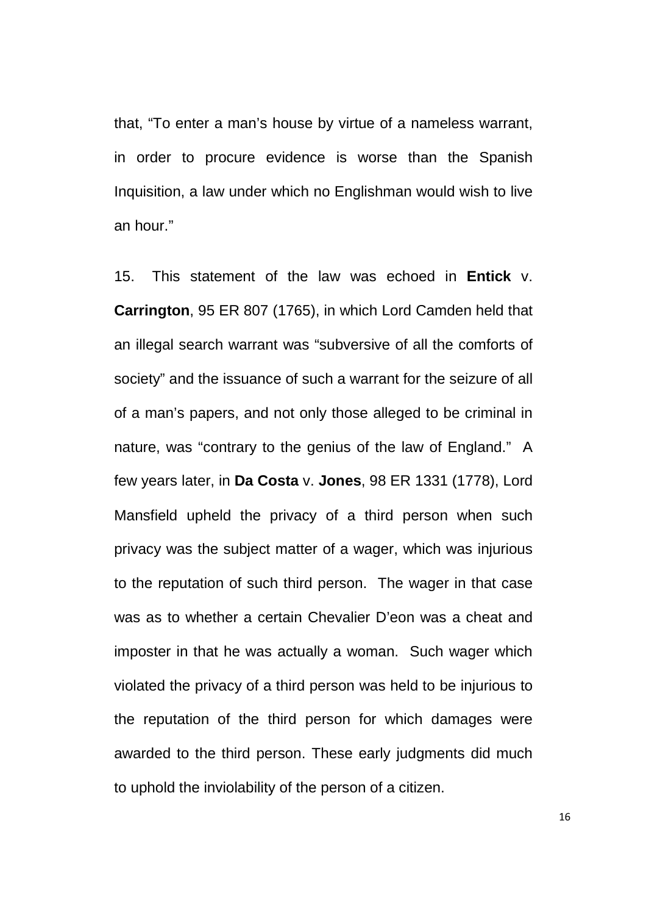that, "To enter a man's house by virtue of a nameless warrant, in order to procure evidence is worse than the Spanish Inquisition, a law under which no Englishman would wish to live an hour."

15. This statement of the law was echoed in **Entick** v. **Carrington**, 95 ER 807 (1765), in which Lord Camden held that an illegal search warrant was "subversive of all the comforts of society" and the issuance of such a warrant for the seizure of all of a man's papers, and not only those alleged to be criminal in nature, was "contrary to the genius of the law of England." A few years later, in **Da Costa** v. **Jones**, 98 ER 1331 (1778), Lord Mansfield upheld the privacy of a third person when such privacy was the subject matter of a wager, which was injurious to the reputation of such third person. The wager in that case was as to whether a certain Chevalier D'eon was a cheat and imposter in that he was actually a woman. Such wager which violated the privacy of a third person was held to be injurious to the reputation of the third person for which damages were awarded to the third person. These early judgments did much to uphold the inviolability of the person of a citizen.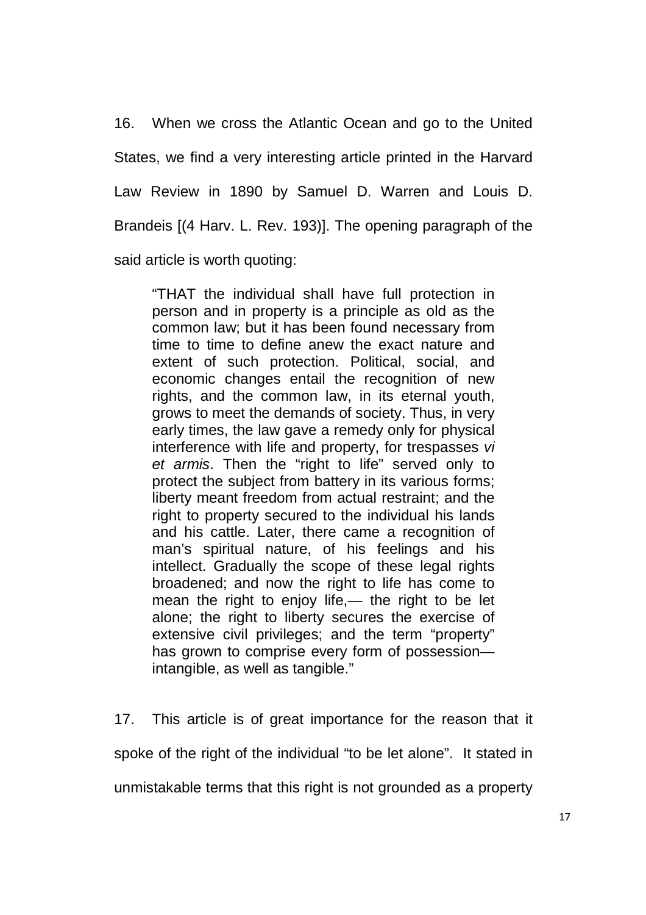16. When we cross the Atlantic Ocean and go to the United States, we find a very interesting article printed in the Harvard Law Review in 1890 by Samuel D. Warren and Louis D. Brandeis [(4 Harv. L. Rev. 193)]. The opening paragraph of the said article is worth quoting:

"THAT the individual shall have full protection in person and in property is a principle as old as the common law; but it has been found necessary from time to time to define anew the exact nature and extent of such protection. Political, social, and economic changes entail the recognition of new rights, and the common law, in its eternal youth, grows to meet the demands of society. Thus, in very early times, the law gave a remedy only for physical interference with life and property, for trespasses vi et armis. Then the "right to life" served only to protect the subject from battery in its various forms; liberty meant freedom from actual restraint; and the right to property secured to the individual his lands and his cattle. Later, there came a recognition of man's spiritual nature, of his feelings and his intellect. Gradually the scope of these legal rights broadened; and now the right to life has come to mean the right to enjoy life,— the right to be let alone; the right to liberty secures the exercise of extensive civil privileges; and the term "property" has grown to comprise every form of possession intangible, as well as tangible."

17. This article is of great importance for the reason that it spoke of the right of the individual "to be let alone". It stated in unmistakable terms that this right is not grounded as a property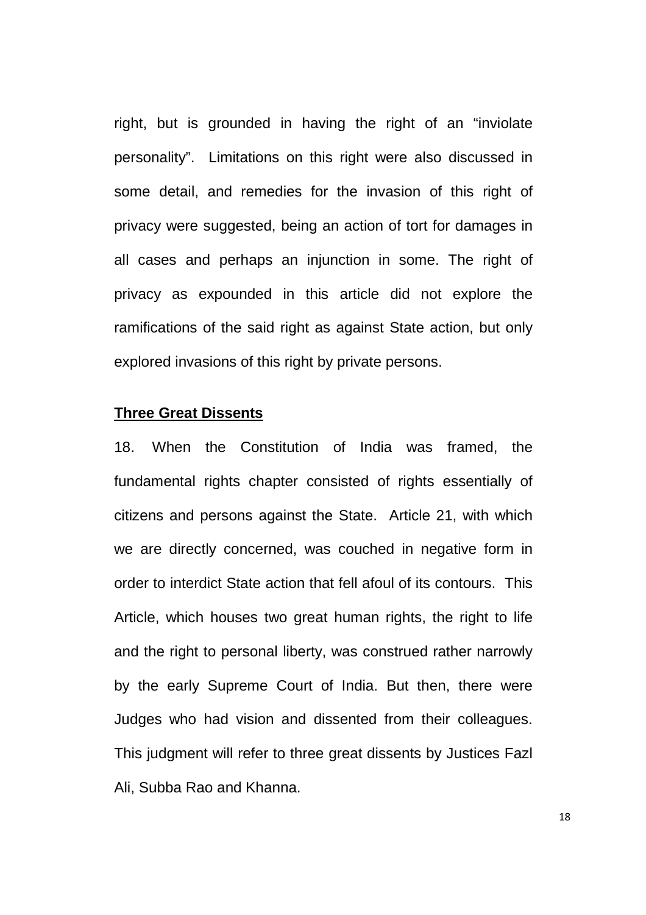right, but is grounded in having the right of an "inviolate personality". Limitations on this right were also discussed in some detail, and remedies for the invasion of this right of privacy were suggested, being an action of tort for damages in all cases and perhaps an injunction in some. The right of privacy as expounded in this article did not explore the ramifications of the said right as against State action, but only explored invasions of this right by private persons.

## **Three Great Dissents**

18. When the Constitution of India was framed, the fundamental rights chapter consisted of rights essentially of citizens and persons against the State. Article 21, with which we are directly concerned, was couched in negative form in order to interdict State action that fell afoul of its contours. This Article, which houses two great human rights, the right to life and the right to personal liberty, was construed rather narrowly by the early Supreme Court of India. But then, there were Judges who had vision and dissented from their colleagues. This judgment will refer to three great dissents by Justices Fazl Ali, Subba Rao and Khanna.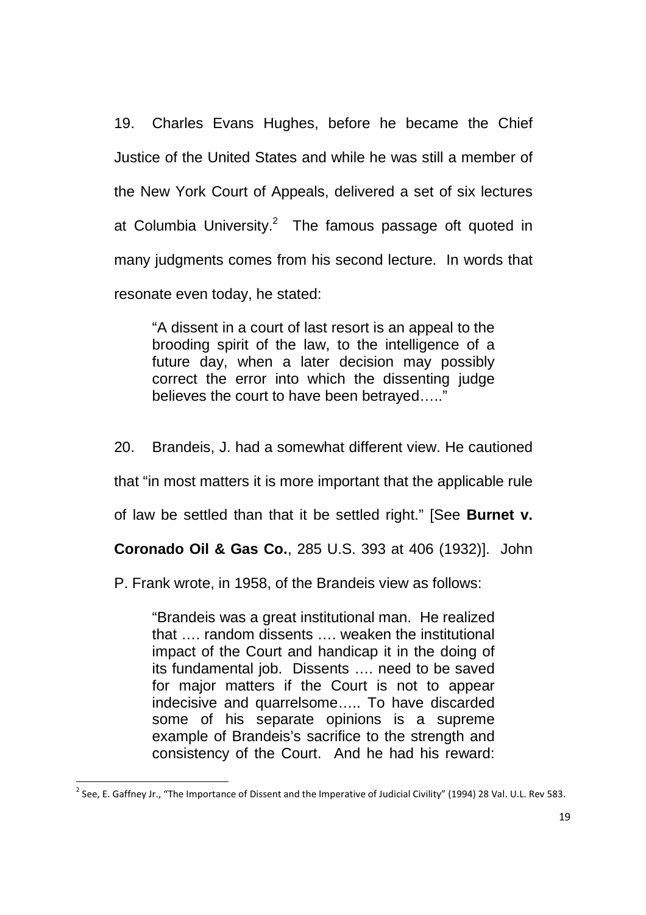19. Charles Evans Hughes, before he became the Chief Justice of the United States and while he was still a member of the New York Court of Appeals, delivered a set of six lectures at Columbia University. $^2$  The famous passage oft quoted in many judgments comes from his second lecture. In words that resonate even today, he stated:

"A dissent in a court of last resort is an appeal to the brooding spirit of the law, to the intelligence of a future day, when a later decision may possibly correct the error into which the dissenting judge believes the court to have been betrayed….."

20. Brandeis, J. had a somewhat different view. He cautioned

that "in most matters it is more important that the applicable rule

of law be settled than that it be settled right." [See **Burnet v.** 

**Coronado Oil & Gas Co.**, 285 U.S. 393 at 406 (1932)]. John

P. Frank wrote, in 1958, of the Brandeis view as follows:

"Brandeis was a great institutional man. He realized that …. random dissents …. weaken the institutional impact of the Court and handicap it in the doing of its fundamental job. Dissents …. need to be saved for major matters if the Court is not to appear indecisive and quarrelsome….. To have discarded some of his separate opinions is a supreme example of Brandeis's sacrifice to the strength and consistency of the Court. And he had his reward:

<u>.</u>

<sup>&</sup>lt;sup>2</sup> See, E. Gaffney Jr., "The Importance of Dissent and the Imperative of Judicial Civility" (1994) 28 Val. U.L. Rev 583.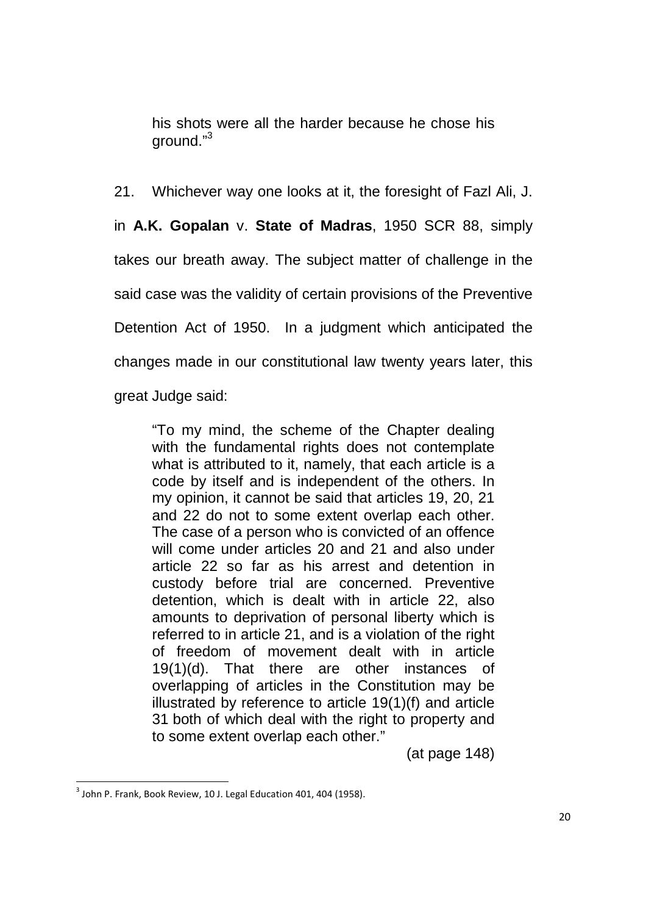his shots were all the harder because he chose his ground."<sup>3</sup>

21. Whichever way one looks at it, the foresight of Fazl Ali, J. in **A.K. Gopalan** v. **State of Madras**, 1950 SCR 88, simply takes our breath away. The subject matter of challenge in the said case was the validity of certain provisions of the Preventive Detention Act of 1950. In a judgment which anticipated the changes made in our constitutional law twenty years later, this great Judge said:

"To my mind, the scheme of the Chapter dealing with the fundamental rights does not contemplate what is attributed to it, namely, that each article is a code by itself and is independent of the others. In my opinion, it cannot be said that articles 19, 20, 21 and 22 do not to some extent overlap each other. The case of a person who is convicted of an offence will come under articles 20 and 21 and also under article 22 so far as his arrest and detention in custody before trial are concerned. Preventive detention, which is dealt with in article 22, also amounts to deprivation of personal liberty which is referred to in article 21, and is a violation of the right of freedom of movement dealt with in article 19(1)(d). That there are other instances of overlapping of articles in the Constitution may be illustrated by reference to article 19(1)(f) and article 31 both of which deal with the right to property and to some extent overlap each other."

(at page 148)

.<br>-

 $3$  John P. Frank, Book Review, 10 J. Legal Education 401, 404 (1958).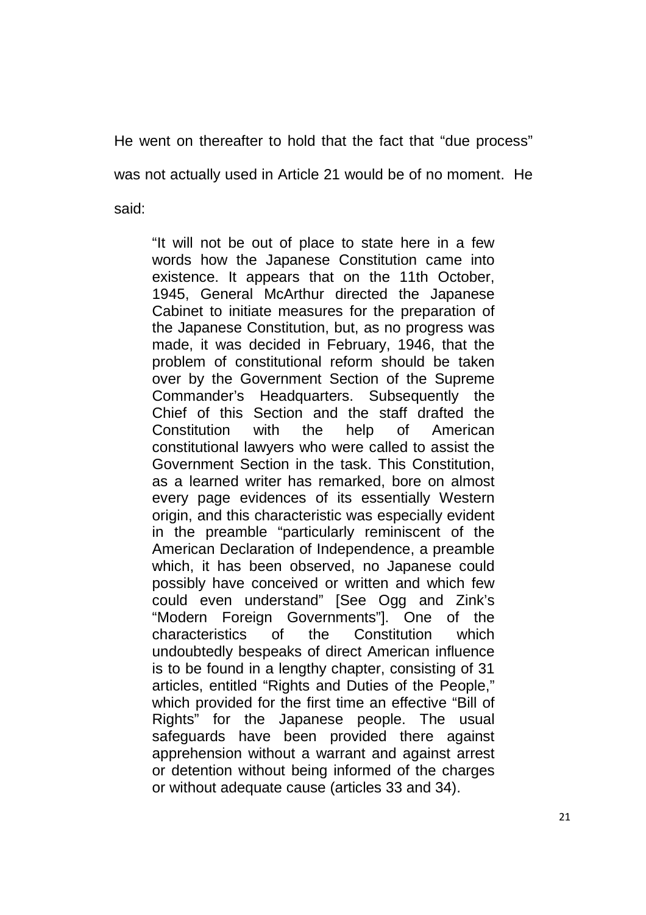He went on thereafter to hold that the fact that "due process"

was not actually used in Article 21 would be of no moment. He

said:

"It will not be out of place to state here in a few words how the Japanese Constitution came into existence. It appears that on the 11th October, 1945, General McArthur directed the Japanese Cabinet to initiate measures for the preparation of the Japanese Constitution, but, as no progress was made, it was decided in February, 1946, that the problem of constitutional reform should be taken over by the Government Section of the Supreme Commander's Headquarters. Subsequently the Chief of this Section and the staff drafted the Constitution with the help of American constitutional lawyers who were called to assist the Government Section in the task. This Constitution, as a learned writer has remarked, bore on almost every page evidences of its essentially Western origin, and this characteristic was especially evident in the preamble "particularly reminiscent of the American Declaration of Independence, a preamble which, it has been observed, no Japanese could possibly have conceived or written and which few could even understand" [See Ogg and Zink's "Modern Foreign Governments"]. One of the characteristics of the Constitution which undoubtedly bespeaks of direct American influence is to be found in a lengthy chapter, consisting of 31 articles, entitled "Rights and Duties of the People," which provided for the first time an effective "Bill of Rights" for the Japanese people. The usual safeguards have been provided there against apprehension without a warrant and against arrest or detention without being informed of the charges or without adequate cause (articles 33 and 34).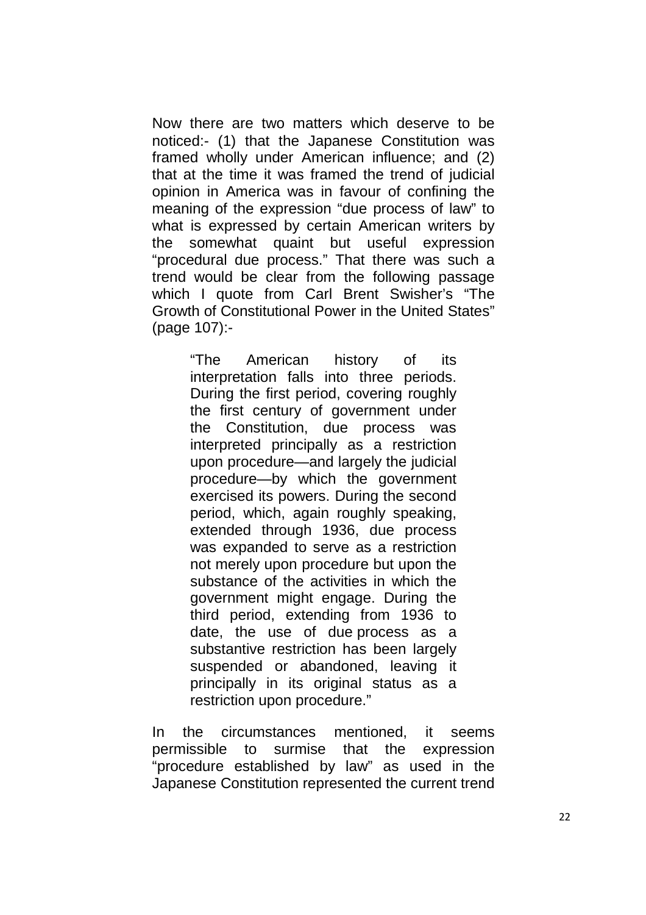Now there are two matters which deserve to be noticed:- (1) that the Japanese Constitution was framed wholly under American influence; and (2) that at the time it was framed the trend of judicial opinion in America was in favour of confining the meaning of the expression "due process of law" to what is expressed by certain American writers by the somewhat quaint but useful expression "procedural due process." That there was such a trend would be clear from the following passage which I quote from Carl Brent Swisher's "The Growth of Constitutional Power in the United States" (page 107):-

> "The American history of its interpretation falls into three periods. During the first period, covering roughly the first century of government under the Constitution, due process was interpreted principally as a restriction upon procedure—and largely the judicial procedure—by which the government exercised its powers. During the second period, which, again roughly speaking, extended through 1936, due process was expanded to serve as a restriction not merely upon procedure but upon the substance of the activities in which the government might engage. During the third period, extending from 1936 to date, the use of due process as a substantive restriction has been largely suspended or abandoned, leaving it principally in its original status as a restriction upon procedure."

In the circumstances mentioned, it seems permissible to surmise that the expression "procedure established by law" as used in the Japanese Constitution represented the current trend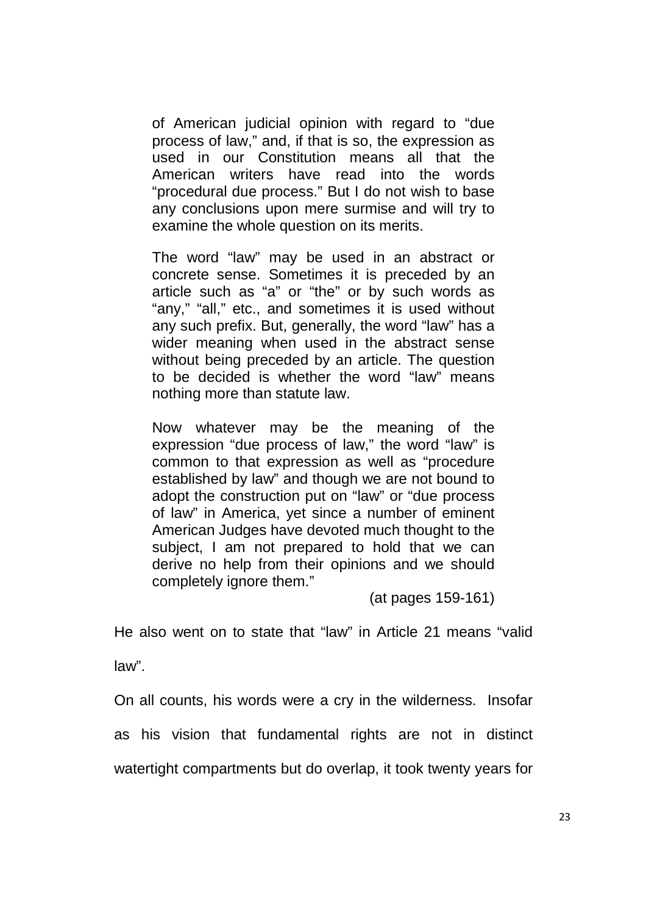of American judicial opinion with regard to "due process of law," and, if that is so, the expression as used in our Constitution means all that the American writers have read into the words "procedural due process." But I do not wish to base any conclusions upon mere surmise and will try to examine the whole question on its merits.

The word "law" may be used in an abstract or concrete sense. Sometimes it is preceded by an article such as "a" or "the" or by such words as "any," "all," etc., and sometimes it is used without any such prefix. But, generally, the word "law" has a wider meaning when used in the abstract sense without being preceded by an article. The question to be decided is whether the word "law" means nothing more than statute law.

Now whatever may be the meaning of the expression "due process of law," the word "law" is common to that expression as well as "procedure established by law" and though we are not bound to adopt the construction put on "law" or "due process of law" in America, yet since a number of eminent American Judges have devoted much thought to the subject, I am not prepared to hold that we can derive no help from their opinions and we should completely ignore them."

(at pages 159-161)

He also went on to state that "law" in Article 21 means "valid

law".

On all counts, his words were a cry in the wilderness. Insofar as his vision that fundamental rights are not in distinct watertight compartments but do overlap, it took twenty years for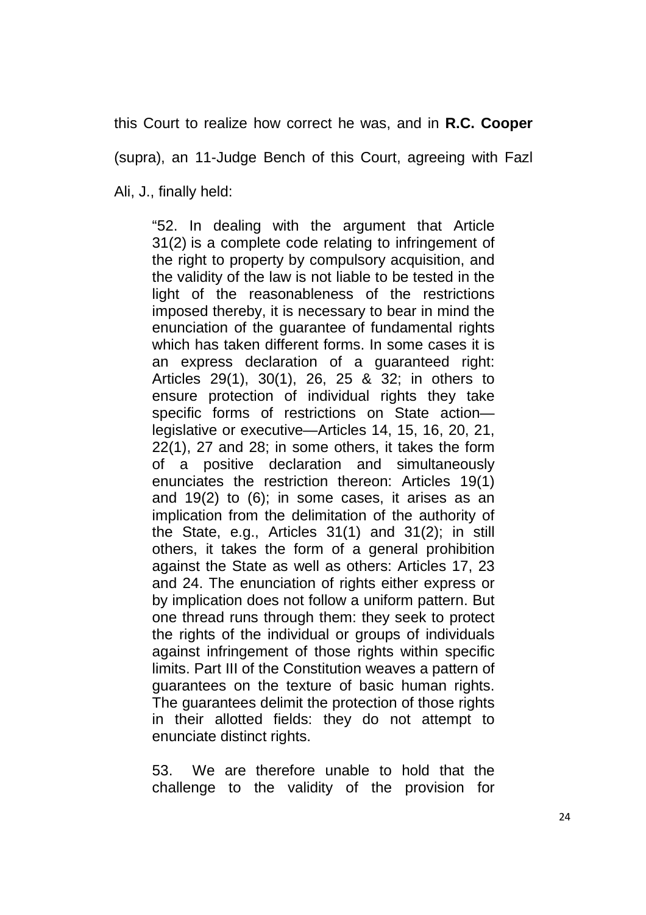this Court to realize how correct he was, and in **R.C. Cooper** 

(supra), an 11-Judge Bench of this Court, agreeing with Fazl

Ali, J., finally held:

"52. In dealing with the argument that Article 31(2) is a complete code relating to infringement of the right to property by compulsory acquisition, and the validity of the law is not liable to be tested in the light of the reasonableness of the restrictions imposed thereby, it is necessary to bear in mind the enunciation of the guarantee of fundamental rights which has taken different forms. In some cases it is an express declaration of a guaranteed right: Articles 29(1), 30(1), 26, 25 & 32; in others to ensure protection of individual rights they take specific forms of restrictions on State action legislative or executive—Articles 14, 15, 16, 20, 21, 22(1), 27 and 28; in some others, it takes the form of a positive declaration and simultaneously enunciates the restriction thereon: Articles 19(1) and 19(2) to (6); in some cases, it arises as an implication from the delimitation of the authority of the State, e.g., Articles 31(1) and 31(2); in still others, it takes the form of a general prohibition against the State as well as others: Articles 17, 23 and 24. The enunciation of rights either express or by implication does not follow a uniform pattern. But one thread runs through them: they seek to protect the rights of the individual or groups of individuals against infringement of those rights within specific limits. Part III of the Constitution weaves a pattern of guarantees on the texture of basic human rights. The guarantees delimit the protection of those rights in their allotted fields: they do not attempt to enunciate distinct rights.

53. We are therefore unable to hold that the challenge to the validity of the provision for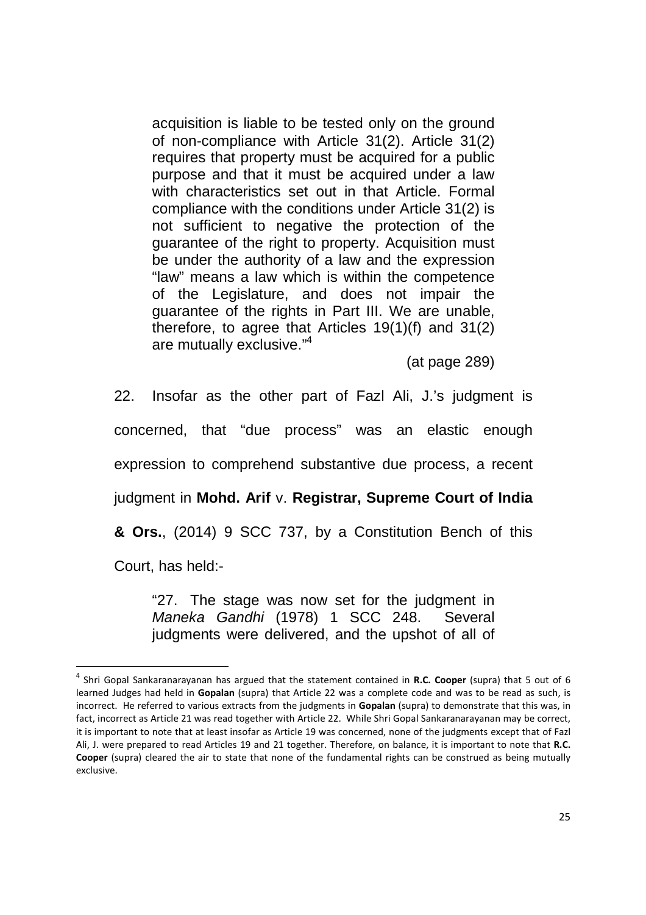acquisition is liable to be tested only on the ground of non-compliance with Article 31(2). Article 31(2) requires that property must be acquired for a public purpose and that it must be acquired under a law with characteristics set out in that Article. Formal compliance with the conditions under Article 31(2) is not sufficient to negative the protection of the guarantee of the right to property. Acquisition must be under the authority of a law and the expression "law" means a law which is within the competence of the Legislature, and does not impair the guarantee of the rights in Part III. We are unable, therefore, to agree that Articles 19(1)(f) and 31(2) are mutually exclusive."<sup>4</sup>

(at page 289)

22. Insofar as the other part of Fazl Ali, J.'s judgment is concerned, that "due process" was an elastic enough expression to comprehend substantive due process, a recent judgment in **Mohd. Arif** v. **Registrar, Supreme Court of India & Ors.**, (2014) 9 SCC 737, by a Constitution Bench of this Court, has held:-

"27. The stage was now set for the judgment in Maneka Gandhi (1978) 1 SCC 248. Several judgments were delivered, and the upshot of all of

<u>.</u>

<sup>4</sup> Shri Gopal Sankaranarayanan has argued that the statement contained in **R.C. Cooper** (supra) that 5 out of 6 learned Judges had held in **Gopalan** (supra) that Article 22 was a complete code and was to be read as such, is incorrect. He referred to various extracts from the judgments in **Gopalan** (supra) to demonstrate that this was, in fact, incorrect as Article 21 was read together with Article 22. While Shri Gopal Sankaranarayanan may be correct, it is important to note that at least insofar as Article 19 was concerned, none of the judgments except that of Fazl Ali, J. were prepared to read Articles 19 and 21 together. Therefore, on balance, it is important to note that **R.C. Cooper** (supra) cleared the air to state that none of the fundamental rights can be construed as being mutually exclusive.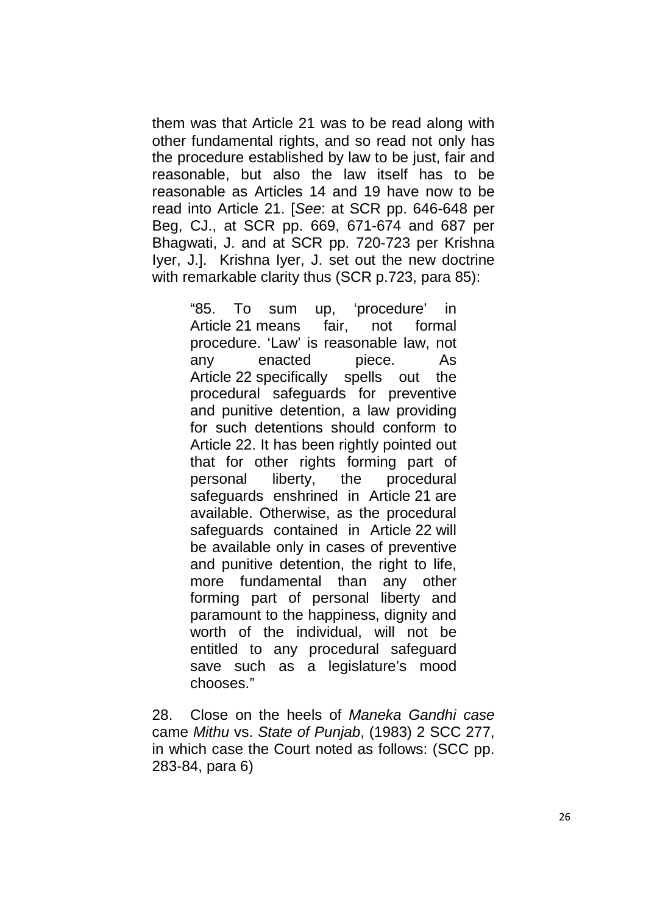them was that Article 21 was to be read along with other fundamental rights, and so read not only has the procedure established by law to be just, fair and reasonable, but also the law itself has to be reasonable as Articles 14 and 19 have now to be read into Article 21. [See: at SCR pp. 646-648 per Beg, CJ., at SCR pp. 669, 671-674 and 687 per Bhagwati, J. and at SCR pp. 720-723 per Krishna Iyer, J.]. Krishna Iyer, J. set out the new doctrine with remarkable clarity thus (SCR p.723, para 85):

> "85. To sum up, 'procedure' in Article 21 means fair, not formal procedure. 'Law' is reasonable law, not any enacted piece. As Article 22 specifically spells out the procedural safeguards for preventive and punitive detention, a law providing for such detentions should conform to Article 22. It has been rightly pointed out that for other rights forming part of personal liberty, the procedural safeguards enshrined in Article 21 are available. Otherwise, as the procedural safeguards contained in Article 22 will be available only in cases of preventive and punitive detention, the right to life, more fundamental than any other forming part of personal liberty and paramount to the happiness, dignity and worth of the individual, will not be entitled to any procedural safeguard save such as a legislature's mood chooses."

28. Close on the heels of Maneka Gandhi case came Mithu vs. State of Punjab, (1983) 2 SCC 277, in which case the Court noted as follows: (SCC pp. 283-84, para 6)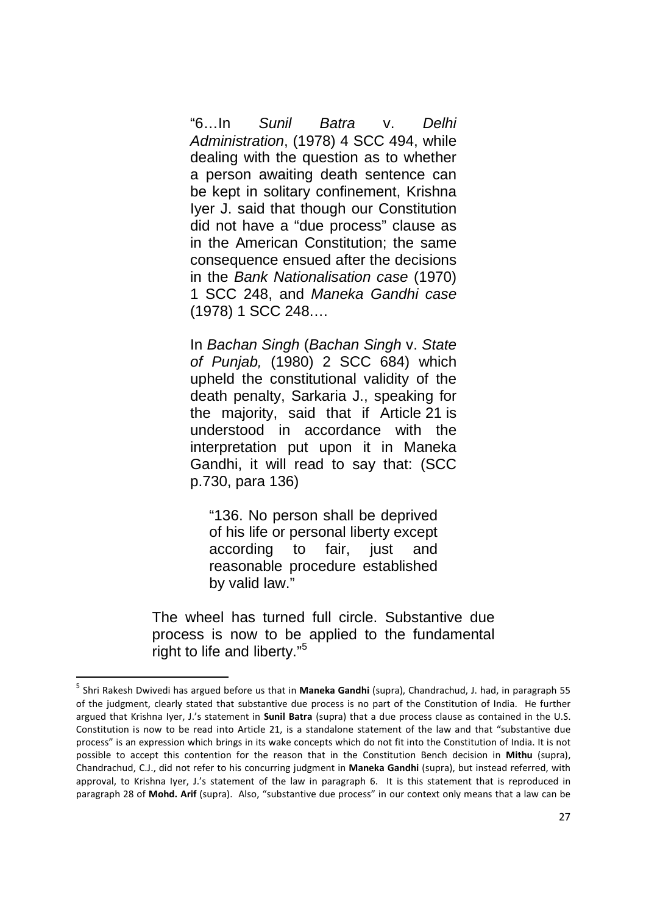"6…In Sunil Batra v. Delhi Administration, (1978) 4 SCC 494, while dealing with the question as to whether a person awaiting death sentence can be kept in solitary confinement, Krishna Iyer J. said that though our Constitution did not have a "due process" clause as in the American Constitution; the same consequence ensued after the decisions in the Bank Nationalisation case (1970) 1 SCC 248, and Maneka Gandhi case (1978) 1 SCC 248.…

In Bachan Singh (Bachan Singh v. State of Punjab, (1980) 2 SCC 684) which upheld the constitutional validity of the death penalty, Sarkaria J., speaking for the majority, said that if Article 21 is understood in accordance with the interpretation put upon it in Maneka Gandhi, it will read to say that: (SCC p.730, para 136)

"136. No person shall be deprived of his life or personal liberty except according to fair, just and reasonable procedure established by valid law."

The wheel has turned full circle. Substantive due process is now to be applied to the fundamental right to life and liberty."<sup>5</sup>

<u>.</u>

<sup>5</sup> Shri Rakesh Dwivedi has argued before us that in **Maneka Gandhi** (supra), Chandrachud, J. had, in paragraph 55 of the judgment, clearly stated that substantive due process is no part of the Constitution of India. He further argued that Krishna Iyer, J.'s statement in **Sunil Batra** (supra) that a due process clause as contained in the U.S. Constitution is now to be read into Article 21, is a standalone statement of the law and that "substantive due process" is an expression which brings in its wake concepts which do not fit into the Constitution of India. It is not possible to accept this contention for the reason that in the Constitution Bench decision in **Mithu** (supra), Chandrachud, C.J., did not refer to his concurring judgment in **Maneka Gandhi** (supra), but instead referred, with approval, to Krishna Iyer, J.'s statement of the law in paragraph 6. It is this statement that is reproduced in paragraph 28 of **Mohd. Arif** (supra). Also, "substantive due process" in our context only means that a law can be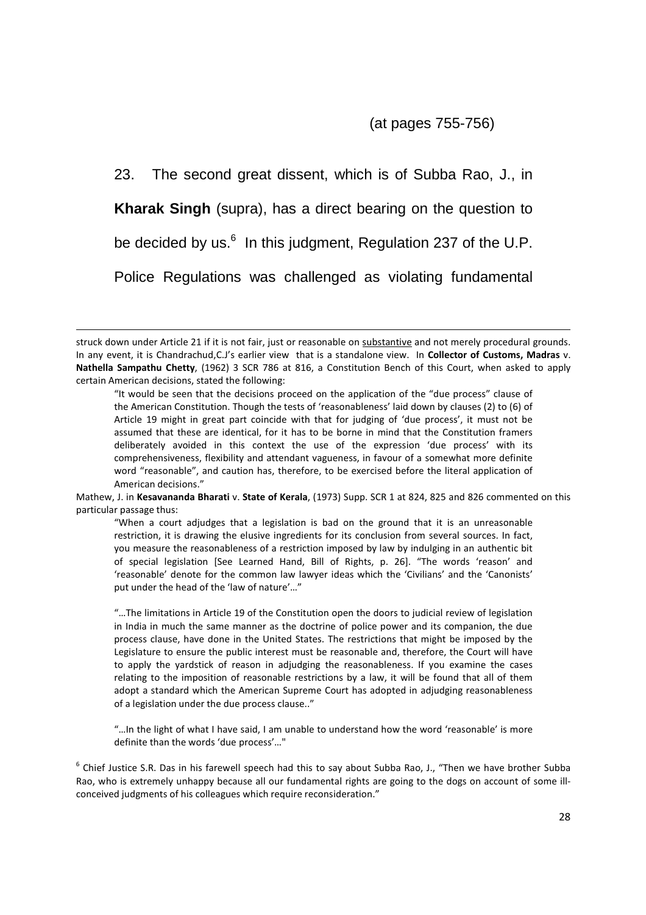(at pages 755-756)

23. The second great dissent, which is of Subba Rao, J., in **Kharak Singh** (supra), has a direct bearing on the question to be decided by us.<sup>6</sup> In this judgment, Regulation 237 of the U.P. Police Regulations was challenged as violating fundamental

.<br>-

Mathew, J. in **Kesavananda Bharati** v. **State of Kerala**, (1973) Supp. SCR 1 at 824, 825 and 826 commented on this particular passage thus:

"When a court adjudges that a legislation is bad on the ground that it is an unreasonable restriction, it is drawing the elusive ingredients for its conclusion from several sources. In fact, you measure the reasonableness of a restriction imposed by law by indulging in an authentic bit of special legislation [See Learned Hand, Bill of Rights, p. 26]. "The words 'reason' and 'reasonable' denote for the common law lawyer ideas which the 'Civilians' and the 'Canonists' put under the head of the 'law of nature'…"

"…The limitations in Article 19 of the Constitution open the doors to judicial review of legislation in India in much the same manner as the doctrine of police power and its companion, the due process clause, have done in the United States. The restrictions that might be imposed by the Legislature to ensure the public interest must be reasonable and, therefore, the Court will have to apply the yardstick of reason in adjudging the reasonableness. If you examine the cases relating to the imposition of reasonable restrictions by a law, it will be found that all of them adopt a standard which the American Supreme Court has adopted in adjudging reasonableness of a legislation under the due process clause.."

"…In the light of what I have said, I am unable to understand how the word 'reasonable' is more definite than the words 'due process'…"

<sup>6</sup> Chief Justice S.R. Das in his farewell speech had this to say about Subba Rao, J., "Then we have brother Subba Rao, who is extremely unhappy because all our fundamental rights are going to the dogs on account of some illconceived judgments of his colleagues which require reconsideration."

struck down under Article 21 if it is not fair, just or reasonable on substantive and not merely procedural grounds. In any event, it is Chandrachud,C.J's earlier view that is a standalone view. In **Collector of Customs, Madras** v. **Nathella Sampathu Chetty**, (1962) 3 SCR 786 at 816, a Constitution Bench of this Court, when asked to apply certain American decisions, stated the following:

<sup>&</sup>quot;It would be seen that the decisions proceed on the application of the "due process" clause of the American Constitution. Though the tests of 'reasonableness' laid down by clauses (2) to (6) of Article 19 might in great part coincide with that for judging of 'due process', it must not be assumed that these are identical, for it has to be borne in mind that the Constitution framers deliberately avoided in this context the use of the expression 'due process' with its comprehensiveness, flexibility and attendant vagueness, in favour of a somewhat more definite word "reasonable", and caution has, therefore, to be exercised before the literal application of American decisions."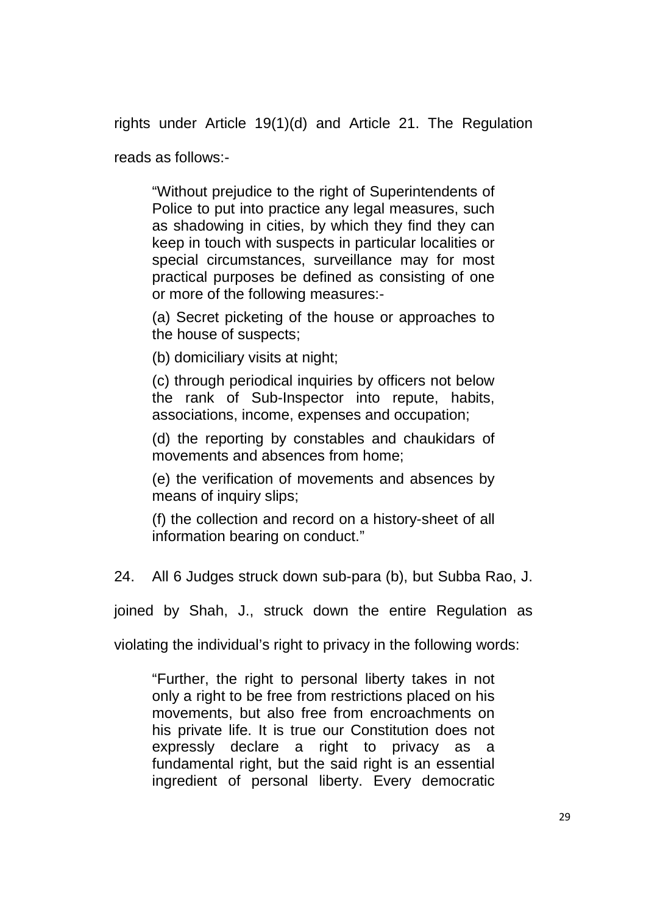rights under Article 19(1)(d) and Article 21. The Regulation

reads as follows:-

"Without prejudice to the right of Superintendents of Police to put into practice any legal measures, such as shadowing in cities, by which they find they can keep in touch with suspects in particular localities or special circumstances, surveillance may for most practical purposes be defined as consisting of one or more of the following measures:-

(a) Secret picketing of the house or approaches to the house of suspects;

(b) domiciliary visits at night;

(c) through periodical inquiries by officers not below the rank of Sub-Inspector into repute, habits, associations, income, expenses and occupation;

(d) the reporting by constables and chaukidars of movements and absences from home;

(e) the verification of movements and absences by means of inquiry slips;

(f) the collection and record on a history-sheet of all information bearing on conduct."

24. All 6 Judges struck down sub-para (b), but Subba Rao, J.

joined by Shah, J., struck down the entire Regulation as

violating the individual's right to privacy in the following words:

"Further, the right to personal liberty takes in not only a right to be free from restrictions placed on his movements, but also free from encroachments on his private life. It is true our Constitution does not expressly declare a right to privacy as a fundamental right, but the said right is an essential ingredient of personal liberty. Every democratic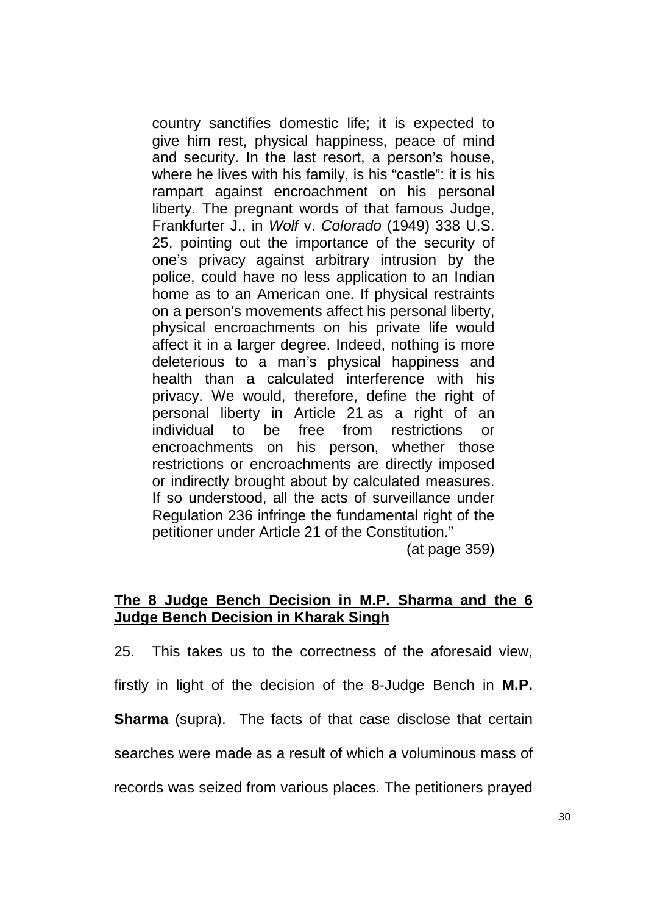country sanctifies domestic life; it is expected to give him rest, physical happiness, peace of mind and security. In the last resort, a person's house, where he lives with his family, is his "castle": it is his rampart against encroachment on his personal liberty. The pregnant words of that famous Judge, Frankfurter J., in Wolf v. Colorado (1949) 338 U.S. 25, pointing out the importance of the security of one's privacy against arbitrary intrusion by the police, could have no less application to an Indian home as to an American one. If physical restraints on a person's movements affect his personal liberty, physical encroachments on his private life would affect it in a larger degree. Indeed, nothing is more deleterious to a man's physical happiness and health than a calculated interference with his privacy. We would, therefore, define the right of personal liberty in Article 21 as a right of an individual to be free from restrictions or encroachments on his person, whether those restrictions or encroachments are directly imposed or indirectly brought about by calculated measures. If so understood, all the acts of surveillance under Regulation 236 infringe the fundamental right of the petitioner under Article 21 of the Constitution."

(at page 359)

# **The 8 Judge Bench Decision in M.P. Sharma and the 6 Judge Bench Decision in Kharak Singh**

25. This takes us to the correctness of the aforesaid view, firstly in light of the decision of the 8-Judge Bench in **M.P. Sharma** (supra). The facts of that case disclose that certain searches were made as a result of which a voluminous mass of records was seized from various places. The petitioners prayed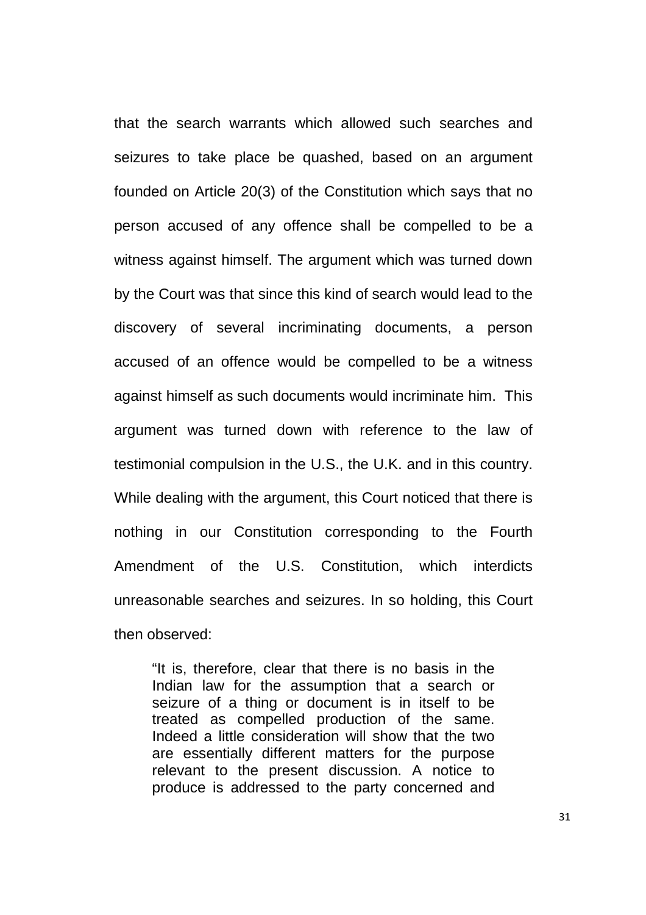that the search warrants which allowed such searches and seizures to take place be quashed, based on an argument founded on Article 20(3) of the Constitution which says that no person accused of any offence shall be compelled to be a witness against himself. The argument which was turned down by the Court was that since this kind of search would lead to the discovery of several incriminating documents, a person accused of an offence would be compelled to be a witness against himself as such documents would incriminate him. This argument was turned down with reference to the law of testimonial compulsion in the U.S., the U.K. and in this country. While dealing with the argument, this Court noticed that there is nothing in our Constitution corresponding to the Fourth Amendment of the U.S. Constitution, which interdicts unreasonable searches and seizures. In so holding, this Court then observed:

"It is, therefore, clear that there is no basis in the Indian law for the assumption that a search or seizure of a thing or document is in itself to be treated as compelled production of the same. Indeed a little consideration will show that the two are essentially different matters for the purpose relevant to the present discussion. A notice to produce is addressed to the party concerned and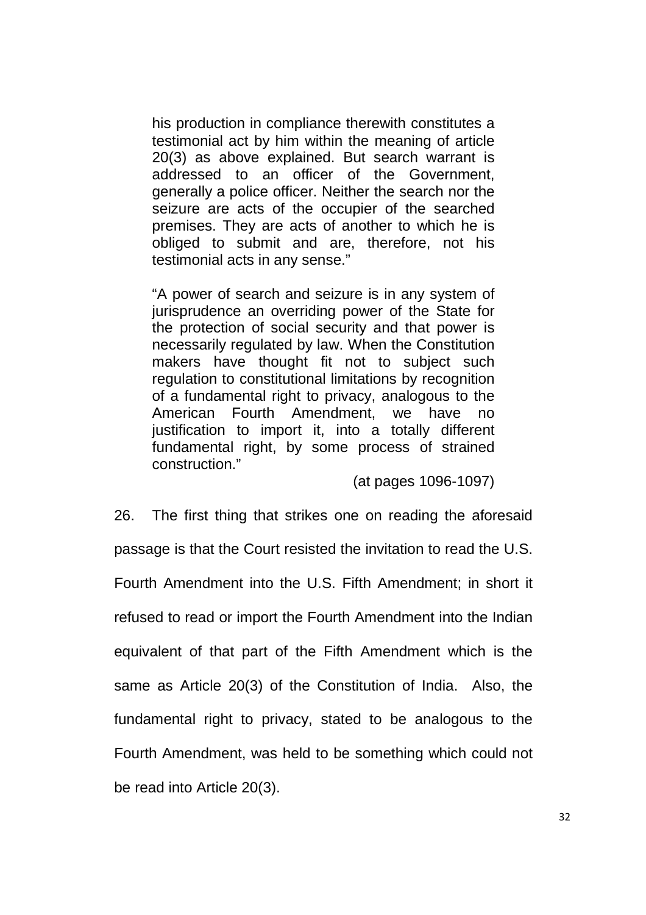his production in compliance therewith constitutes a testimonial act by him within the meaning of article 20(3) as above explained. But search warrant is addressed to an officer of the Government, generally a police officer. Neither the search nor the seizure are acts of the occupier of the searched premises. They are acts of another to which he is obliged to submit and are, therefore, not his testimonial acts in any sense."

"A power of search and seizure is in any system of jurisprudence an overriding power of the State for the protection of social security and that power is necessarily regulated by law. When the Constitution makers have thought fit not to subject such regulation to constitutional limitations by recognition of a fundamental right to privacy, analogous to the American Fourth Amendment, we have no justification to import it, into a totally different fundamental right, by some process of strained construction."

(at pages 1096-1097)

26. The first thing that strikes one on reading the aforesaid passage is that the Court resisted the invitation to read the U.S. Fourth Amendment into the U.S. Fifth Amendment; in short it refused to read or import the Fourth Amendment into the Indian equivalent of that part of the Fifth Amendment which is the same as Article 20(3) of the Constitution of India. Also, the fundamental right to privacy, stated to be analogous to the Fourth Amendment, was held to be something which could not be read into Article 20(3).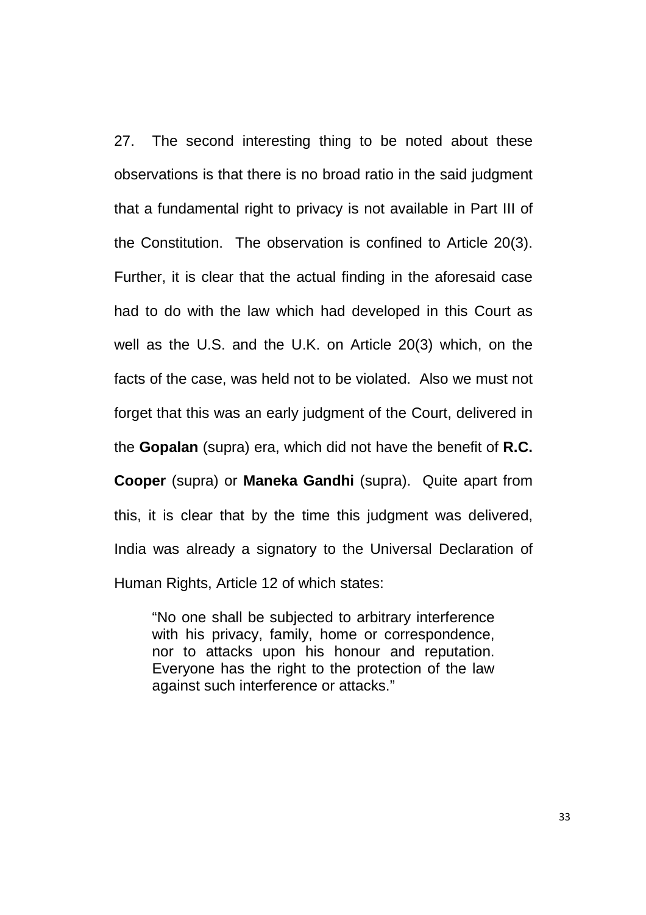27. The second interesting thing to be noted about these observations is that there is no broad ratio in the said judgment that a fundamental right to privacy is not available in Part III of the Constitution. The observation is confined to Article 20(3). Further, it is clear that the actual finding in the aforesaid case had to do with the law which had developed in this Court as well as the U.S. and the U.K. on Article 20(3) which, on the facts of the case, was held not to be violated. Also we must not forget that this was an early judgment of the Court, delivered in the **Gopalan** (supra) era, which did not have the benefit of **R.C. Cooper** (supra) or **Maneka Gandhi** (supra). Quite apart from this, it is clear that by the time this judgment was delivered, India was already a signatory to the Universal Declaration of Human Rights, Article 12 of which states:

"No one shall be subjected to arbitrary interference with his privacy, family, home or correspondence, nor to attacks upon his honour and reputation. Everyone has the right to the protection of the law against such interference or attacks."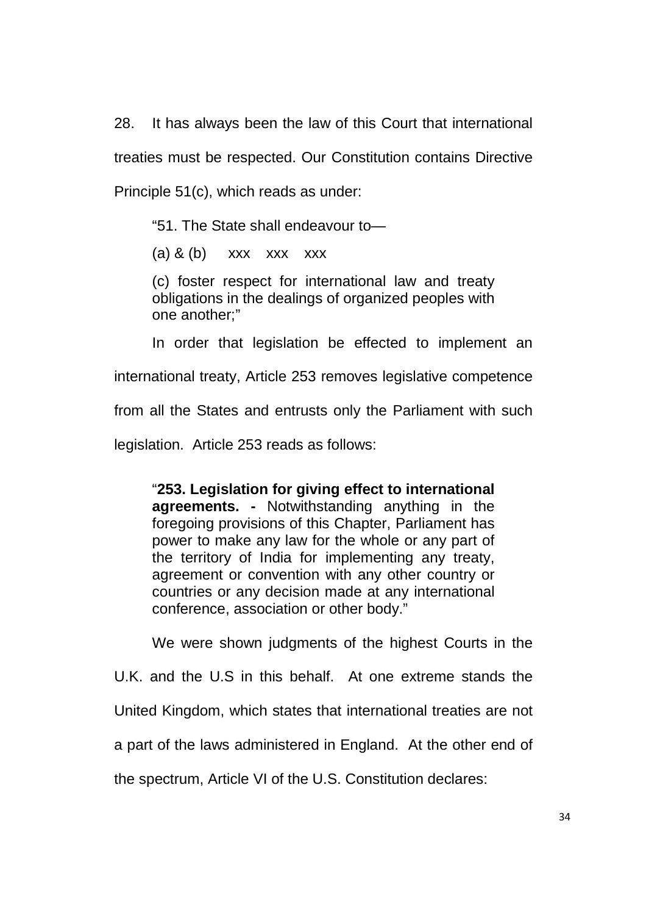28. It has always been the law of this Court that international treaties must be respected. Our Constitution contains Directive Principle 51(c), which reads as under:

"51. The State shall endeavour to—

(a)  $&$  (b) xxx xxx xxx

(c) foster respect for international law and treaty obligations in the dealings of organized peoples with one another;"

In order that legislation be effected to implement an

international treaty, Article 253 removes legislative competence

from all the States and entrusts only the Parliament with such

legislation. Article 253 reads as follows:

"**253. Legislation for giving effect to international agreements. -** Notwithstanding anything in the foregoing provisions of this Chapter, Parliament has power to make any law for the whole or any part of the territory of India for implementing any treaty, agreement or convention with any other country or countries or any decision made at any international conference, association or other body."

 We were shown judgments of the highest Courts in the U.K. and the U.S in this behalf. At one extreme stands the United Kingdom, which states that international treaties are not a part of the laws administered in England. At the other end of the spectrum, Article VI of the U.S. Constitution declares: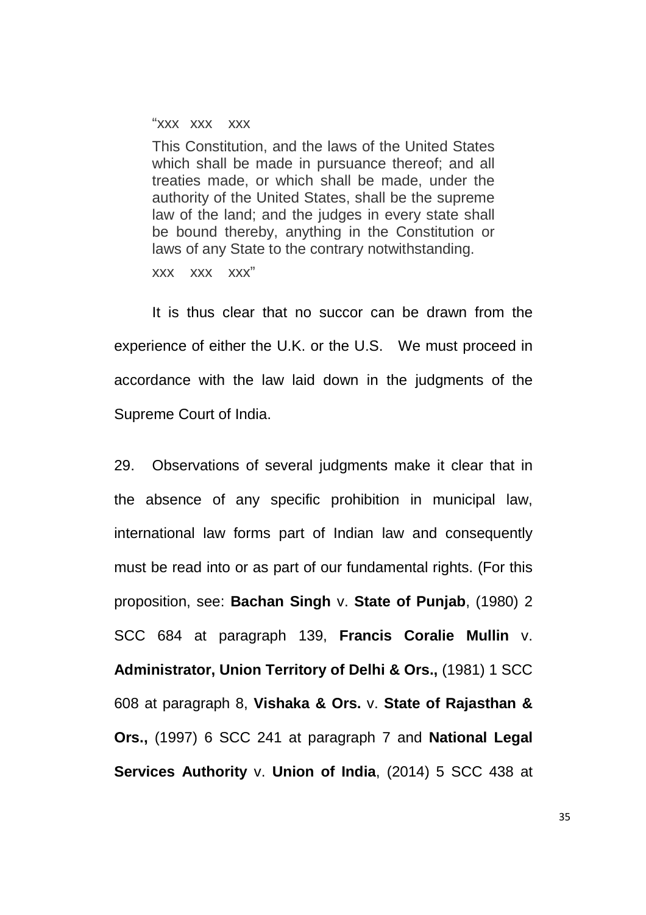"xxx xxx xxx

This Constitution, and the laws of the United States which shall be made in pursuance thereof; and all treaties made, or which shall be made, under the authority of the United States, shall be the supreme law of the land; and the judges in every state shall be bound thereby, anything in the Constitution or laws of any State to the contrary notwithstanding.

xxx xxx xxx"

 It is thus clear that no succor can be drawn from the experience of either the U.K. or the U.S. We must proceed in accordance with the law laid down in the judgments of the Supreme Court of India.

29. Observations of several judgments make it clear that in the absence of any specific prohibition in municipal law, international law forms part of Indian law and consequently must be read into or as part of our fundamental rights. (For this proposition, see: **Bachan Singh** v. **State of Punjab**, (1980) 2 SCC 684 at paragraph 139, **Francis Coralie Mullin** v. **Administrator, Union Territory of Delhi & Ors.,** (1981) 1 SCC 608 at paragraph 8, **Vishaka & Ors.** v. **State of Rajasthan & Ors.,** (1997) 6 SCC 241 at paragraph 7 and **National Legal Services Authority** v. **Union of India**, (2014) 5 SCC 438 at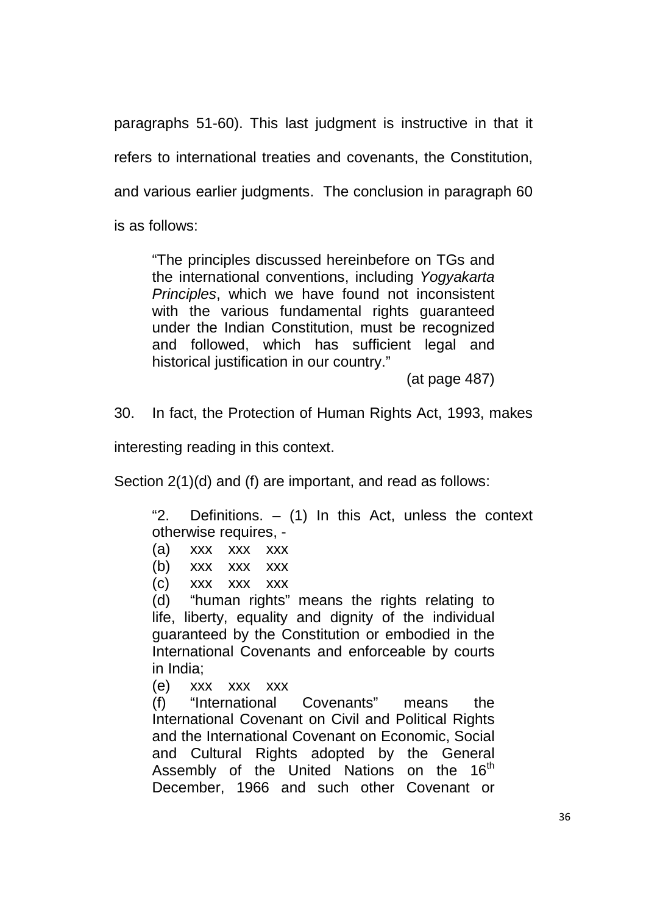paragraphs 51-60). This last judgment is instructive in that it refers to international treaties and covenants, the Constitution, and various earlier judgments. The conclusion in paragraph 60 is as follows:

"The principles discussed hereinbefore on TGs and the international conventions, including Yogyakarta Principles, which we have found not inconsistent with the various fundamental rights quaranteed under the Indian Constitution, must be recognized and followed, which has sufficient legal and historical justification in our country."

(at page 487)

30. In fact, the Protection of Human Rights Act, 1993, makes

interesting reading in this context.

Section 2(1)(d) and (f) are important, and read as follows:

"2. Definitions.  $-$  (1) In this Act, unless the context otherwise requires, -

- (a) xxx xxx xxx
- (b) xxx xxx xxx
- (c) xxx xxx xxx

(d) "human rights" means the rights relating to life, liberty, equality and dignity of the individual guaranteed by the Constitution or embodied in the International Covenants and enforceable by courts in India;

(e) xxx xxx xxx

(f) "International Covenants" means the International Covenant on Civil and Political Rights and the International Covenant on Economic, Social and Cultural Rights adopted by the General Assembly of the United Nations on the  $16<sup>th</sup>$ December, 1966 and such other Covenant or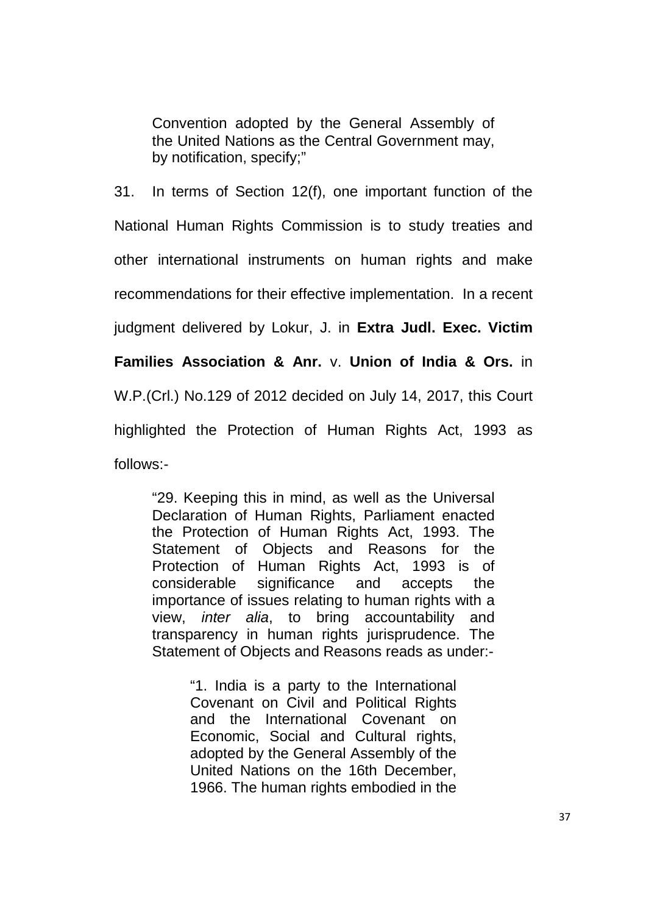Convention adopted by the General Assembly of the United Nations as the Central Government may, by notification, specify;"

31. In terms of Section 12(f), one important function of the National Human Rights Commission is to study treaties and other international instruments on human rights and make recommendations for their effective implementation. In a recent judgment delivered by Lokur, J. in **Extra Judl. Exec. Victim Families Association & Anr.** v. **Union of India & Ors.** in W.P.(Crl.) No.129 of 2012 decided on July 14, 2017, this Court highlighted the Protection of Human Rights Act, 1993 as follows:-

"29. Keeping this in mind, as well as the Universal Declaration of Human Rights, Parliament enacted the Protection of Human Rights Act, 1993. The Statement of Objects and Reasons for the Protection of Human Rights Act, 1993 is of considerable significance and accepts the importance of issues relating to human rights with a view, inter alia, to bring accountability and transparency in human rights jurisprudence. The Statement of Objects and Reasons reads as under:-

> "1. India is a party to the International Covenant on Civil and Political Rights and the International Covenant on Economic, Social and Cultural rights, adopted by the General Assembly of the United Nations on the 16th December, 1966. The human rights embodied in the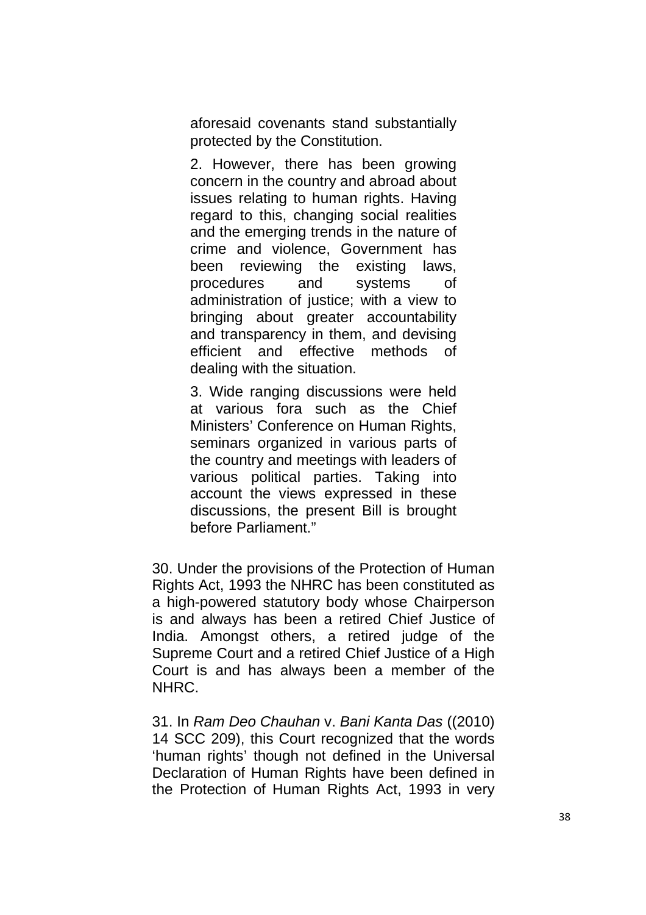aforesaid covenants stand substantially protected by the Constitution.

2. However, there has been growing concern in the country and abroad about issues relating to human rights. Having regard to this, changing social realities and the emerging trends in the nature of crime and violence, Government has been reviewing the existing laws, procedures and systems of administration of justice; with a view to bringing about greater accountability and transparency in them, and devising efficient and effective methods of dealing with the situation.

3. Wide ranging discussions were held at various fora such as the Chief Ministers' Conference on Human Rights, seminars organized in various parts of the country and meetings with leaders of various political parties. Taking into account the views expressed in these discussions, the present Bill is brought before Parliament."

30. Under the provisions of the Protection of Human Rights Act, 1993 the NHRC has been constituted as a high-powered statutory body whose Chairperson is and always has been a retired Chief Justice of India. Amongst others, a retired judge of the Supreme Court and a retired Chief Justice of a High Court is and has always been a member of the NHRC.

31. In Ram Deo Chauhan v. Bani Kanta Das ((2010) 14 SCC 209), this Court recognized that the words 'human rights' though not defined in the Universal Declaration of Human Rights have been defined in the Protection of Human Rights Act, 1993 in very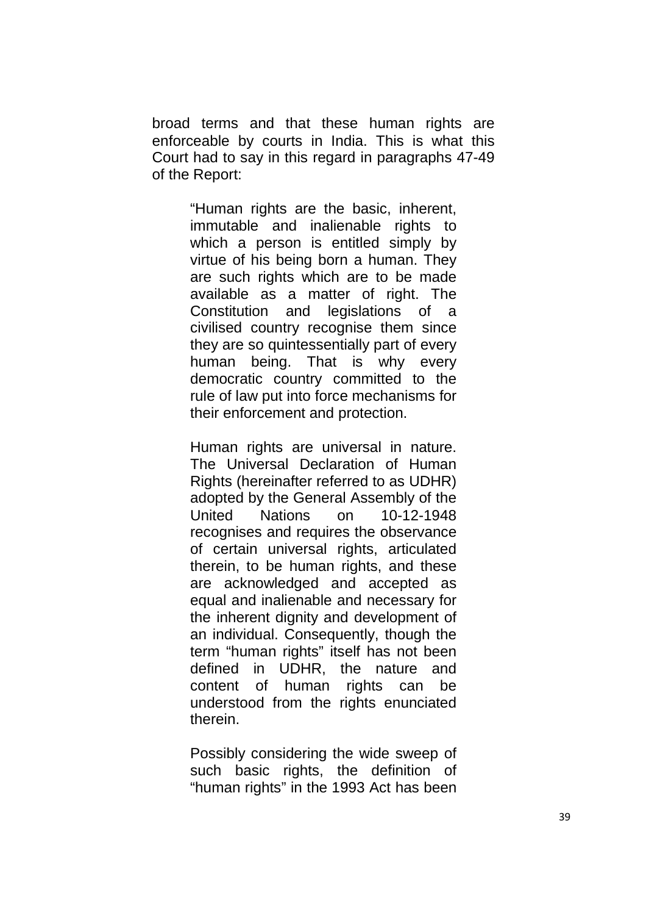broad terms and that these human rights are enforceable by courts in India. This is what this Court had to say in this regard in paragraphs 47-49 of the Report:

> "Human rights are the basic, inherent, immutable and inalienable rights to which a person is entitled simply by virtue of his being born a human. They are such rights which are to be made available as a matter of right. The Constitution and legislations of a civilised country recognise them since they are so quintessentially part of every human being. That is why every democratic country committed to the rule of law put into force mechanisms for their enforcement and protection.

> Human rights are universal in nature. The Universal Declaration of Human Rights (hereinafter referred to as UDHR) adopted by the General Assembly of the United Nations on 10-12-1948 recognises and requires the observance of certain universal rights, articulated therein, to be human rights, and these are acknowledged and accepted as equal and inalienable and necessary for the inherent dignity and development of an individual. Consequently, though the term "human rights" itself has not been defined in UDHR, the nature and content of human rights can be understood from the rights enunciated therein.

> Possibly considering the wide sweep of such basic rights, the definition of "human rights" in the 1993 Act has been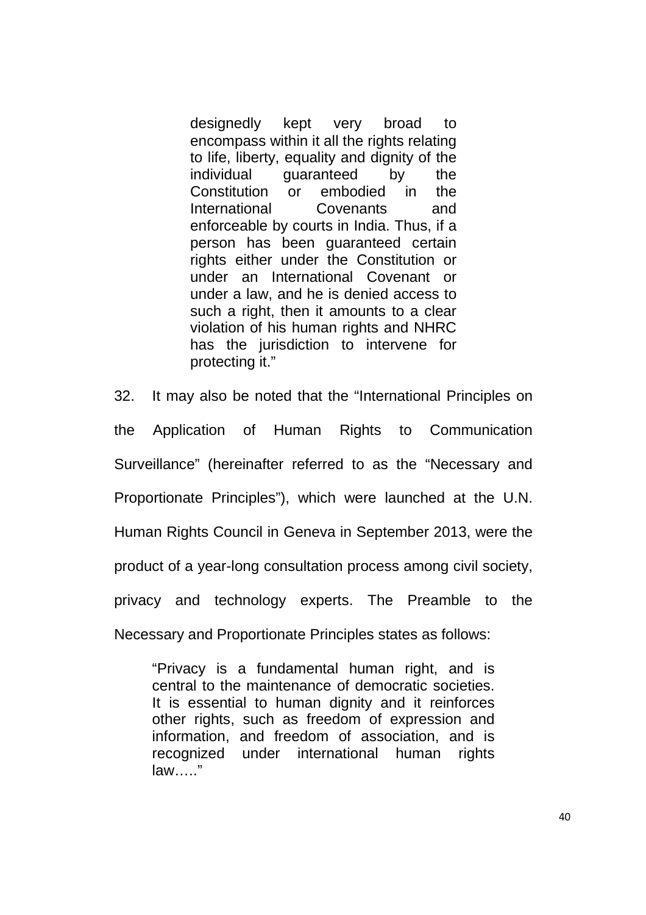designedly kept very broad to encompass within it all the rights relating to life, liberty, equality and dignity of the individual guaranteed by the Constitution or embodied in the International Covenants and enforceable by courts in India. Thus, if a person has been guaranteed certain rights either under the Constitution or under an International Covenant or under a law, and he is denied access to such a right, then it amounts to a clear violation of his human rights and NHRC has the jurisdiction to intervene for protecting it."

32. It may also be noted that the "International Principles on the Application of Human Rights to Communication Surveillance" (hereinafter referred to as the "Necessary and Proportionate Principles"), which were launched at the U.N. Human Rights Council in Geneva in September 2013, were the product of a year-long consultation process among civil society, privacy and technology experts. The Preamble to the Necessary and Proportionate Principles states as follows:

"Privacy is a fundamental human right, and is central to the maintenance of democratic societies. It is essential to human dignity and it reinforces other rights, such as freedom of expression and information, and freedom of association, and is recognized under international human rights law….."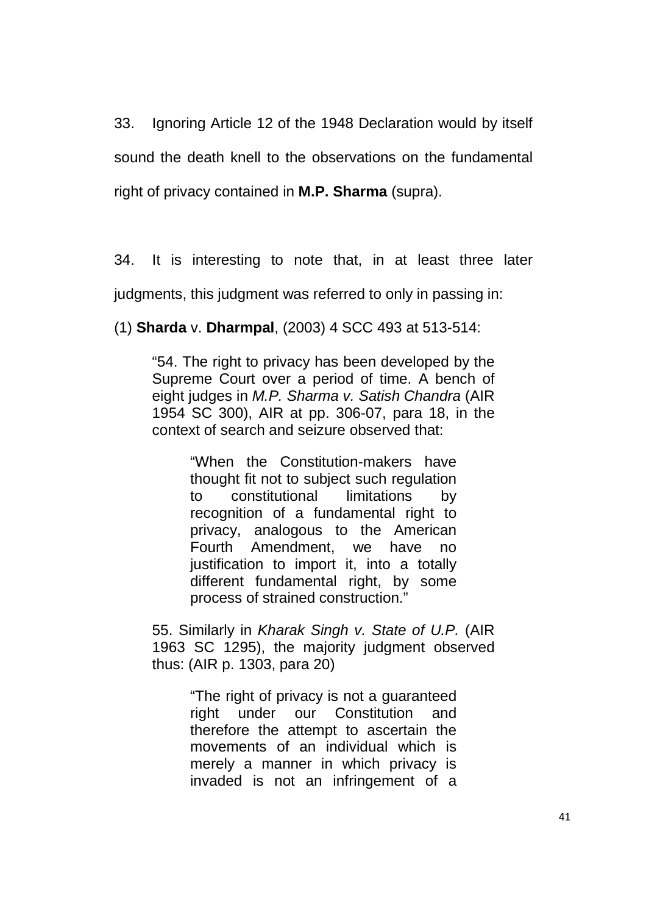33. Ignoring Article 12 of the 1948 Declaration would by itself sound the death knell to the observations on the fundamental right of privacy contained in **M.P. Sharma** (supra).

34. It is interesting to note that, in at least three later

judgments, this judgment was referred to only in passing in:

(1) **Sharda** v. **Dharmpal**, (2003) 4 SCC 493 at 513-514:

"54. The right to privacy has been developed by the Supreme Court over a period of time. A bench of eight judges in M.P. Sharma v. Satish Chandra (AIR 1954 SC 300), AIR at pp. 306-07, para 18, in the context of search and seizure observed that:

> "When the Constitution-makers have thought fit not to subject such regulation to constitutional limitations by recognition of a fundamental right to privacy, analogous to the American Fourth Amendment, we have no justification to import it, into a totally different fundamental right, by some process of strained construction."

55. Similarly in Kharak Singh v. State of U.P. (AIR 1963 SC 1295), the majority judgment observed thus: (AIR p. 1303, para 20)

> "The right of privacy is not a guaranteed right under our Constitution and therefore the attempt to ascertain the movements of an individual which is merely a manner in which privacy is invaded is not an infringement of a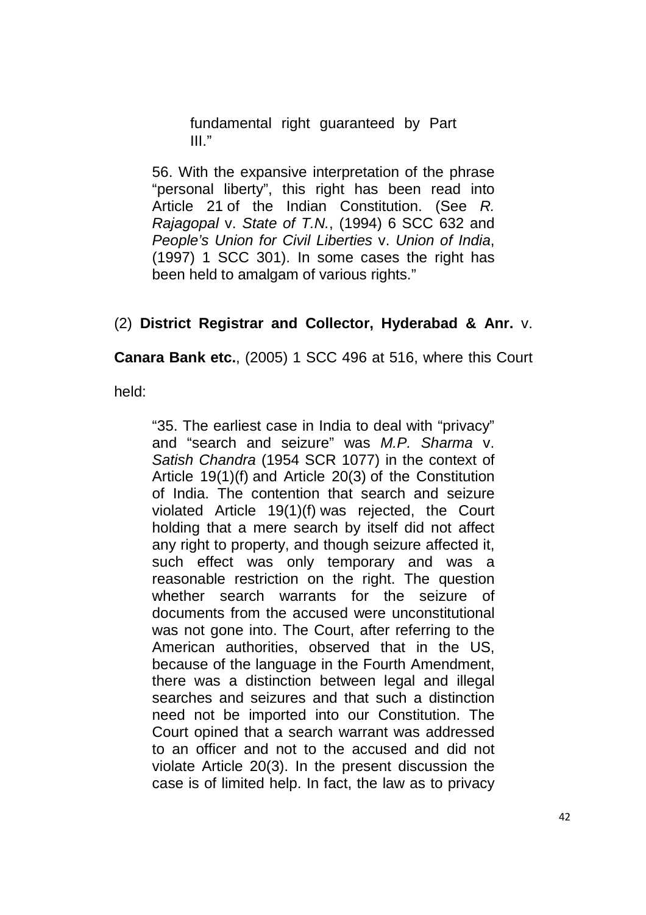fundamental right guaranteed by Part  $III$ ."

56. With the expansive interpretation of the phrase "personal liberty", this right has been read into Article 21 of the Indian Constitution. (See R. Rajagopal v. State of T.N., (1994) 6 SCC 632 and People's Union for Civil Liberties v. Union of India, (1997) 1 SCC 301). In some cases the right has been held to amalgam of various rights."

## (2) **District Registrar and Collector, Hyderabad & Anr.** v.

**Canara Bank etc.**, (2005) 1 SCC 496 at 516, where this Court

held:

"35. The earliest case in India to deal with "privacy" and "search and seizure" was M.P. Sharma v. Satish Chandra (1954 SCR 1077) in the context of Article 19(1)(f) and Article 20(3) of the Constitution of India. The contention that search and seizure violated Article 19(1)(f) was rejected, the Court holding that a mere search by itself did not affect any right to property, and though seizure affected it, such effect was only temporary and was a reasonable restriction on the right. The question whether search warrants for the seizure of documents from the accused were unconstitutional was not gone into. The Court, after referring to the American authorities, observed that in the US, because of the language in the Fourth Amendment, there was a distinction between legal and illegal searches and seizures and that such a distinction need not be imported into our Constitution. The Court opined that a search warrant was addressed to an officer and not to the accused and did not violate Article 20(3). In the present discussion the case is of limited help. In fact, the law as to privacy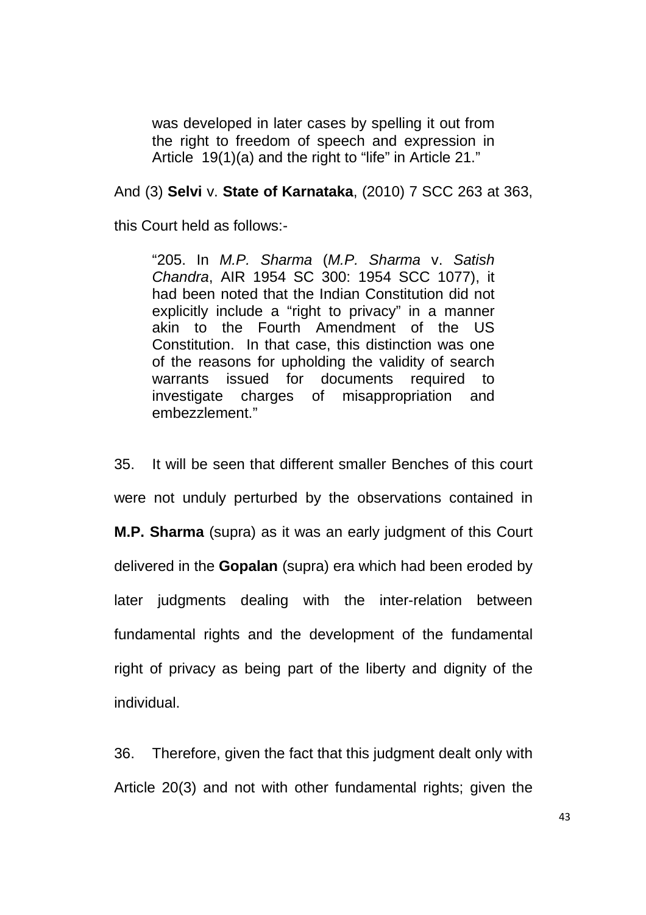was developed in later cases by spelling it out from the right to freedom of speech and expression in Article 19(1)(a) and the right to "life" in Article 21."

### And (3) **Selvi** v. **State of Karnataka**, (2010) 7 SCC 263 at 363,

this Court held as follows:-

"205. In M.P. Sharma (M.P. Sharma v. Satish Chandra, AIR 1954 SC 300: 1954 SCC 1077), it had been noted that the Indian Constitution did not explicitly include a "right to privacy" in a manner akin to the Fourth Amendment of the US Constitution. In that case, this distinction was one of the reasons for upholding the validity of search warrants issued for documents required to investigate charges of misappropriation and embezzlement."

35. It will be seen that different smaller Benches of this court were not unduly perturbed by the observations contained in **M.P. Sharma** (supra) as it was an early judgment of this Court delivered in the **Gopalan** (supra) era which had been eroded by later judgments dealing with the inter-relation between fundamental rights and the development of the fundamental right of privacy as being part of the liberty and dignity of the individual.

36. Therefore, given the fact that this judgment dealt only with Article 20(3) and not with other fundamental rights; given the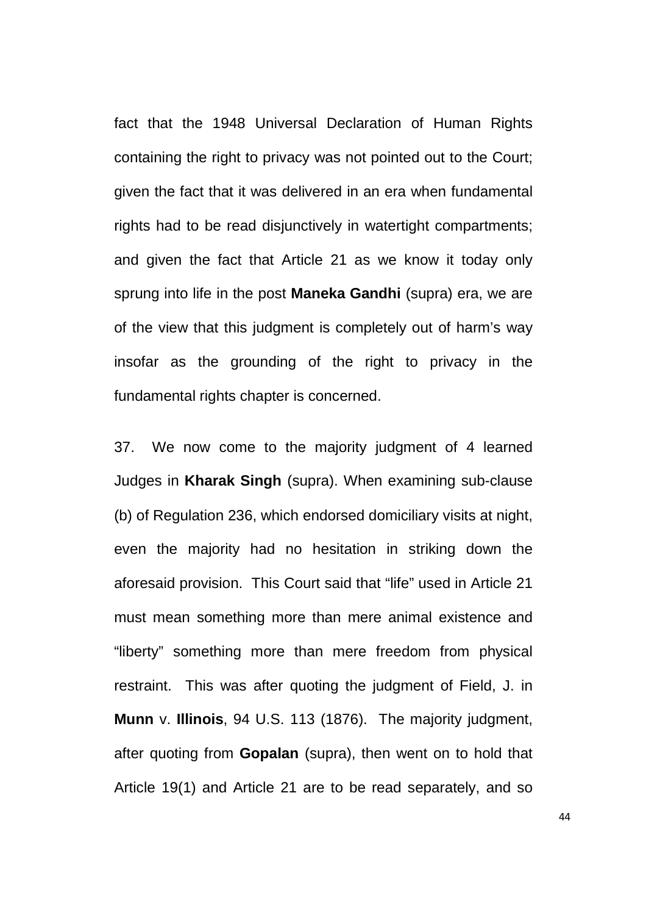fact that the 1948 Universal Declaration of Human Rights containing the right to privacy was not pointed out to the Court; given the fact that it was delivered in an era when fundamental rights had to be read disjunctively in watertight compartments; and given the fact that Article 21 as we know it today only sprung into life in the post **Maneka Gandhi** (supra) era, we are of the view that this judgment is completely out of harm's way insofar as the grounding of the right to privacy in the fundamental rights chapter is concerned.

37. We now come to the majority judgment of 4 learned Judges in **Kharak Singh** (supra). When examining sub-clause (b) of Regulation 236, which endorsed domiciliary visits at night, even the majority had no hesitation in striking down the aforesaid provision. This Court said that "life" used in Article 21 must mean something more than mere animal existence and "liberty" something more than mere freedom from physical restraint. This was after quoting the judgment of Field, J. in **Munn** v. **Illinois**, 94 U.S. 113 (1876). The majority judgment, after quoting from **Gopalan** (supra), then went on to hold that Article 19(1) and Article 21 are to be read separately, and so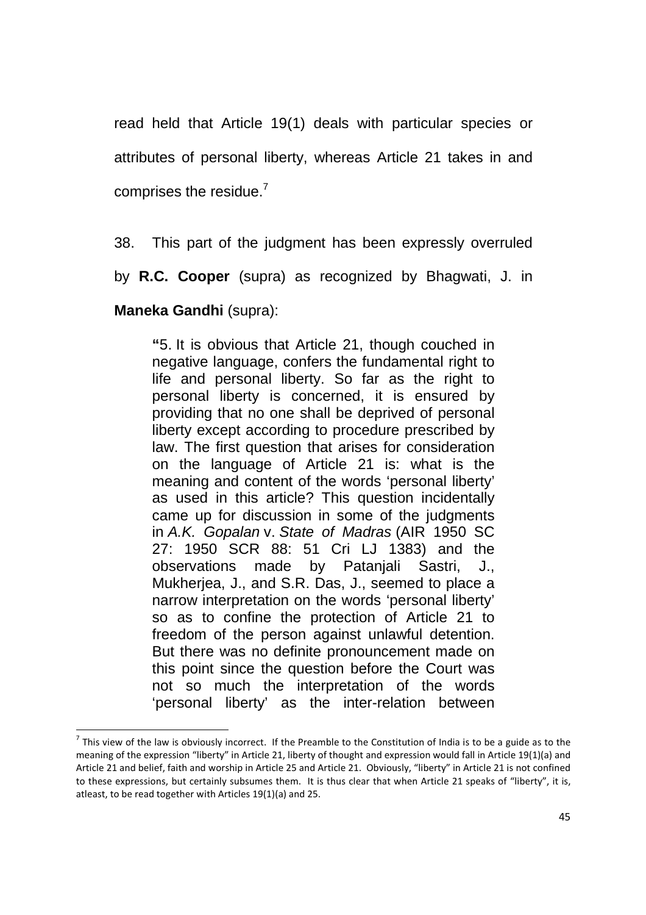read held that Article 19(1) deals with particular species or attributes of personal liberty, whereas Article 21 takes in and comprises the residue.<sup>7</sup>

38. This part of the judgment has been expressly overruled

by **R.C. Cooper** (supra) as recognized by Bhagwati, J. in

### **Maneka Gandhi** (supra):

<u>.</u>

**"**5. It is obvious that Article 21, though couched in negative language, confers the fundamental right to life and personal liberty. So far as the right to personal liberty is concerned, it is ensured by providing that no one shall be deprived of personal liberty except according to procedure prescribed by law. The first question that arises for consideration on the language of Article 21 is: what is the meaning and content of the words 'personal liberty' as used in this article? This question incidentally came up for discussion in some of the judgments in A.K. Gopalan v. State of Madras (AIR 1950 SC 27: 1950 SCR 88: 51 Cri LJ 1383) and the observations made by Patanjali Sastri, J., Mukherjea, J., and S.R. Das, J., seemed to place a narrow interpretation on the words 'personal liberty' so as to confine the protection of Article 21 to freedom of the person against unlawful detention. But there was no definite pronouncement made on this point since the question before the Court was not so much the interpretation of the words 'personal liberty' as the inter-relation between

 $^7$  This view of the law is obviously incorrect. If the Preamble to the Constitution of India is to be a guide as to the meaning of the expression "liberty" in Article 21, liberty of thought and expression would fall in Article 19(1)(a) and Article 21 and belief, faith and worship in Article 25 and Article 21. Obviously, "liberty" in Article 21 is not confined to these expressions, but certainly subsumes them. It is thus clear that when Article 21 speaks of "liberty", it is, atleast, to be read together with Articles 19(1)(a) and 25.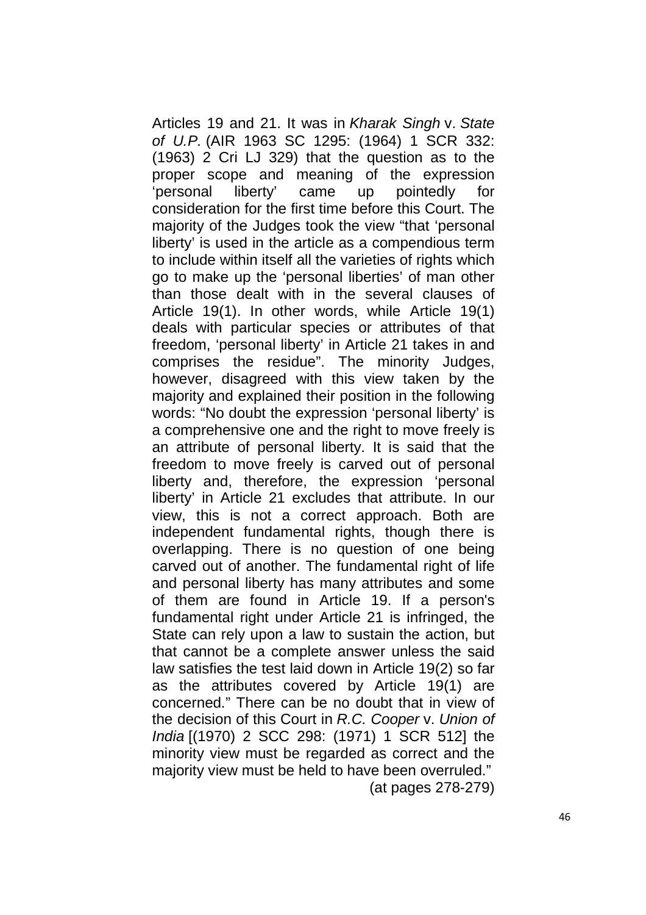Articles 19 and 21. It was in Kharak Singh v. State of U.P. (AIR 1963 SC 1295: (1964) 1 SCR 332: (1963) 2 Cri LJ 329) that the question as to the proper scope and meaning of the expression 'personal liberty' came up pointedly for consideration for the first time before this Court. The majority of the Judges took the view "that 'personal liberty' is used in the article as a compendious term to include within itself all the varieties of rights which go to make up the 'personal liberties' of man other than those dealt with in the several clauses of Article 19(1). In other words, while Article 19(1) deals with particular species or attributes of that freedom, 'personal liberty' in Article 21 takes in and comprises the residue". The minority Judges, however, disagreed with this view taken by the majority and explained their position in the following words: "No doubt the expression 'personal liberty' is a comprehensive one and the right to move freely is an attribute of personal liberty. It is said that the freedom to move freely is carved out of personal liberty and, therefore, the expression 'personal liberty' in Article 21 excludes that attribute. In our view, this is not a correct approach. Both are independent fundamental rights, though there is overlapping. There is no question of one being carved out of another. The fundamental right of life and personal liberty has many attributes and some of them are found in Article 19. If a person's fundamental right under Article 21 is infringed, the State can rely upon a law to sustain the action, but that cannot be a complete answer unless the said law satisfies the test laid down in Article 19(2) so far as the attributes covered by Article 19(1) are concerned." There can be no doubt that in view of the decision of this Court in R.C. Cooper v. Union of India [(1970) 2 SCC 298: (1971) 1 SCR 512] the minority view must be regarded as correct and the majority view must be held to have been overruled." (at pages 278-279)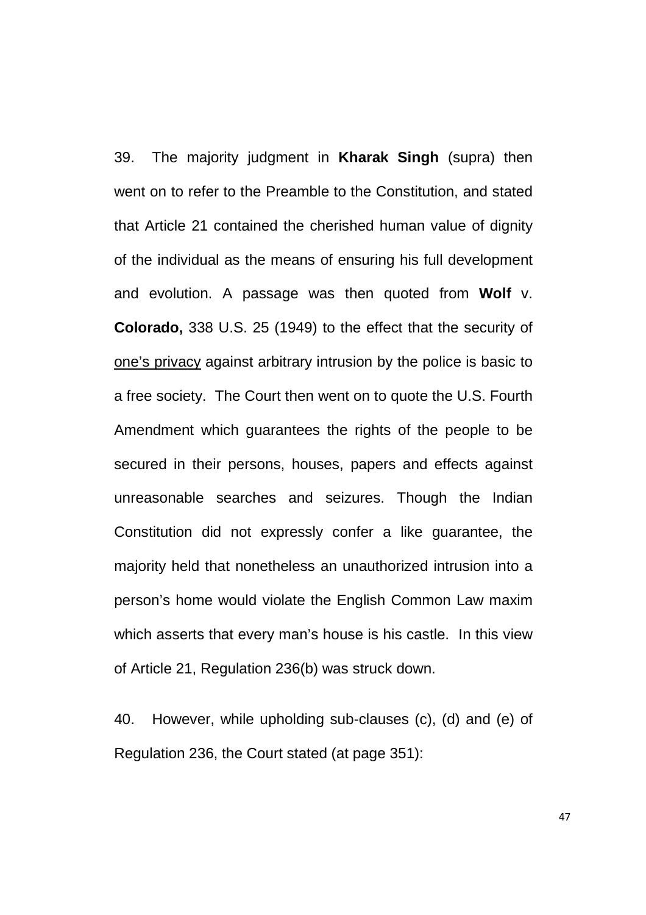39. The majority judgment in **Kharak Singh** (supra) then went on to refer to the Preamble to the Constitution, and stated that Article 21 contained the cherished human value of dignity of the individual as the means of ensuring his full development and evolution. A passage was then quoted from **Wolf** v. **Colorado,** 338 U.S. 25 (1949) to the effect that the security of one's privacy against arbitrary intrusion by the police is basic to a free society. The Court then went on to quote the U.S. Fourth Amendment which guarantees the rights of the people to be secured in their persons, houses, papers and effects against unreasonable searches and seizures. Though the Indian Constitution did not expressly confer a like guarantee, the majority held that nonetheless an unauthorized intrusion into a person's home would violate the English Common Law maxim which asserts that every man's house is his castle. In this view of Article 21, Regulation 236(b) was struck down.

40. However, while upholding sub-clauses (c), (d) and (e) of Regulation 236, the Court stated (at page 351):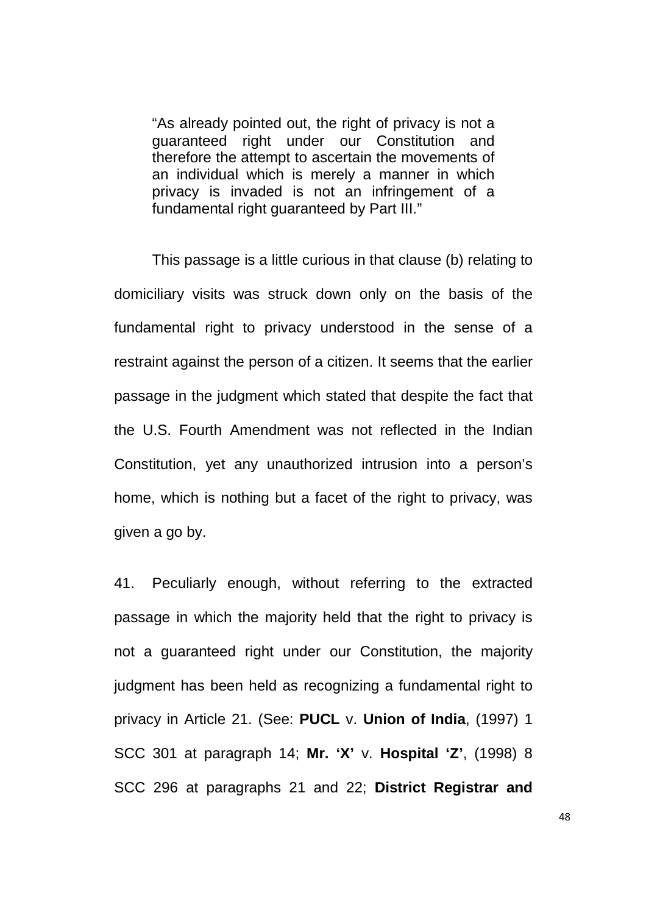"As already pointed out, the right of privacy is not a guaranteed right under our Constitution and therefore the attempt to ascertain the movements of an individual which is merely a manner in which privacy is invaded is not an infringement of a fundamental right guaranteed by Part III."

This passage is a little curious in that clause (b) relating to domiciliary visits was struck down only on the basis of the fundamental right to privacy understood in the sense of a restraint against the person of a citizen. It seems that the earlier passage in the judgment which stated that despite the fact that the U.S. Fourth Amendment was not reflected in the Indian Constitution, yet any unauthorized intrusion into a person's home, which is nothing but a facet of the right to privacy, was given a go by.

41. Peculiarly enough, without referring to the extracted passage in which the majority held that the right to privacy is not a guaranteed right under our Constitution, the majority judgment has been held as recognizing a fundamental right to privacy in Article 21. (See: **PUCL** v. **Union of India**, (1997) 1 SCC 301 at paragraph 14; **Mr. 'X'** v. **Hospital 'Z'**, (1998) 8 SCC 296 at paragraphs 21 and 22; **District Registrar and**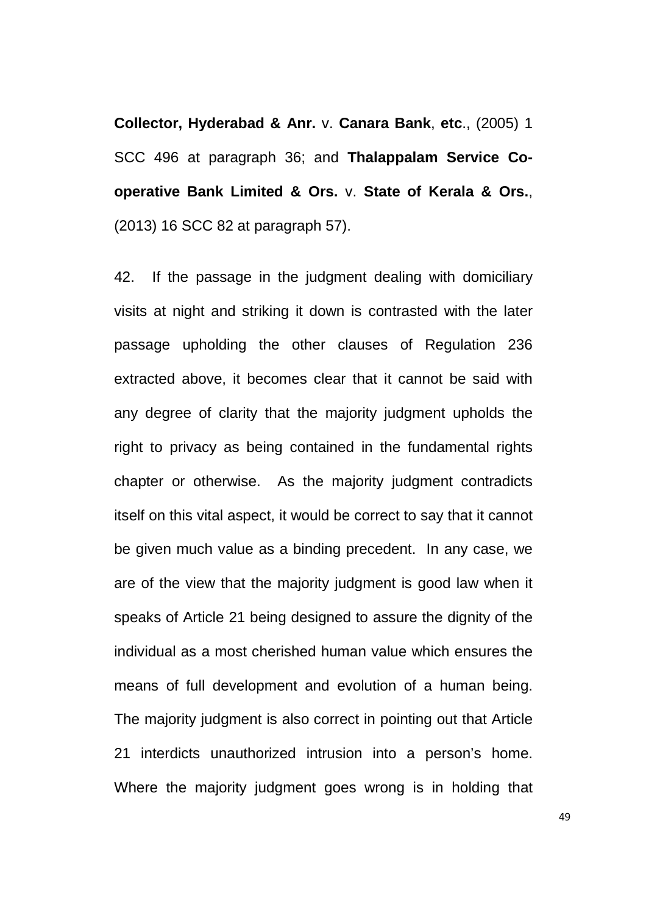**Collector, Hyderabad & Anr.** v. **Canara Bank**, **etc**., (2005) 1 SCC 496 at paragraph 36; and **Thalappalam Service Cooperative Bank Limited & Ors.** v. **State of Kerala & Ors.**, (2013) 16 SCC 82 at paragraph 57).

42. If the passage in the judgment dealing with domiciliary visits at night and striking it down is contrasted with the later passage upholding the other clauses of Regulation 236 extracted above, it becomes clear that it cannot be said with any degree of clarity that the majority judgment upholds the right to privacy as being contained in the fundamental rights chapter or otherwise. As the majority judgment contradicts itself on this vital aspect, it would be correct to say that it cannot be given much value as a binding precedent. In any case, we are of the view that the majority judgment is good law when it speaks of Article 21 being designed to assure the dignity of the individual as a most cherished human value which ensures the means of full development and evolution of a human being. The majority judgment is also correct in pointing out that Article 21 interdicts unauthorized intrusion into a person's home. Where the majority judgment goes wrong is in holding that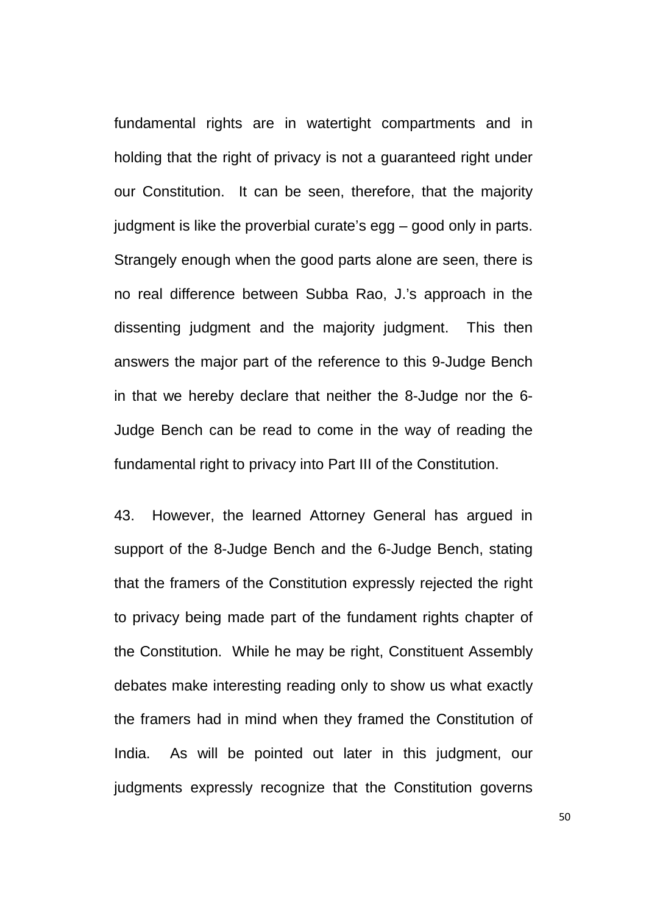fundamental rights are in watertight compartments and in holding that the right of privacy is not a guaranteed right under our Constitution. It can be seen, therefore, that the majority judgment is like the proverbial curate's egg – good only in parts. Strangely enough when the good parts alone are seen, there is no real difference between Subba Rao, J.'s approach in the dissenting judgment and the majority judgment. This then answers the major part of the reference to this 9-Judge Bench in that we hereby declare that neither the 8-Judge nor the 6- Judge Bench can be read to come in the way of reading the fundamental right to privacy into Part III of the Constitution.

43. However, the learned Attorney General has argued in support of the 8-Judge Bench and the 6-Judge Bench, stating that the framers of the Constitution expressly rejected the right to privacy being made part of the fundament rights chapter of the Constitution. While he may be right, Constituent Assembly debates make interesting reading only to show us what exactly the framers had in mind when they framed the Constitution of India. As will be pointed out later in this judgment, our judgments expressly recognize that the Constitution governs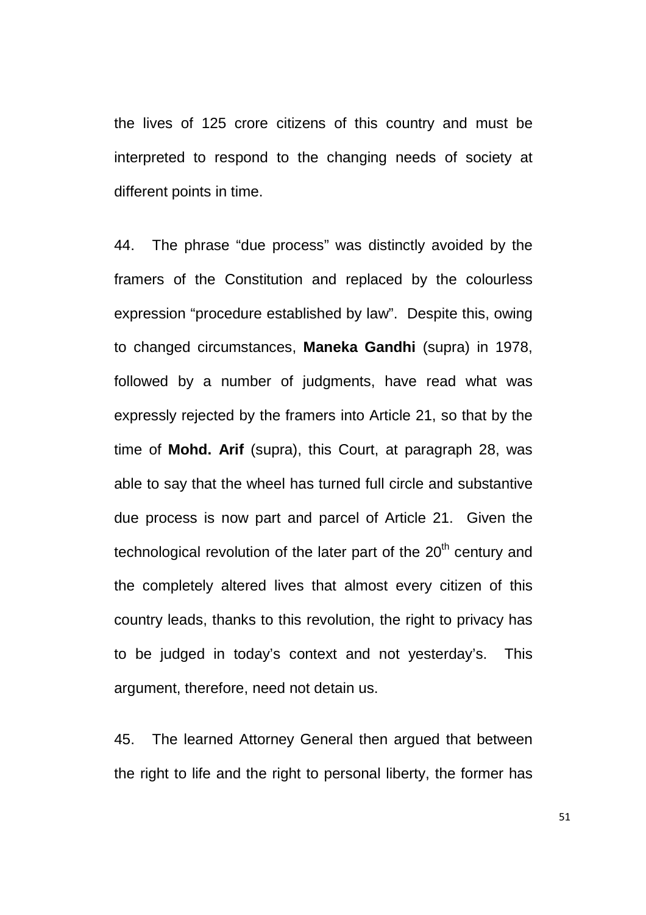the lives of 125 crore citizens of this country and must be interpreted to respond to the changing needs of society at different points in time.

44. The phrase "due process" was distinctly avoided by the framers of the Constitution and replaced by the colourless expression "procedure established by law". Despite this, owing to changed circumstances, **Maneka Gandhi** (supra) in 1978, followed by a number of judgments, have read what was expressly rejected by the framers into Article 21, so that by the time of **Mohd. Arif** (supra), this Court, at paragraph 28, was able to say that the wheel has turned full circle and substantive due process is now part and parcel of Article 21. Given the technological revolution of the later part of the 20<sup>th</sup> century and the completely altered lives that almost every citizen of this country leads, thanks to this revolution, the right to privacy has to be judged in today's context and not yesterday's. This argument, therefore, need not detain us.

45. The learned Attorney General then argued that between the right to life and the right to personal liberty, the former has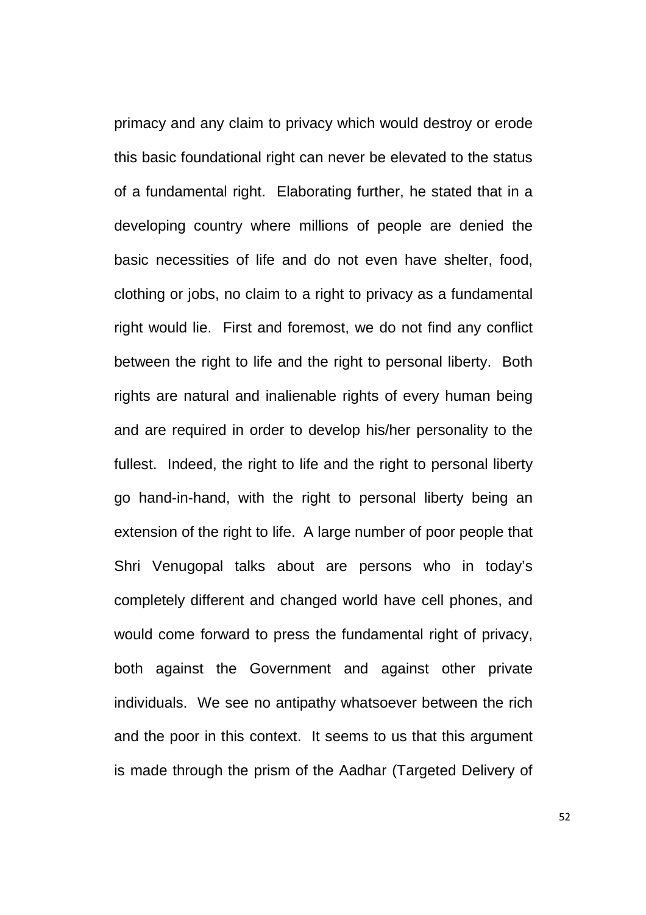primacy and any claim to privacy which would destroy or erode this basic foundational right can never be elevated to the status of a fundamental right. Elaborating further, he stated that in a developing country where millions of people are denied the basic necessities of life and do not even have shelter, food, clothing or jobs, no claim to a right to privacy as a fundamental right would lie. First and foremost, we do not find any conflict between the right to life and the right to personal liberty. Both rights are natural and inalienable rights of every human being and are required in order to develop his/her personality to the fullest. Indeed, the right to life and the right to personal liberty go hand-in-hand, with the right to personal liberty being an extension of the right to life. A large number of poor people that Shri Venugopal talks about are persons who in today's completely different and changed world have cell phones, and would come forward to press the fundamental right of privacy, both against the Government and against other private individuals. We see no antipathy whatsoever between the rich and the poor in this context. It seems to us that this argument is made through the prism of the Aadhar (Targeted Delivery of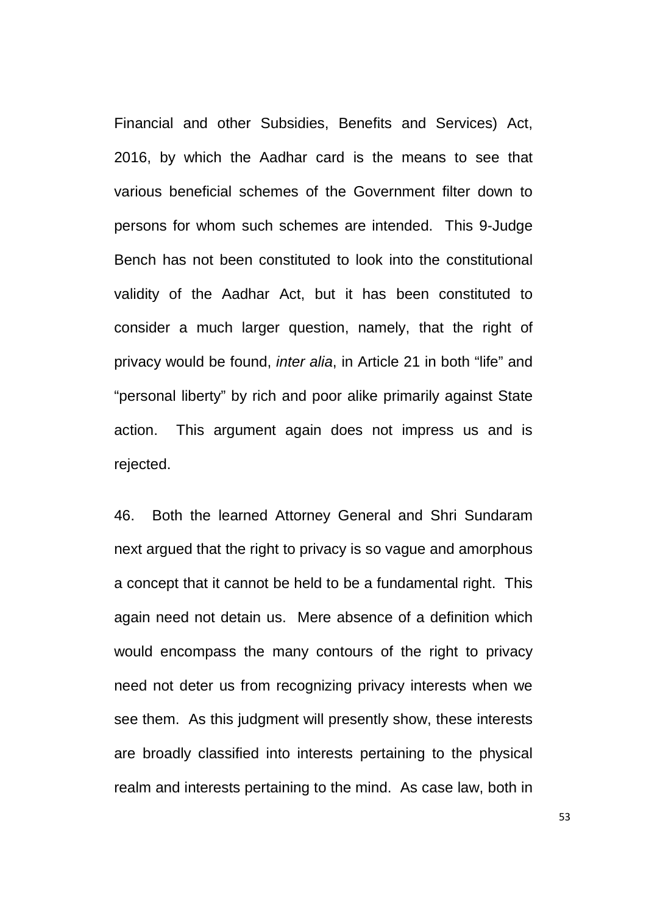Financial and other Subsidies, Benefits and Services) Act, 2016, by which the Aadhar card is the means to see that various beneficial schemes of the Government filter down to persons for whom such schemes are intended. This 9-Judge Bench has not been constituted to look into the constitutional validity of the Aadhar Act, but it has been constituted to consider a much larger question, namely, that the right of privacy would be found, inter alia, in Article 21 in both "life" and "personal liberty" by rich and poor alike primarily against State action. This argument again does not impress us and is rejected.

46. Both the learned Attorney General and Shri Sundaram next argued that the right to privacy is so vague and amorphous a concept that it cannot be held to be a fundamental right. This again need not detain us. Mere absence of a definition which would encompass the many contours of the right to privacy need not deter us from recognizing privacy interests when we see them. As this judgment will presently show, these interests are broadly classified into interests pertaining to the physical realm and interests pertaining to the mind. As case law, both in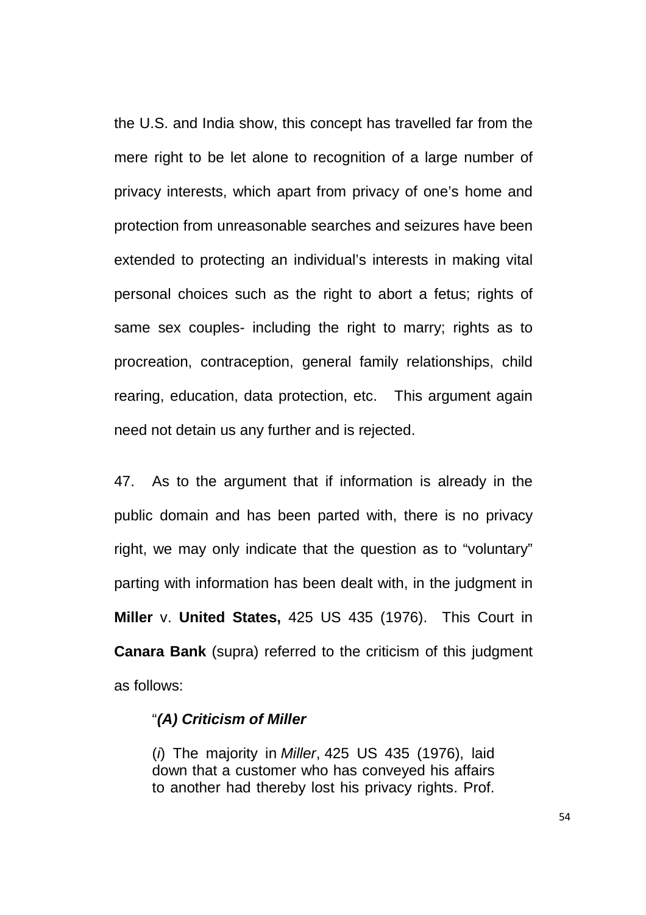the U.S. and India show, this concept has travelled far from the mere right to be let alone to recognition of a large number of privacy interests, which apart from privacy of one's home and protection from unreasonable searches and seizures have been extended to protecting an individual's interests in making vital personal choices such as the right to abort a fetus; rights of same sex couples- including the right to marry; rights as to procreation, contraception, general family relationships, child rearing, education, data protection, etc. This argument again need not detain us any further and is rejected.

47. As to the argument that if information is already in the public domain and has been parted with, there is no privacy right, we may only indicate that the question as to "voluntary" parting with information has been dealt with, in the judgment in **Miller** v. **United States,** 425 US 435 (1976). This Court in **Canara Bank** (supra) referred to the criticism of this judgment as follows:

#### "**(A) Criticism of Miller**

 $(i)$  The majority in *Miller*, 425 US 435 (1976), laid down that a customer who has conveyed his affairs to another had thereby lost his privacy rights. Prof.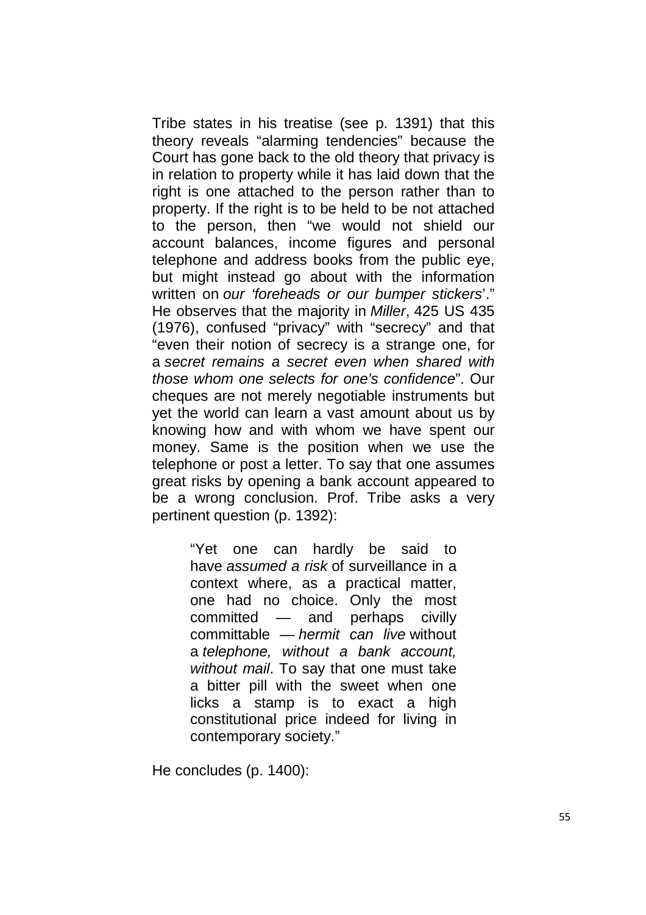Tribe states in his treatise (see p. 1391) that this theory reveals "alarming tendencies" because the Court has gone back to the old theory that privacy is in relation to property while it has laid down that the right is one attached to the person rather than to property. If the right is to be held to be not attached to the person, then "we would not shield our account balances, income figures and personal telephone and address books from the public eye, but might instead go about with the information written on our 'foreheads or our bumper stickers'." He observes that the majority in Miller, 425 US 435 (1976), confused "privacy" with "secrecy" and that "even their notion of secrecy is a strange one, for a secret remains a secret even when shared with those whom one selects for one's confidence". Our cheques are not merely negotiable instruments but yet the world can learn a vast amount about us by knowing how and with whom we have spent our money. Same is the position when we use the telephone or post a letter. To say that one assumes great risks by opening a bank account appeared to be a wrong conclusion. Prof. Tribe asks a very pertinent question (p. 1392):

> "Yet one can hardly be said to have assumed a risk of surveillance in a context where, as a practical matter, one had no choice. Only the most committed — and perhaps civilly committable — hermit can live without a telephone, without a bank account, without mail. To say that one must take a bitter pill with the sweet when one licks a stamp is to exact a high constitutional price indeed for living in contemporary society."

He concludes (p. 1400):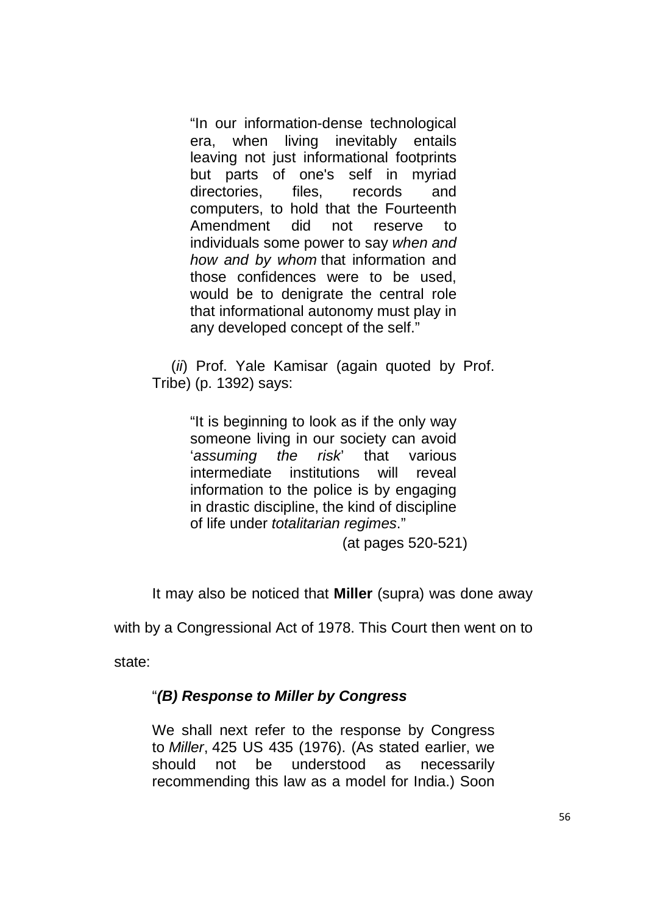"In our information-dense technological era, when living inevitably entails leaving not just informational footprints but parts of one's self in myriad directories, files, records and computers, to hold that the Fourteenth Amendment did not reserve to individuals some power to say when and how and by whom that information and those confidences were to be used, would be to denigrate the central role that informational autonomy must play in any developed concept of the self."

(*ii*) Prof. Yale Kamisar (again quoted by Prof. Tribe) (p. 1392) says:

> "It is beginning to look as if the only way someone living in our society can avoid 'assuming the risk' that various intermediate institutions will reveal information to the police is by engaging in drastic discipline, the kind of discipline of life under totalitarian regimes."

> > (at pages 520-521)

It may also be noticed that **Miller** (supra) was done away

with by a Congressional Act of 1978. This Court then went on to

state:

# "**(B) Response to Miller by Congress**

We shall next refer to the response by Congress to Miller, 425 US 435 (1976). (As stated earlier, we should not be understood as necessarily recommending this law as a model for India.) Soon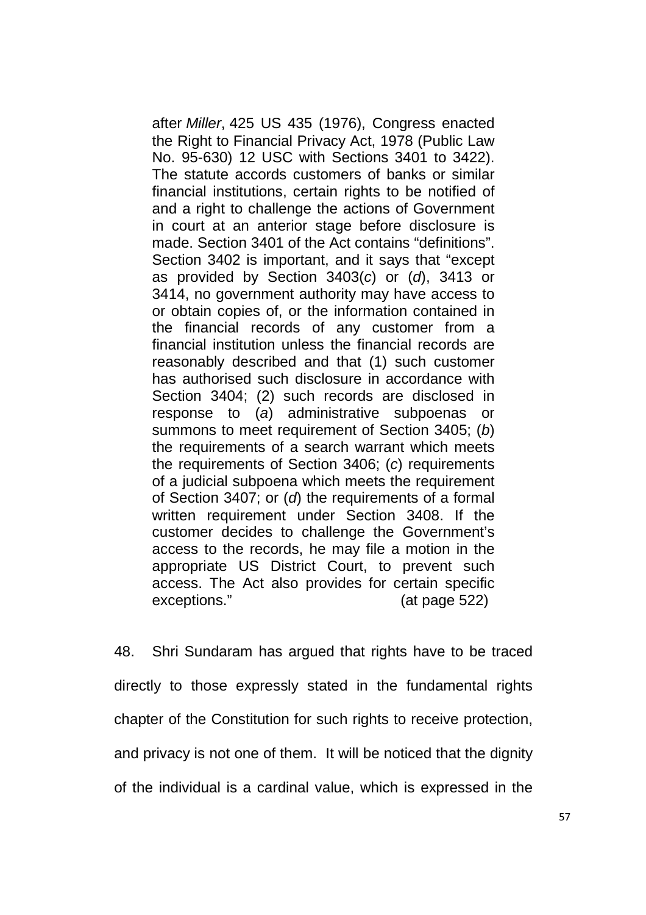after Miller, 425 US 435 (1976), Congress enacted the Right to Financial Privacy Act, 1978 (Public Law No. 95-630) 12 USC with Sections 3401 to 3422). The statute accords customers of banks or similar financial institutions, certain rights to be notified of and a right to challenge the actions of Government in court at an anterior stage before disclosure is made. Section 3401 of the Act contains "definitions". Section 3402 is important, and it says that "except as provided by Section  $3403(c)$  or  $(d)$ ,  $3413$  or 3414, no government authority may have access to or obtain copies of, or the information contained in the financial records of any customer from a financial institution unless the financial records are reasonably described and that (1) such customer has authorised such disclosure in accordance with Section 3404; (2) such records are disclosed in response to (a) administrative subpoenas or summons to meet requirement of Section 3405; (b) the requirements of a search warrant which meets the requirements of Section 3406; (c) requirements of a judicial subpoena which meets the requirement of Section 3407; or (d) the requirements of a formal written requirement under Section 3408. If the customer decides to challenge the Government's access to the records, he may file a motion in the appropriate US District Court, to prevent such access. The Act also provides for certain specific exceptions." (at page 522)

48. Shri Sundaram has argued that rights have to be traced directly to those expressly stated in the fundamental rights chapter of the Constitution for such rights to receive protection, and privacy is not one of them. It will be noticed that the dignity of the individual is a cardinal value, which is expressed in the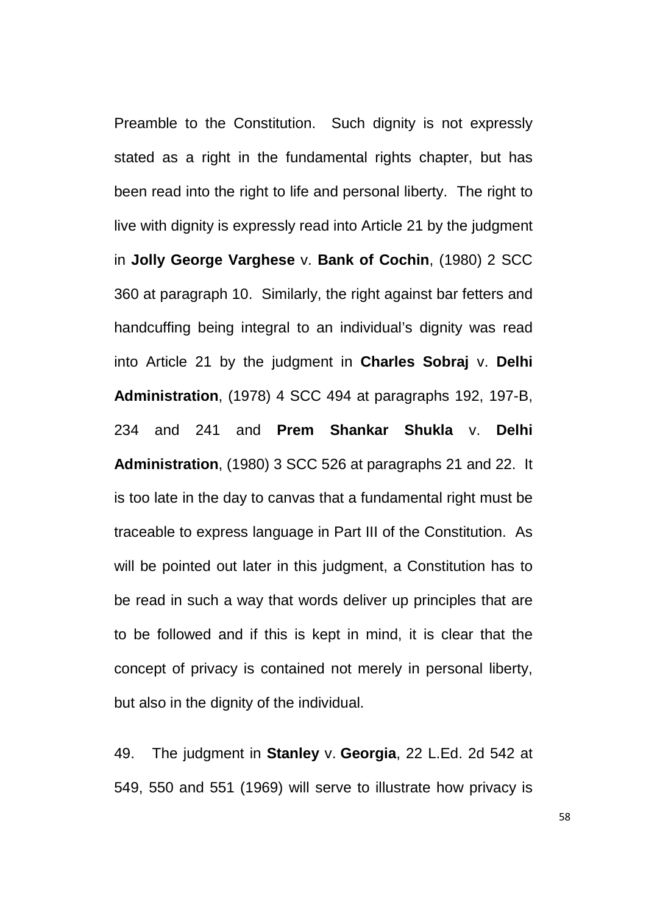Preamble to the Constitution. Such dignity is not expressly stated as a right in the fundamental rights chapter, but has been read into the right to life and personal liberty. The right to live with dignity is expressly read into Article 21 by the judgment in **Jolly George Varghese** v. **Bank of Cochin**, (1980) 2 SCC 360 at paragraph 10. Similarly, the right against bar fetters and handcuffing being integral to an individual's dignity was read into Article 21 by the judgment in **Charles Sobraj** v. **Delhi Administration**, (1978) 4 SCC 494 at paragraphs 192, 197-B, 234 and 241 and **Prem Shankar Shukla** v. **Delhi Administration**, (1980) 3 SCC 526 at paragraphs 21 and 22. It is too late in the day to canvas that a fundamental right must be traceable to express language in Part III of the Constitution. As will be pointed out later in this judgment, a Constitution has to be read in such a way that words deliver up principles that are to be followed and if this is kept in mind, it is clear that the concept of privacy is contained not merely in personal liberty, but also in the dignity of the individual.

49. The judgment in **Stanley** v. **Georgia**, 22 L.Ed. 2d 542 at 549, 550 and 551 (1969) will serve to illustrate how privacy is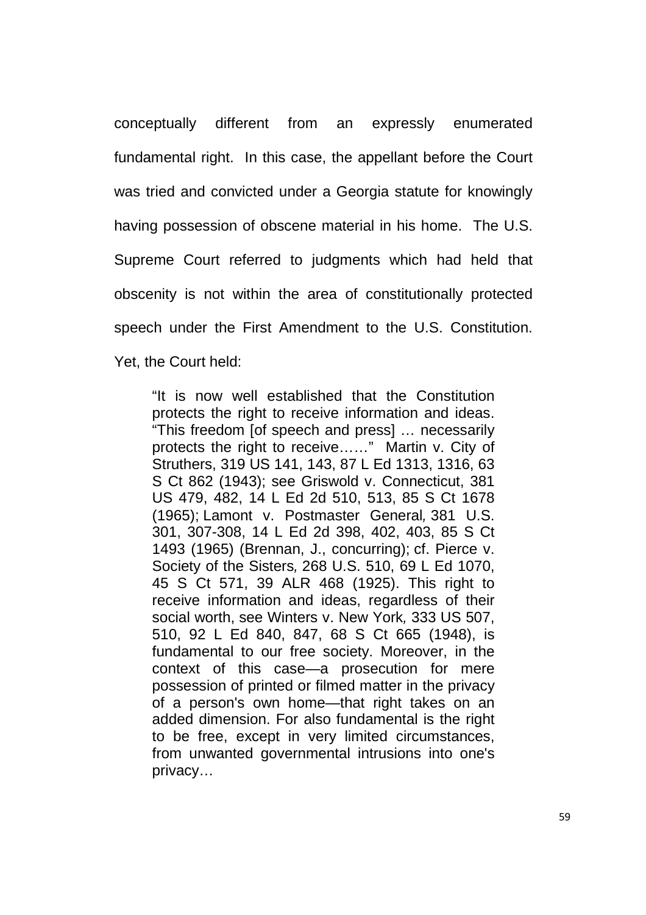conceptually different from an expressly enumerated fundamental right. In this case, the appellant before the Court was tried and convicted under a Georgia statute for knowingly having possession of obscene material in his home. The U.S. Supreme Court referred to judgments which had held that obscenity is not within the area of constitutionally protected speech under the First Amendment to the U.S. Constitution. Yet, the Court held:

"It is now well established that the Constitution protects the right to receive information and ideas. "This freedom [of speech and press] … necessarily protects the right to receive……" Martin v. City of Struthers, 319 US 141, 143, 87 L Ed 1313, 1316, 63 S Ct 862 (1943); see Griswold v. Connecticut, 381 US 479, 482, 14 L Ed 2d 510, 513, 85 S Ct 1678 (1965); Lamont v. Postmaster General, 381 U.S. 301, 307-308, 14 L Ed 2d 398, 402, 403, 85 S Ct 1493 (1965) (Brennan, J., concurring); cf. Pierce v. Society of the Sisters, 268 U.S. 510, 69 L Ed 1070, 45 S Ct 571, 39 ALR 468 (1925). This right to receive information and ideas, regardless of their social worth, see Winters v. New York, 333 US 507, 510, 92 L Ed 840, 847, 68 S Ct 665 (1948), is fundamental to our free society. Moreover, in the context of this case—a prosecution for mere possession of printed or filmed matter in the privacy of a person's own home—that right takes on an added dimension. For also fundamental is the right to be free, except in very limited circumstances, from unwanted governmental intrusions into one's privacy…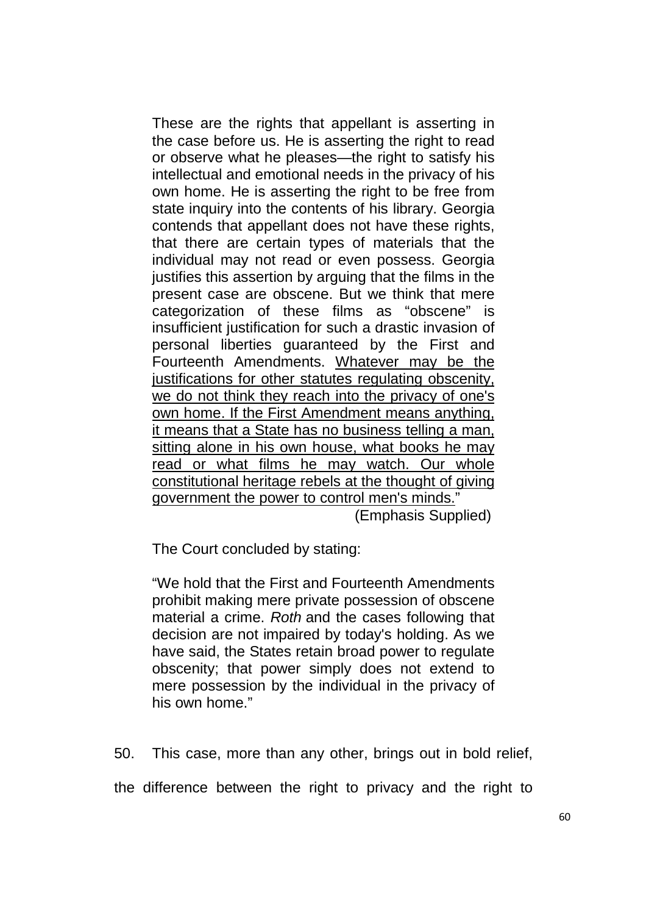These are the rights that appellant is asserting in the case before us. He is asserting the right to read or observe what he pleases—the right to satisfy his intellectual and emotional needs in the privacy of his own home. He is asserting the right to be free from state inquiry into the contents of his library. Georgia contends that appellant does not have these rights, that there are certain types of materials that the individual may not read or even possess. Georgia justifies this assertion by arguing that the films in the present case are obscene. But we think that mere categorization of these films as "obscene" is insufficient justification for such a drastic invasion of personal liberties guaranteed by the First and Fourteenth Amendments. Whatever may be the justifications for other statutes regulating obscenity, we do not think they reach into the privacy of one's own home. If the First Amendment means anything, it means that a State has no business telling a man, sitting alone in his own house, what books he may read or what films he may watch. Our whole constitutional heritage rebels at the thought of giving government the power to control men's minds."

(Emphasis Supplied)

The Court concluded by stating:

"We hold that the First and Fourteenth Amendments prohibit making mere private possession of obscene material a crime. Roth and the cases following that decision are not impaired by today's holding. As we have said, the States retain broad power to regulate obscenity; that power simply does not extend to mere possession by the individual in the privacy of his own home."

50. This case, more than any other, brings out in bold relief,

the difference between the right to privacy and the right to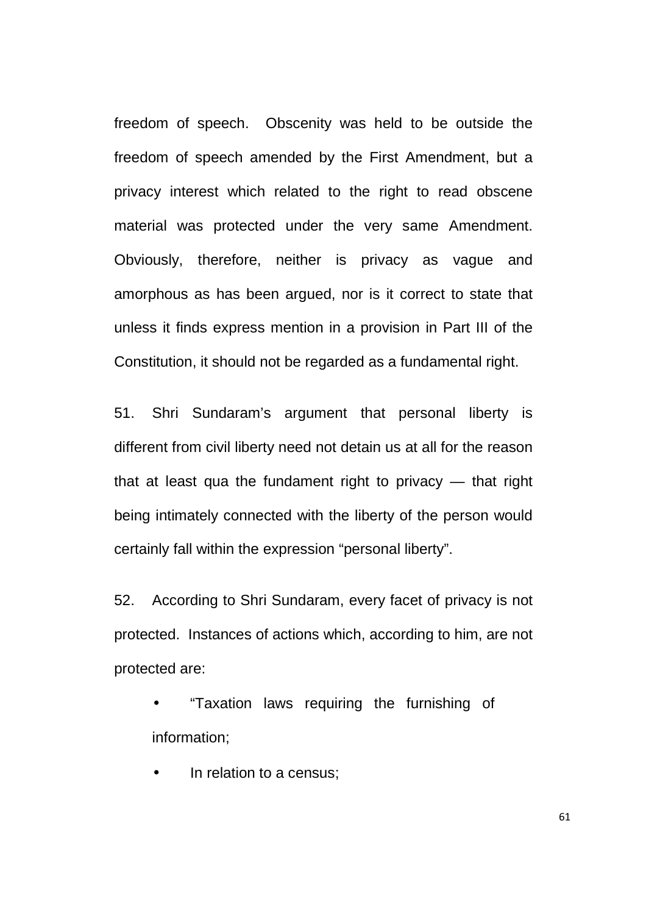freedom of speech. Obscenity was held to be outside the freedom of speech amended by the First Amendment, but a privacy interest which related to the right to read obscene material was protected under the very same Amendment. Obviously, therefore, neither is privacy as vague and amorphous as has been argued, nor is it correct to state that unless it finds express mention in a provision in Part III of the Constitution, it should not be regarded as a fundamental right.

51. Shri Sundaram's argument that personal liberty is different from civil liberty need not detain us at all for the reason that at least qua the fundament right to privacy — that right being intimately connected with the liberty of the person would certainly fall within the expression "personal liberty".

52. According to Shri Sundaram, every facet of privacy is not protected. Instances of actions which, according to him, are not protected are:

• "Taxation laws requiring the furnishing of information;

In relation to a census;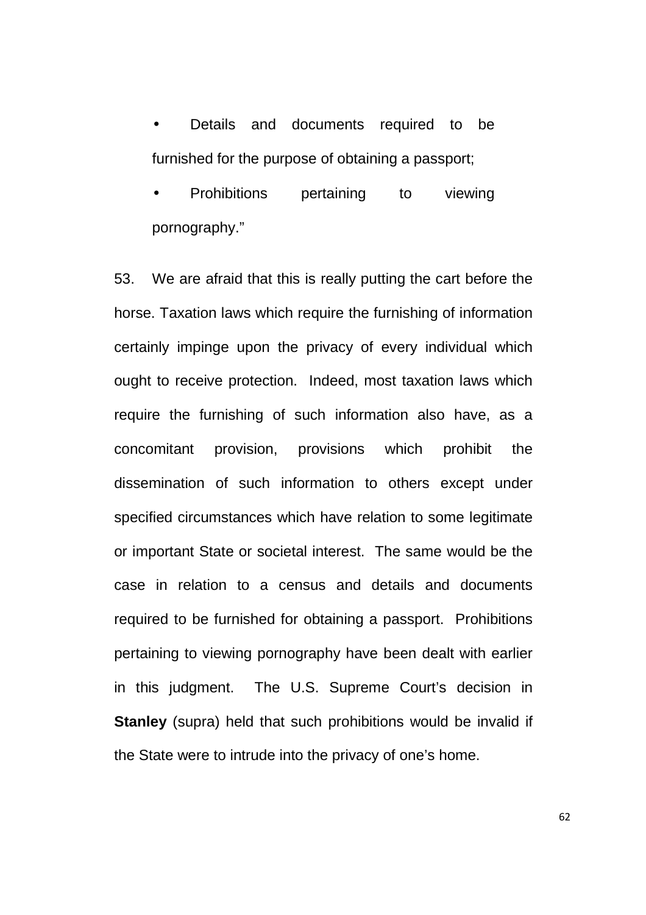Details and documents required to be furnished for the purpose of obtaining a passport;

• Prohibitions pertaining to viewing pornography."

53. We are afraid that this is really putting the cart before the horse. Taxation laws which require the furnishing of information certainly impinge upon the privacy of every individual which ought to receive protection. Indeed, most taxation laws which require the furnishing of such information also have, as a concomitant provision, provisions which prohibit the dissemination of such information to others except under specified circumstances which have relation to some legitimate or important State or societal interest. The same would be the case in relation to a census and details and documents required to be furnished for obtaining a passport. Prohibitions pertaining to viewing pornography have been dealt with earlier in this judgment. The U.S. Supreme Court's decision in **Stanley** (supra) held that such prohibitions would be invalid if the State were to intrude into the privacy of one's home.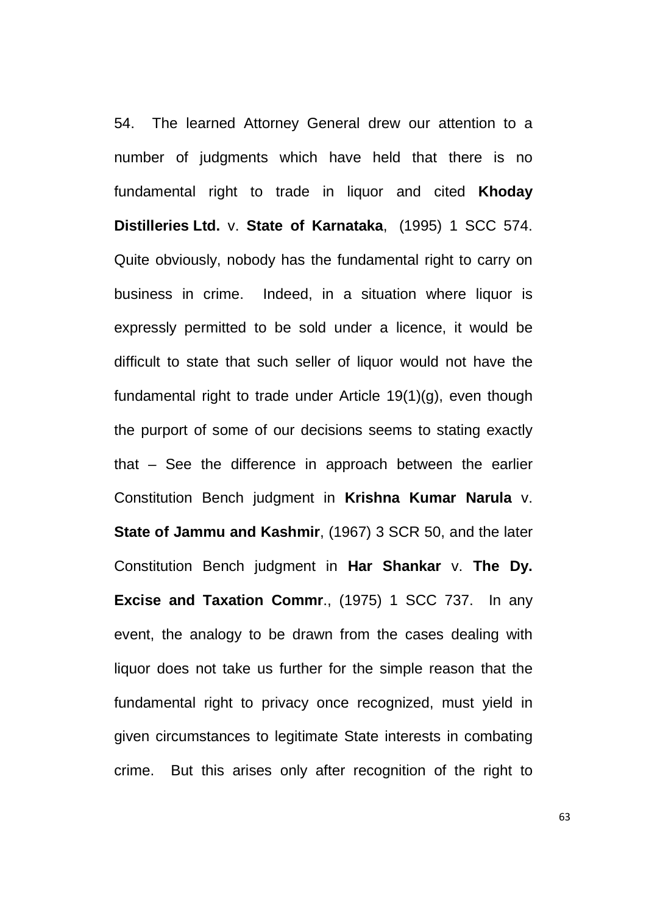54. The learned Attorney General drew our attention to a number of judgments which have held that there is no fundamental right to trade in liquor and cited **Khoday Distilleries Ltd.** v. **State of Karnataka**, (1995) 1 SCC 574. Quite obviously, nobody has the fundamental right to carry on business in crime. Indeed, in a situation where liquor is expressly permitted to be sold under a licence, it would be difficult to state that such seller of liquor would not have the fundamental right to trade under Article 19(1)(g), even though the purport of some of our decisions seems to stating exactly that – See the difference in approach between the earlier Constitution Bench judgment in **Krishna Kumar Narula** v. **State of Jammu and Kashmir**, (1967) 3 SCR 50, and the later Constitution Bench judgment in **Har Shankar** v. **The Dy. Excise and Taxation Commr**., (1975) 1 SCC 737. In any event, the analogy to be drawn from the cases dealing with liquor does not take us further for the simple reason that the fundamental right to privacy once recognized, must yield in given circumstances to legitimate State interests in combating crime. But this arises only after recognition of the right to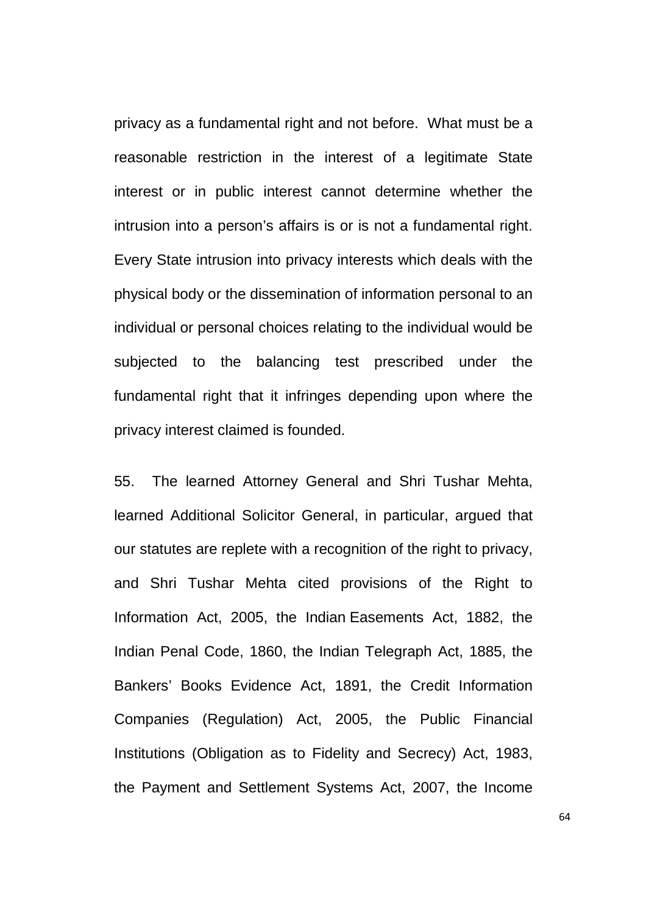privacy as a fundamental right and not before. What must be a reasonable restriction in the interest of a legitimate State interest or in public interest cannot determine whether the intrusion into a person's affairs is or is not a fundamental right. Every State intrusion into privacy interests which deals with the physical body or the dissemination of information personal to an individual or personal choices relating to the individual would be subjected to the balancing test prescribed under the fundamental right that it infringes depending upon where the privacy interest claimed is founded.

55. The learned Attorney General and Shri Tushar Mehta, learned Additional Solicitor General, in particular, argued that our statutes are replete with a recognition of the right to privacy, and Shri Tushar Mehta cited provisions of the Right to Information Act, 2005, the Indian Easements Act, 1882, the Indian Penal Code, 1860, the Indian Telegraph Act, 1885, the Bankers' Books Evidence Act, 1891, the Credit Information Companies (Regulation) Act, 2005, the Public Financial Institutions (Obligation as to Fidelity and Secrecy) Act, 1983, the Payment and Settlement Systems Act, 2007, the Income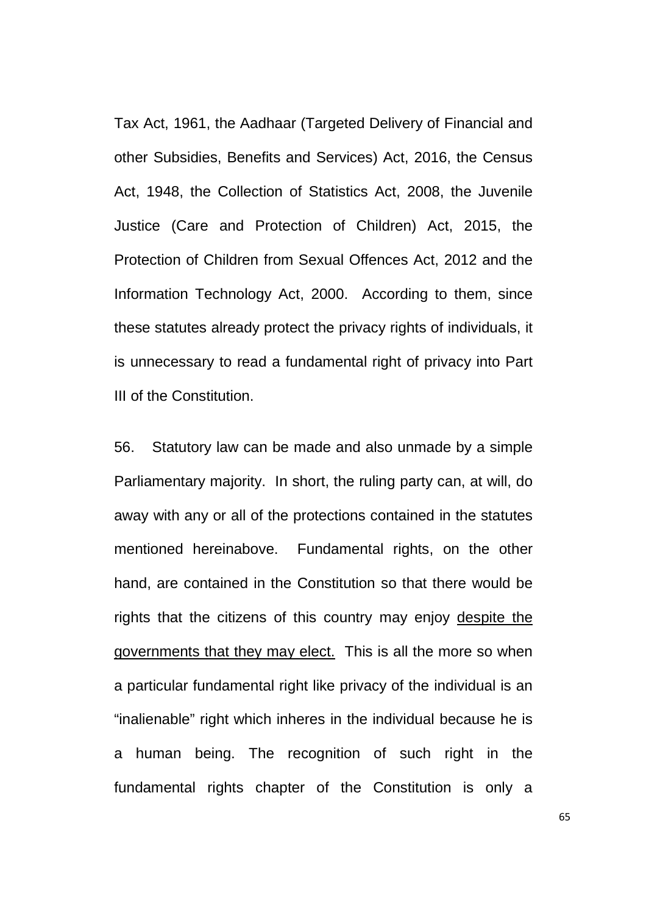Tax Act, 1961, the Aadhaar (Targeted Delivery of Financial and other Subsidies, Benefits and Services) Act, 2016, the Census Act, 1948, the Collection of Statistics Act, 2008, the Juvenile Justice (Care and Protection of Children) Act, 2015, the Protection of Children from Sexual Offences Act, 2012 and the Information Technology Act, 2000. According to them, since these statutes already protect the privacy rights of individuals, it is unnecessary to read a fundamental right of privacy into Part III of the Constitution.

56. Statutory law can be made and also unmade by a simple Parliamentary majority. In short, the ruling party can, at will, do away with any or all of the protections contained in the statutes mentioned hereinabove. Fundamental rights, on the other hand, are contained in the Constitution so that there would be rights that the citizens of this country may enjoy despite the governments that they may elect. This is all the more so when a particular fundamental right like privacy of the individual is an "inalienable" right which inheres in the individual because he is a human being. The recognition of such right in the fundamental rights chapter of the Constitution is only a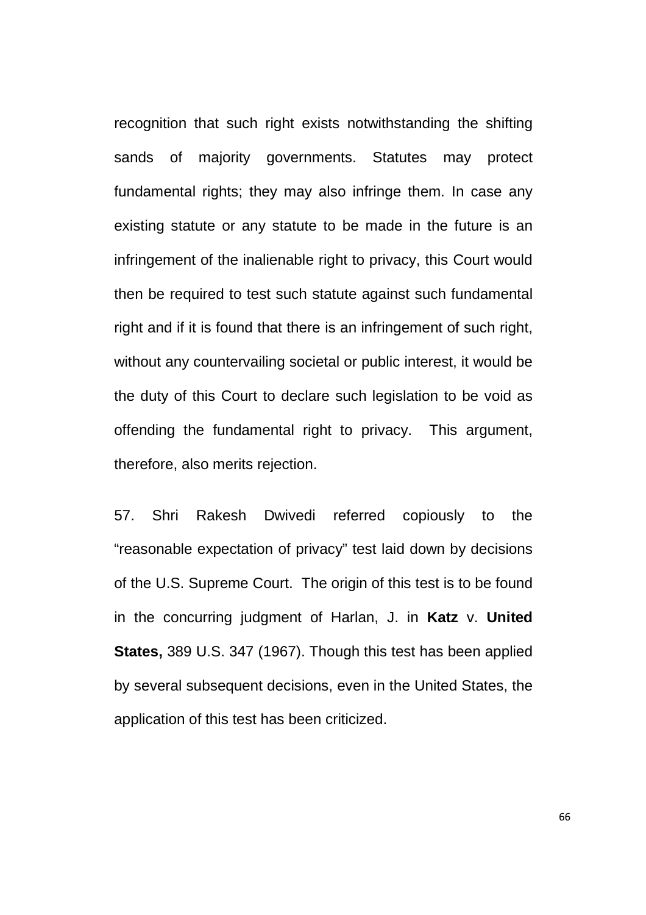recognition that such right exists notwithstanding the shifting sands of majority governments. Statutes may protect fundamental rights; they may also infringe them. In case any existing statute or any statute to be made in the future is an infringement of the inalienable right to privacy, this Court would then be required to test such statute against such fundamental right and if it is found that there is an infringement of such right, without any countervailing societal or public interest, it would be the duty of this Court to declare such legislation to be void as offending the fundamental right to privacy. This argument, therefore, also merits rejection.

57. Shri Rakesh Dwivedi referred copiously to the "reasonable expectation of privacy" test laid down by decisions of the U.S. Supreme Court. The origin of this test is to be found in the concurring judgment of Harlan, J. in **Katz** v. **United States,** 389 U.S. 347 (1967). Though this test has been applied by several subsequent decisions, even in the United States, the application of this test has been criticized.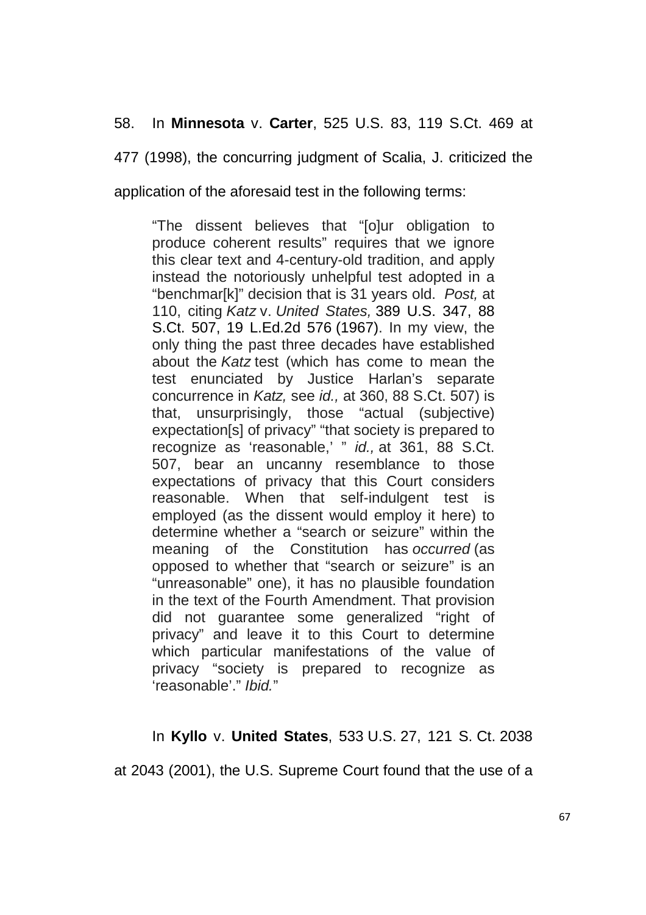### 58. In **Minnesota** v. **Carter**, 525 U.S. 83, 119 S.Ct. 469 at

477 (1998), the concurring judgment of Scalia, J. criticized the

application of the aforesaid test in the following terms:

"The dissent believes that "[o]ur obligation to produce coherent results" requires that we ignore this clear text and 4-century-old tradition, and apply instead the notoriously unhelpful test adopted in a "benchmar[k]" decision that is 31 years old. Post, at 110, citing Katz v. United States, 389 U.S. 347, 88 S.Ct. 507, 19 L.Ed.2d 576 (1967). In my view, the only thing the past three decades have established about the Katz test (which has come to mean the test enunciated by Justice Harlan's separate concurrence in Katz, see id., at 360, 88 S.Ct. 507) is that, unsurprisingly, those "actual (subjective) expectation[s] of privacy" "that society is prepared to recognize as 'reasonable,' " id., at 361, 88 S.Ct. 507, bear an uncanny resemblance to those expectations of privacy that this Court considers reasonable. When that self-indulgent test is employed (as the dissent would employ it here) to determine whether a "search or seizure" within the meaning of the Constitution has occurred (as opposed to whether that "search or seizure" is an "unreasonable" one), it has no plausible foundation in the text of the Fourth Amendment. That provision did not guarantee some generalized "right of privacy" and leave it to this Court to determine which particular manifestations of the value of privacy "society is prepared to recognize as 'reasonable'." Ibid."

### In **Kyllo** v. **United States**, 533 U.S. 27, 121 S. Ct. 2038

at 2043 (2001), the U.S. Supreme Court found that the use of a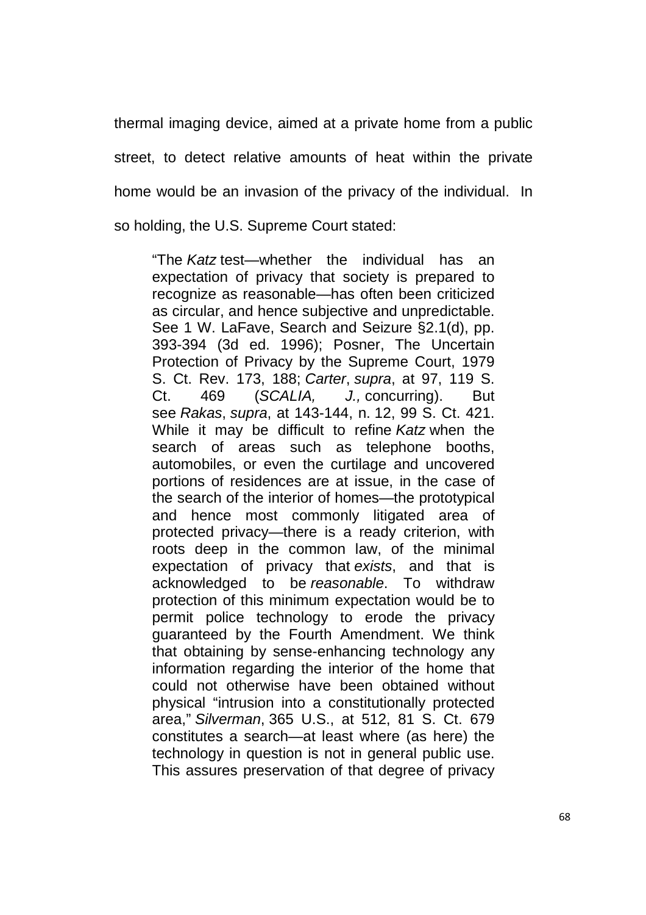thermal imaging device, aimed at a private home from a public street, to detect relative amounts of heat within the private home would be an invasion of the privacy of the individual. In so holding, the U.S. Supreme Court stated:

"The Katz test—whether the individual has an expectation of privacy that society is prepared to recognize as reasonable—has often been criticized as circular, and hence subjective and unpredictable. See 1 W. LaFave, Search and Seizure §2.1(d), pp. 393-394 (3d ed. 1996); Posner, The Uncertain Protection of Privacy by the Supreme Court, 1979 S. Ct. Rev. 173, 188; Carter, supra, at 97, 119 S. Ct. 469 (SCALIA, J., concurring). But see Rakas, supra, at 143-144, n. 12, 99 S. Ct. 421. While it may be difficult to refine Katz when the search of areas such as telephone booths, automobiles, or even the curtilage and uncovered portions of residences are at issue, in the case of the search of the interior of homes—the prototypical and hence most commonly litigated area of protected privacy—there is a ready criterion, with roots deep in the common law, of the minimal expectation of privacy that exists, and that is acknowledged to be reasonable. To withdraw protection of this minimum expectation would be to permit police technology to erode the privacy guaranteed by the Fourth Amendment. We think that obtaining by sense-enhancing technology any information regarding the interior of the home that could not otherwise have been obtained without physical "intrusion into a constitutionally protected area," Silverman, 365 U.S., at 512, 81 S. Ct. 679 constitutes a search—at least where (as here) the technology in question is not in general public use. This assures preservation of that degree of privacy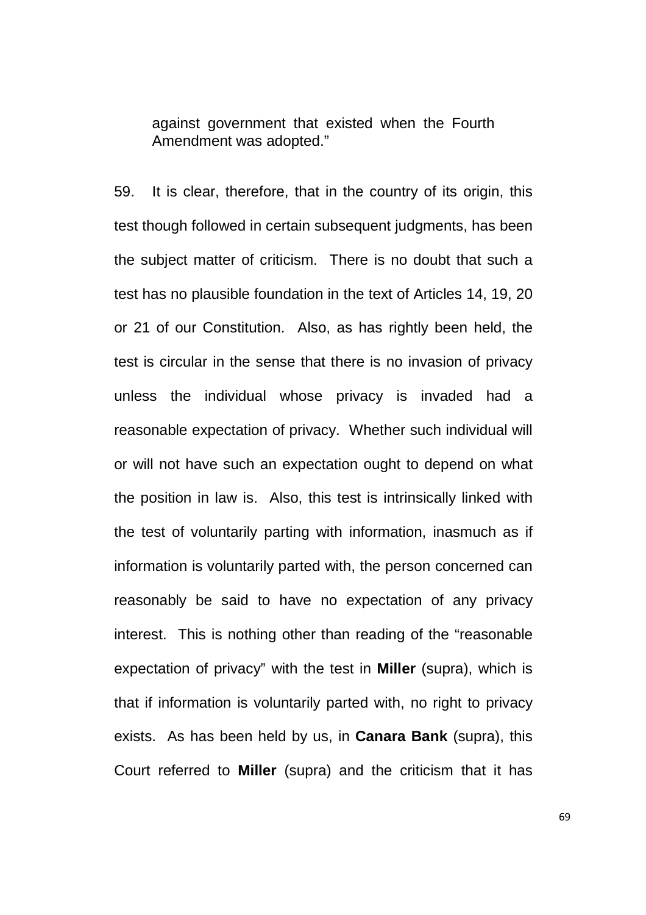against government that existed when the Fourth Amendment was adopted."

59. It is clear, therefore, that in the country of its origin, this test though followed in certain subsequent judgments, has been the subject matter of criticism. There is no doubt that such a test has no plausible foundation in the text of Articles 14, 19, 20 or 21 of our Constitution. Also, as has rightly been held, the test is circular in the sense that there is no invasion of privacy unless the individual whose privacy is invaded had a reasonable expectation of privacy. Whether such individual will or will not have such an expectation ought to depend on what the position in law is. Also, this test is intrinsically linked with the test of voluntarily parting with information, inasmuch as if information is voluntarily parted with, the person concerned can reasonably be said to have no expectation of any privacy interest. This is nothing other than reading of the "reasonable expectation of privacy" with the test in **Miller** (supra), which is that if information is voluntarily parted with, no right to privacy exists. As has been held by us, in **Canara Bank** (supra), this Court referred to **Miller** (supra) and the criticism that it has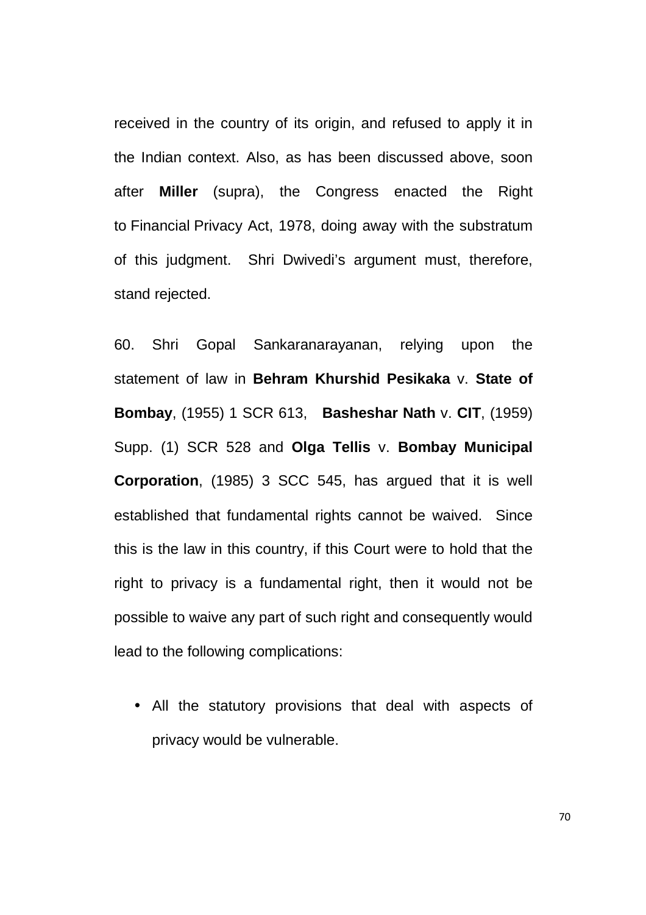received in the country of its origin, and refused to apply it in the Indian context. Also, as has been discussed above, soon after **Miller** (supra), the Congress enacted the Right to Financial Privacy Act, 1978, doing away with the substratum of this judgment. Shri Dwivedi's argument must, therefore, stand rejected.

60. Shri Gopal Sankaranarayanan, relying upon the statement of law in **Behram Khurshid Pesikaka** v. **State of Bombay**, (1955) 1 SCR 613, **Basheshar Nath** v. **CIT**, (1959) Supp. (1) SCR 528 and **Olga Tellis** v. **Bombay Municipal Corporation**, (1985) 3 SCC 545, has argued that it is well established that fundamental rights cannot be waived. Since this is the law in this country, if this Court were to hold that the right to privacy is a fundamental right, then it would not be possible to waive any part of such right and consequently would lead to the following complications:

• All the statutory provisions that deal with aspects of privacy would be vulnerable.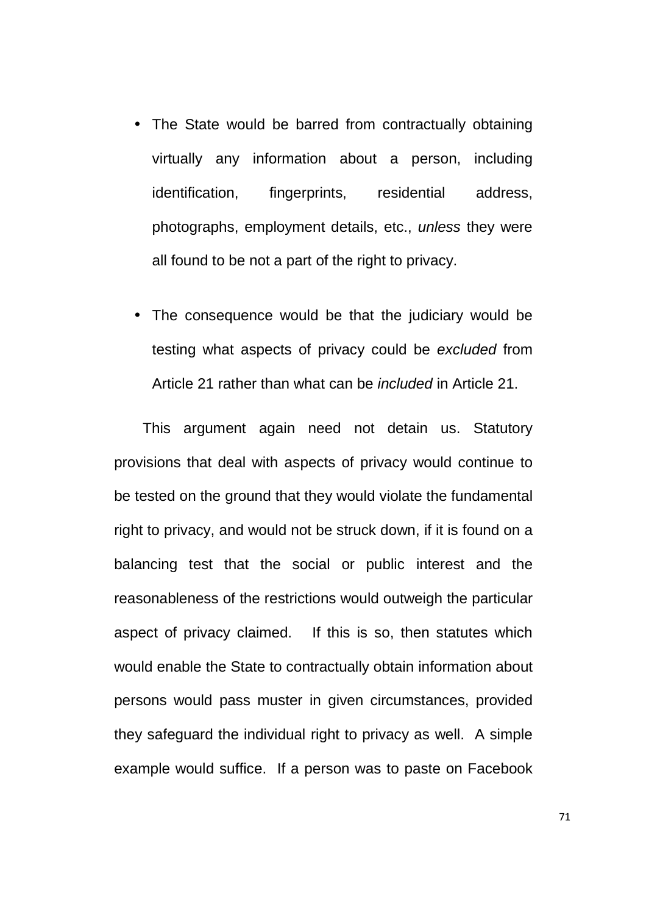- The State would be barred from contractually obtaining virtually any information about a person, including identification, fingerprints, residential address, photographs, employment details, etc., unless they were all found to be not a part of the right to privacy.
- The consequence would be that the judiciary would be testing what aspects of privacy could be excluded from Article 21 rather than what can be included in Article 21.

This argument again need not detain us. Statutory provisions that deal with aspects of privacy would continue to be tested on the ground that they would violate the fundamental right to privacy, and would not be struck down, if it is found on a balancing test that the social or public interest and the reasonableness of the restrictions would outweigh the particular aspect of privacy claimed. If this is so, then statutes which would enable the State to contractually obtain information about persons would pass muster in given circumstances, provided they safeguard the individual right to privacy as well. A simple example would suffice. If a person was to paste on Facebook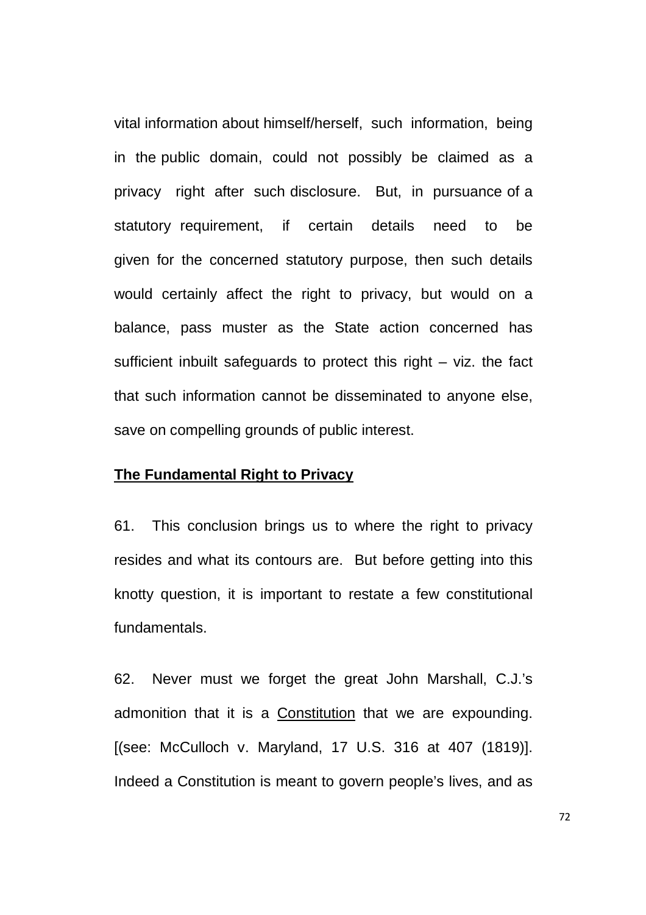vital information about himself/herself, such information, being in the public domain, could not possibly be claimed as a privacy right after such disclosure. But, in pursuance of a statutory requirement, if certain details need to be given for the concerned statutory purpose, then such details would certainly affect the right to privacy, but would on a balance, pass muster as the State action concerned has sufficient inbuilt safeguards to protect this right – viz. the fact that such information cannot be disseminated to anyone else, save on compelling grounds of public interest.

#### **The Fundamental Right to Privacy**

61. This conclusion brings us to where the right to privacy resides and what its contours are. But before getting into this knotty question, it is important to restate a few constitutional fundamentals.

62. Never must we forget the great John Marshall, C.J.'s admonition that it is a Constitution that we are expounding. [(see: McCulloch v. Maryland, 17 U.S. 316 at 407 (1819)]. Indeed a Constitution is meant to govern people's lives, and as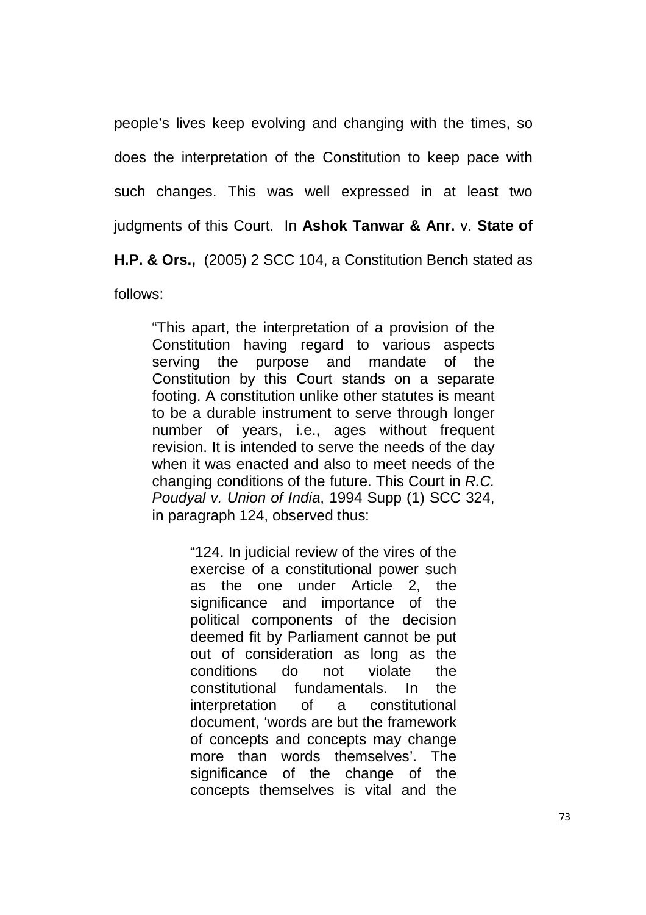people's lives keep evolving and changing with the times, so does the interpretation of the Constitution to keep pace with such changes. This was well expressed in at least two judgments of this Court. In **Ashok Tanwar & Anr.** v. **State of H.P. & Ors.,** (2005) 2 SCC 104, a Constitution Bench stated as follows:

"This apart, the interpretation of a provision of the Constitution having regard to various aspects serving the purpose and mandate of the Constitution by this Court stands on a separate footing. A constitution unlike other statutes is meant to be a durable instrument to serve through longer number of years, i.e., ages without frequent revision. It is intended to serve the needs of the day when it was enacted and also to meet needs of the changing conditions of the future. This Court in R.C. Poudyal v. Union of India, 1994 Supp (1) SCC 324, in paragraph 124, observed thus:

> "124. In judicial review of the vires of the exercise of a constitutional power such as the one under Article 2, the significance and importance of the political components of the decision deemed fit by Parliament cannot be put out of consideration as long as the conditions do not violate the constitutional fundamentals. In the interpretation of a constitutional document, 'words are but the framework of concepts and concepts may change more than words themselves'. The significance of the change of the concepts themselves is vital and the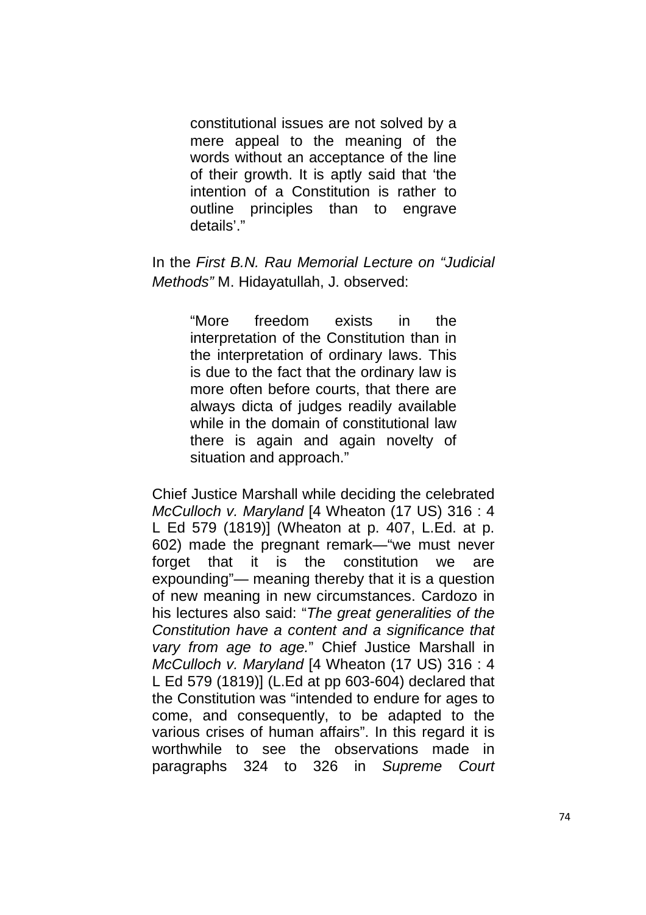constitutional issues are not solved by a mere appeal to the meaning of the words without an acceptance of the line of their growth. It is aptly said that 'the intention of a Constitution is rather to outline principles than to engrave details'."

In the First B.N. Rau Memorial Lecture on "Judicial Methods" M. Hidayatullah, J. observed:

> "More freedom exists in the interpretation of the Constitution than in the interpretation of ordinary laws. This is due to the fact that the ordinary law is more often before courts, that there are always dicta of judges readily available while in the domain of constitutional law there is again and again novelty of situation and approach."

Chief Justice Marshall while deciding the celebrated McCulloch v. Maryland [4 Wheaton (17 US) 316 : 4 L Ed 579 (1819)] (Wheaton at p. 407, L.Ed. at p. 602) made the pregnant remark—"we must never forget that it is the constitution we are expounding"— meaning thereby that it is a question of new meaning in new circumstances. Cardozo in his lectures also said: "The great generalities of the Constitution have a content and a significance that vary from age to age." Chief Justice Marshall in McCulloch v. Maryland [4 Wheaton (17 US) 316 : 4 L Ed 579 (1819)] (L.Ed at pp 603-604) declared that the Constitution was "intended to endure for ages to come, and consequently, to be adapted to the various crises of human affairs". In this regard it is worthwhile to see the observations made in paragraphs 324 to 326 in Supreme Court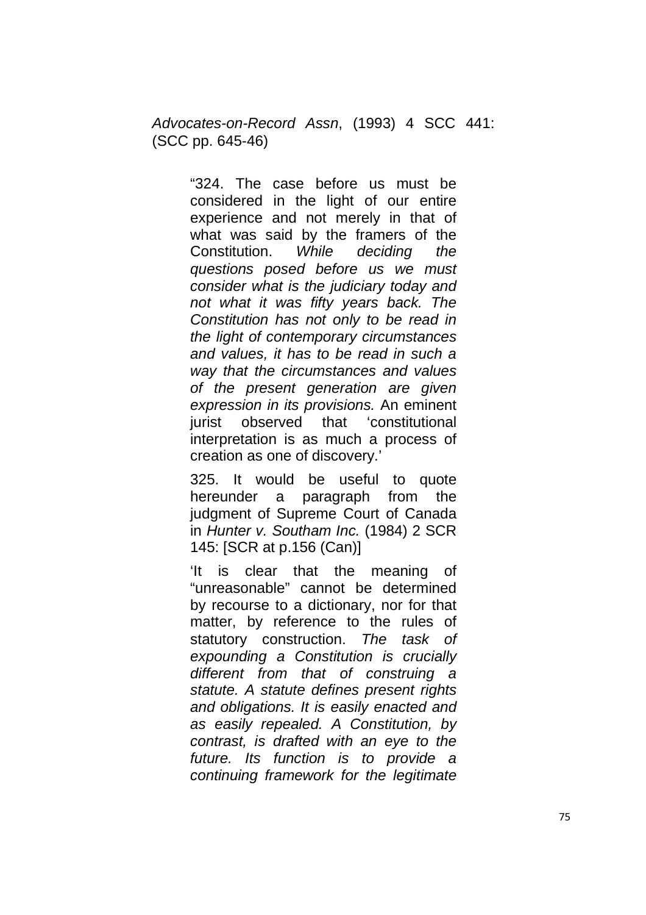Advocates-on-Record Assn, (1993) 4 SCC 441: (SCC pp. 645-46)

> "324. The case before us must be considered in the light of our entire experience and not merely in that of what was said by the framers of the Constitution. While deciding the questions posed before us we must consider what is the judiciary today and not what it was fifty years back. The Constitution has not only to be read in the light of contemporary circumstances and values, it has to be read in such a way that the circumstances and values of the present generation are given expression in its provisions. An eminent jurist observed that 'constitutional interpretation is as much a process of creation as one of discovery.'

> 325. It would be useful to quote hereunder a paragraph from the judgment of Supreme Court of Canada in Hunter v. Southam Inc. (1984) 2 SCR 145: [SCR at p.156 (Can)]

> 'It is clear that the meaning of "unreasonable" cannot be determined by recourse to a dictionary, nor for that matter, by reference to the rules of statutory construction. The task of expounding a Constitution is crucially different from that of construing a statute. A statute defines present rights and obligations. It is easily enacted and as easily repealed. A Constitution, by contrast, is drafted with an eye to the future. Its function is to provide a continuing framework for the legitimate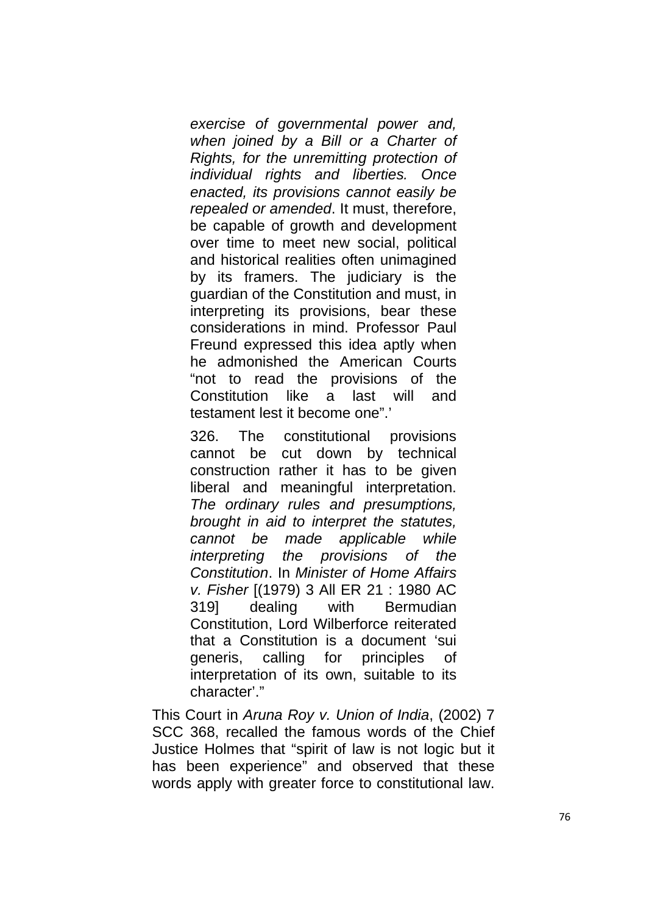exercise of governmental power and, when joined by a Bill or a Charter of Rights, for the unremitting protection of individual rights and liberties. Once enacted, its provisions cannot easily be repealed or amended. It must, therefore, be capable of growth and development over time to meet new social, political and historical realities often unimagined by its framers. The judiciary is the guardian of the Constitution and must, in interpreting its provisions, bear these considerations in mind. Professor Paul Freund expressed this idea aptly when he admonished the American Courts "not to read the provisions of the Constitution like a last will and testament lest it become one".'

326. The constitutional provisions cannot be cut down by technical construction rather it has to be given liberal and meaningful interpretation. The ordinary rules and presumptions, brought in aid to interpret the statutes, cannot be made applicable while interpreting the provisions of the Constitution. In Minister of Home Affairs v. Fisher [(1979) 3 All ER 21 : 1980 AC 319] dealing with Bermudian Constitution, Lord Wilberforce reiterated that a Constitution is a document 'sui generis, calling for principles of interpretation of its own, suitable to its character'."

This Court in Aruna Roy v. Union of India, (2002) 7 SCC 368, recalled the famous words of the Chief Justice Holmes that "spirit of law is not logic but it has been experience" and observed that these words apply with greater force to constitutional law.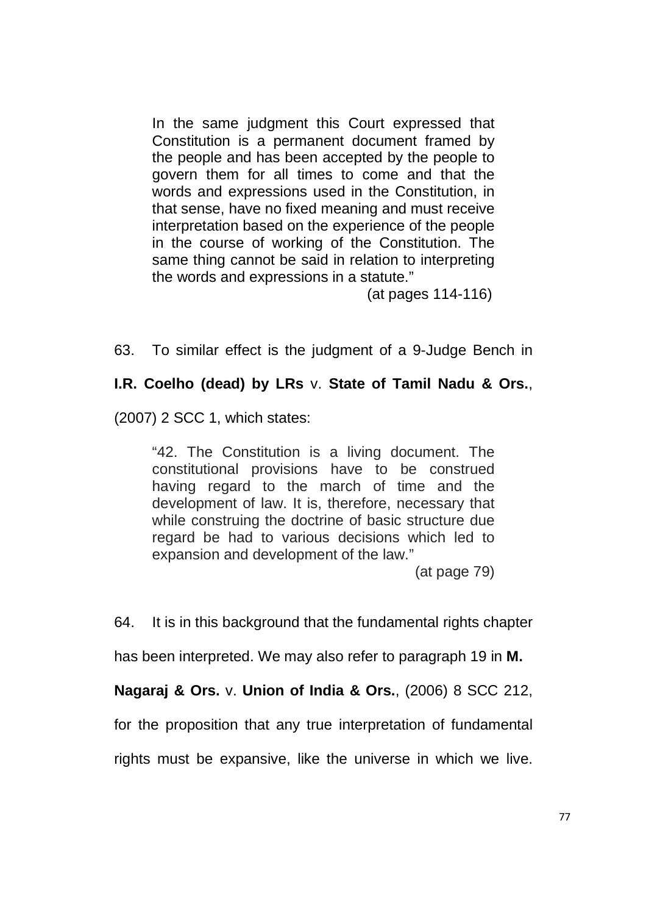In the same judgment this Court expressed that Constitution is a permanent document framed by the people and has been accepted by the people to govern them for all times to come and that the words and expressions used in the Constitution, in that sense, have no fixed meaning and must receive interpretation based on the experience of the people in the course of working of the Constitution. The same thing cannot be said in relation to interpreting the words and expressions in a statute."

(at pages 114-116)

63. To similar effect is the judgment of a 9-Judge Bench in

#### **I.R. Coelho (dead) by LRs** v. **State of Tamil Nadu & Ors.**,

(2007) 2 SCC 1, which states:

"42. The Constitution is a living document. The constitutional provisions have to be construed having regard to the march of time and the development of law. It is, therefore, necessary that while construing the doctrine of basic structure due regard be had to various decisions which led to expansion and development of the law."

(at page 79)

64. It is in this background that the fundamental rights chapter

has been interpreted. We may also refer to paragraph 19 in **M.** 

**Nagaraj & Ors.** v. **Union of India & Ors.**, (2006) 8 SCC 212,

for the proposition that any true interpretation of fundamental

rights must be expansive, like the universe in which we live.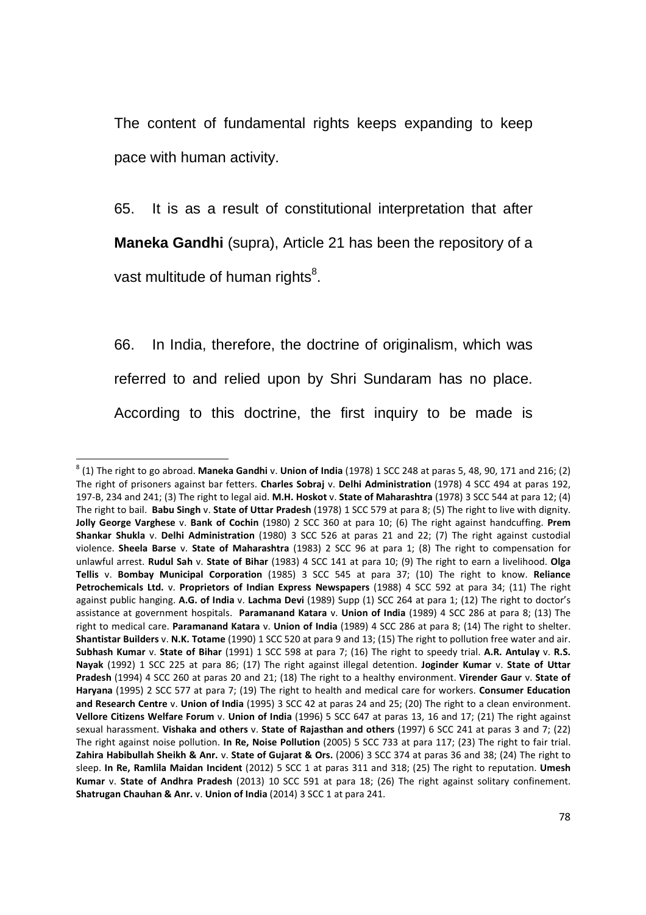The content of fundamental rights keeps expanding to keep pace with human activity.

65. It is as a result of constitutional interpretation that after **Maneka Gandhi** (supra), Article 21 has been the repository of a vast multitude of human rights ${}^{8}$ .

66. In India, therefore, the doctrine of originalism, which was referred to and relied upon by Shri Sundaram has no place. According to this doctrine, the first inquiry to be made is

<u>.</u>

<sup>8</sup> (1) The right to go abroad. **Maneka Gandhi** v. **Union of India** (1978) 1 SCC 248 at paras 5, 48, 90, 171 and 216; (2) The right of prisoners against bar fetters. **Charles Sobraj** v. **Delhi Administration** (1978) 4 SCC 494 at paras 192, 197-B, 234 and 241; (3) The right to legal aid. **M.H. Hoskot** v. **State of Maharashtra** (1978) 3 SCC 544 at para 12; (4) The right to bail. **Babu Singh** v. **State of Uttar Pradesh** (1978) 1 SCC 579 at para 8; (5) The right to live with dignity. **Jolly George Varghese** v. **Bank of Cochin** (1980) 2 SCC 360 at para 10; (6) The right against handcuffing. **Prem Shankar Shukla** v. **Delhi Administration** (1980) 3 SCC 526 at paras 21 and 22; (7) The right against custodial violence. **Sheela Barse** v. **State of Maharashtra** (1983) 2 SCC 96 at para 1; (8) The right to compensation for unlawful arrest. **Rudul Sah** v. **State of Bihar** (1983) 4 SCC 141 at para 10; (9) The right to earn a livelihood. **Olga Tellis** v. **Bombay Municipal Corporation** (1985) 3 SCC 545 at para 37; (10) The right to know. **Reliance Petrochemicals Ltd.** v. **Proprietors of Indian Express Newspapers** (1988) 4 SCC 592 at para 34; (11) The right against public hanging. **A.G. of India** v. **Lachma Devi** (1989) Supp (1) SCC 264 at para 1; (12) The right to doctor's assistance at government hospitals. **Paramanand Katara** v. **Union of India** (1989) 4 SCC 286 at para 8; (13) The right to medical care. **Paramanand Katara** v. **Union of India** (1989) 4 SCC 286 at para 8; (14) The right to shelter. **Shantistar Builders** v. **N.K. Totame** (1990) 1 SCC 520 at para 9 and 13; (15) The right to pollution free water and air. **Subhash Kumar** v. **State of Bihar** (1991) 1 SCC 598 at para 7; (16) The right to speedy trial. **A.R. Antulay** v. **R.S. Nayak** (1992) 1 SCC 225 at para 86; (17) The right against illegal detention. **Joginder Kumar** v. **State of Uttar Pradesh** (1994) 4 SCC 260 at paras 20 and 21; (18) The right to a healthy environment. **Virender Gaur** v. **State of Haryana** (1995) 2 SCC 577 at para 7; (19) The right to health and medical care for workers. **Consumer Education and Research Centre** v. **Union of India** (1995) 3 SCC 42 at paras 24 and 25; (20) The right to a clean environment. **Vellore Citizens Welfare Forum** v. **Union of India** (1996) 5 SCC 647 at paras 13, 16 and 17; (21) The right against sexual harassment. **Vishaka and others** v. **State of Rajasthan and others** (1997) 6 SCC 241 at paras 3 and 7; (22) The right against noise pollution. **In Re, Noise Pollution** (2005) 5 SCC 733 at para 117; (23) The right to fair trial. **Zahira Habibullah Sheikh & Anr.** v. **State of Gujarat & Ors.** (2006) 3 SCC 374 at paras 36 and 38; (24) The right to sleep. **In Re, Ramlila Maidan Incident** (2012) 5 SCC 1 at paras 311 and 318; (25) The right to reputation. **Umesh Kumar** v. **State of Andhra Pradesh** (2013) 10 SCC 591 at para 18; (26) The right against solitary confinement. **Shatrugan Chauhan & Anr.** v. **Union of India** (2014) 3 SCC 1 at para 241.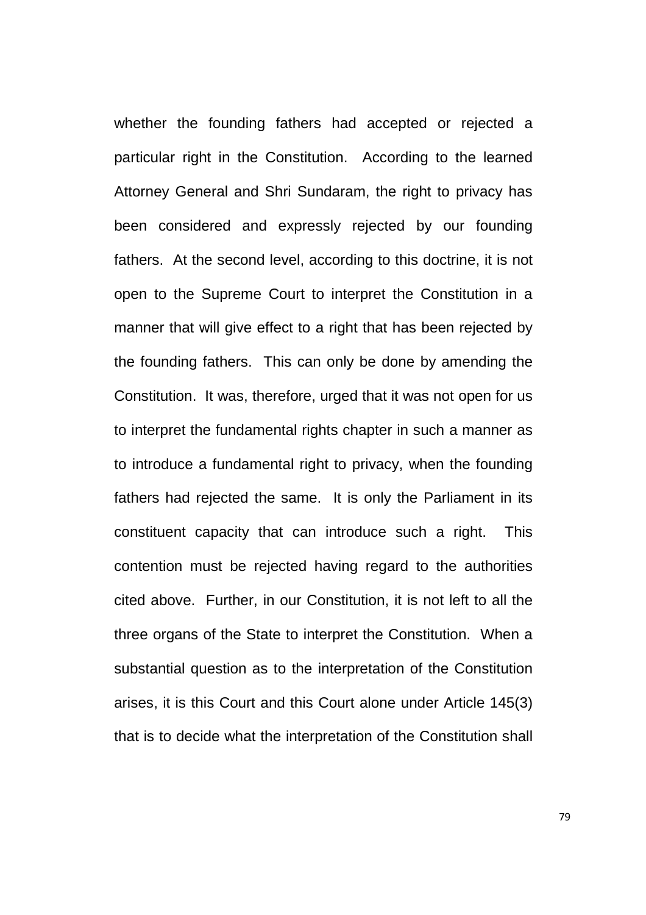whether the founding fathers had accepted or rejected a particular right in the Constitution. According to the learned Attorney General and Shri Sundaram, the right to privacy has been considered and expressly rejected by our founding fathers. At the second level, according to this doctrine, it is not open to the Supreme Court to interpret the Constitution in a manner that will give effect to a right that has been rejected by the founding fathers. This can only be done by amending the Constitution. It was, therefore, urged that it was not open for us to interpret the fundamental rights chapter in such a manner as to introduce a fundamental right to privacy, when the founding fathers had rejected the same. It is only the Parliament in its constituent capacity that can introduce such a right. This contention must be rejected having regard to the authorities cited above. Further, in our Constitution, it is not left to all the three organs of the State to interpret the Constitution. When a substantial question as to the interpretation of the Constitution arises, it is this Court and this Court alone under Article 145(3) that is to decide what the interpretation of the Constitution shall

79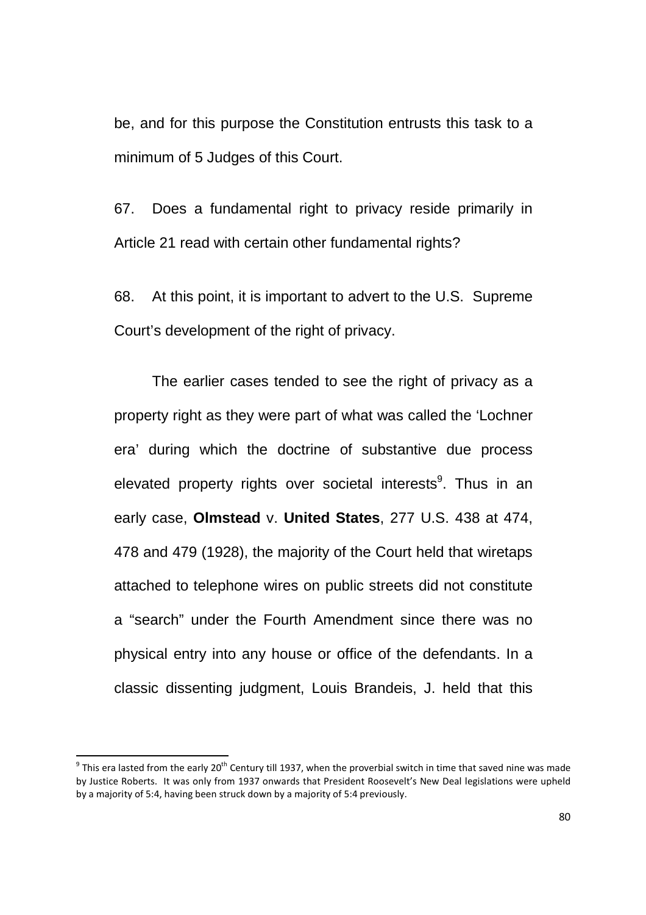be, and for this purpose the Constitution entrusts this task to a minimum of 5 Judges of this Court.

67. Does a fundamental right to privacy reside primarily in Article 21 read with certain other fundamental rights?

68. At this point, it is important to advert to the U.S. Supreme Court's development of the right of privacy.

The earlier cases tended to see the right of privacy as a property right as they were part of what was called the 'Lochner era' during which the doctrine of substantive due process elevated property rights over societal interests<sup>9</sup>. Thus in an early case, **Olmstead** v. **United States**, 277 U.S. 438 at 474, 478 and 479 (1928), the majority of the Court held that wiretaps attached to telephone wires on public streets did not constitute a "search" under the Fourth Amendment since there was no physical entry into any house or office of the defendants. In a classic dissenting judgment, Louis Brandeis, J. held that this

 9 This era lasted from the early 20th Century till 1937, when the proverbial switch in time that saved nine was made by Justice Roberts. It was only from 1937 onwards that President Roosevelt's New Deal legislations were upheld by a majority of 5:4, having been struck down by a majority of 5:4 previously.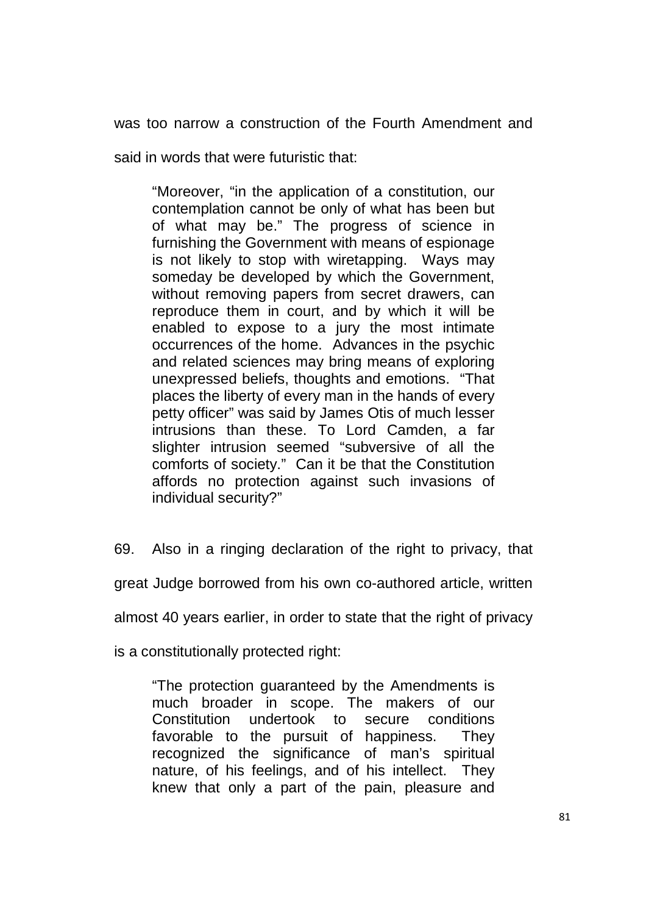was too narrow a construction of the Fourth Amendment and

said in words that were futuristic that:

"Moreover, "in the application of a constitution, our contemplation cannot be only of what has been but of what may be." The progress of science in furnishing the Government with means of espionage is not likely to stop with wiretapping. Ways may someday be developed by which the Government, without removing papers from secret drawers, can reproduce them in court, and by which it will be enabled to expose to a jury the most intimate occurrences of the home. Advances in the psychic and related sciences may bring means of exploring unexpressed beliefs, thoughts and emotions. "That places the liberty of every man in the hands of every petty officer" was said by James Otis of much lesser intrusions than these. To Lord Camden, a far slighter intrusion seemed "subversive of all the comforts of society." Can it be that the Constitution affords no protection against such invasions of individual security?"

69. Also in a ringing declaration of the right to privacy, that

great Judge borrowed from his own co-authored article, written

almost 40 years earlier, in order to state that the right of privacy

is a constitutionally protected right:

"The protection guaranteed by the Amendments is much broader in scope. The makers of our Constitution undertook to secure conditions favorable to the pursuit of happiness. They recognized the significance of man's spiritual nature, of his feelings, and of his intellect. They knew that only a part of the pain, pleasure and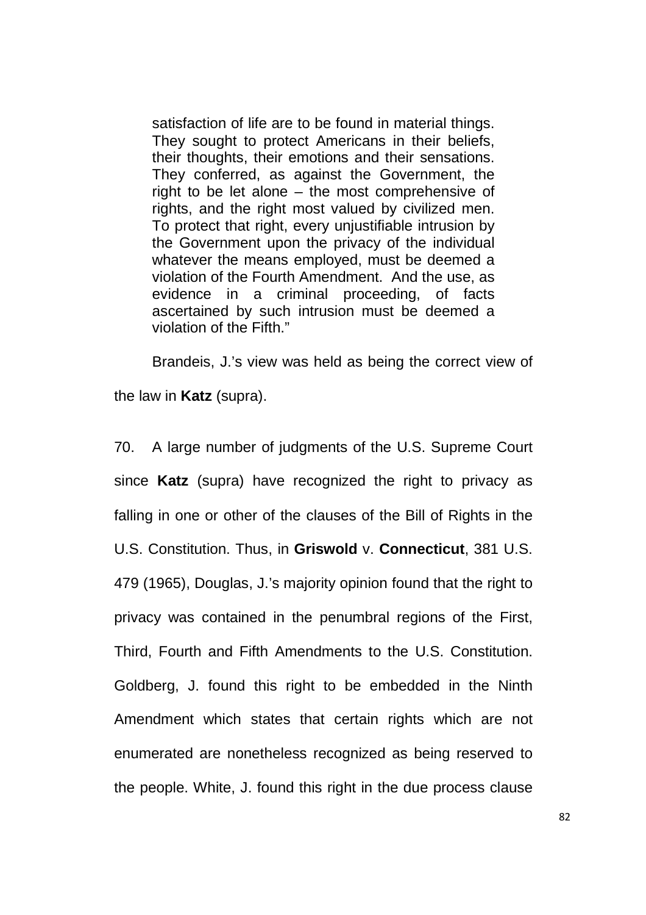satisfaction of life are to be found in material things. They sought to protect Americans in their beliefs, their thoughts, their emotions and their sensations. They conferred, as against the Government, the right to be let alone – the most comprehensive of rights, and the right most valued by civilized men. To protect that right, every unjustifiable intrusion by the Government upon the privacy of the individual whatever the means employed, must be deemed a violation of the Fourth Amendment. And the use, as evidence in a criminal proceeding, of facts ascertained by such intrusion must be deemed a violation of the Fifth."

Brandeis, J.'s view was held as being the correct view of the law in **Katz** (supra).

70. A large number of judgments of the U.S. Supreme Court since **Katz** (supra) have recognized the right to privacy as falling in one or other of the clauses of the Bill of Rights in the U.S. Constitution. Thus, in **Griswold** v. **Connecticut**, 381 U.S. 479 (1965), Douglas, J.'s majority opinion found that the right to privacy was contained in the penumbral regions of the First, Third, Fourth and Fifth Amendments to the U.S. Constitution. Goldberg, J. found this right to be embedded in the Ninth Amendment which states that certain rights which are not enumerated are nonetheless recognized as being reserved to the people. White, J. found this right in the due process clause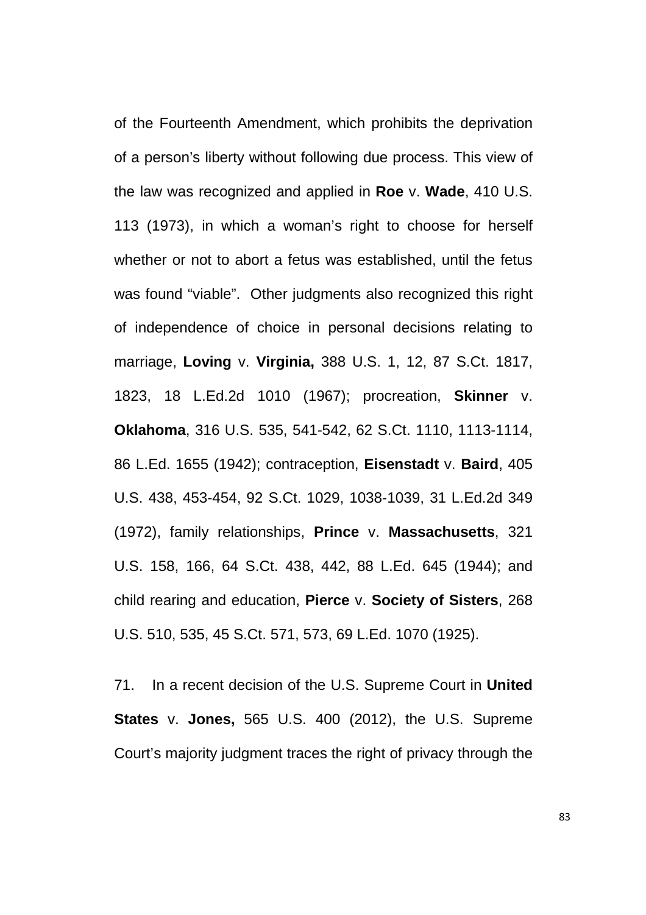of the Fourteenth Amendment, which prohibits the deprivation of a person's liberty without following due process. This view of the law was recognized and applied in **Roe** v. **Wade**, 410 U.S. 113 (1973), in which a woman's right to choose for herself whether or not to abort a fetus was established, until the fetus was found "viable". Other judgments also recognized this right of independence of choice in personal decisions relating to marriage, **Loving** v. **Virginia,** 388 U.S. 1, 12, 87 S.Ct. 1817, 1823, 18 L.Ed.2d 1010 (1967); procreation, **Skinner** v. **Oklahoma**, 316 U.S. 535, 541-542, 62 S.Ct. 1110, 1113-1114, 86 L.Ed. 1655 (1942); contraception, **Eisenstadt** v. **Baird**, 405 U.S. 438, 453-454, 92 S.Ct. 1029, 1038-1039, 31 L.Ed.2d 349 (1972), family relationships, **Prince** v. **Massachusetts**, 321 U.S. 158, 166, 64 S.Ct. 438, 442, 88 L.Ed. 645 (1944); and child rearing and education, **Pierce** v. **Society of Sisters**, 268 U.S. 510, 535, 45 S.Ct. 571, 573, 69 L.Ed. 1070 (1925).

71. In a recent decision of the U.S. Supreme Court in **United States** v. **Jones,** 565 U.S. 400 (2012), the U.S. Supreme Court's majority judgment traces the right of privacy through the

83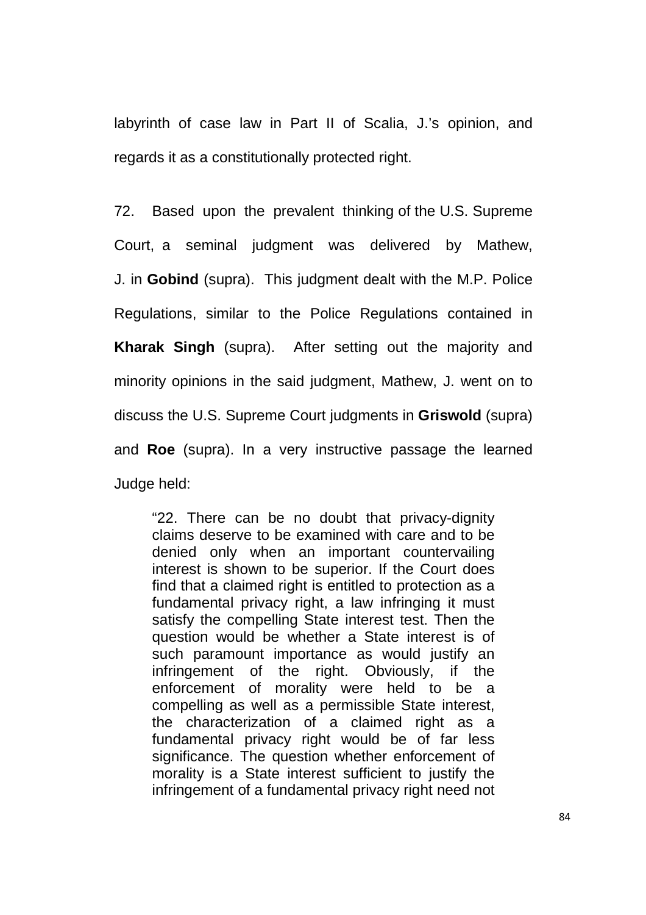labyrinth of case law in Part II of Scalia, J.'s opinion, and regards it as a constitutionally protected right.

72. Based upon the prevalent thinking of the U.S. Supreme Court, a seminal judgment was delivered by Mathew, J. in **Gobind** (supra). This judgment dealt with the M.P. Police Regulations, similar to the Police Regulations contained in **Kharak Singh** (supra). After setting out the majority and minority opinions in the said judgment, Mathew, J. went on to discuss the U.S. Supreme Court judgments in **Griswold** (supra) and **Roe** (supra). In a very instructive passage the learned Judge held:

"22. There can be no doubt that privacy-dignity claims deserve to be examined with care and to be denied only when an important countervailing interest is shown to be superior. If the Court does find that a claimed right is entitled to protection as a fundamental privacy right, a law infringing it must satisfy the compelling State interest test. Then the question would be whether a State interest is of such paramount importance as would justify an infringement of the right. Obviously, if the enforcement of morality were held to be a compelling as well as a permissible State interest, the characterization of a claimed right as a fundamental privacy right would be of far less significance. The question whether enforcement of morality is a State interest sufficient to justify the infringement of a fundamental privacy right need not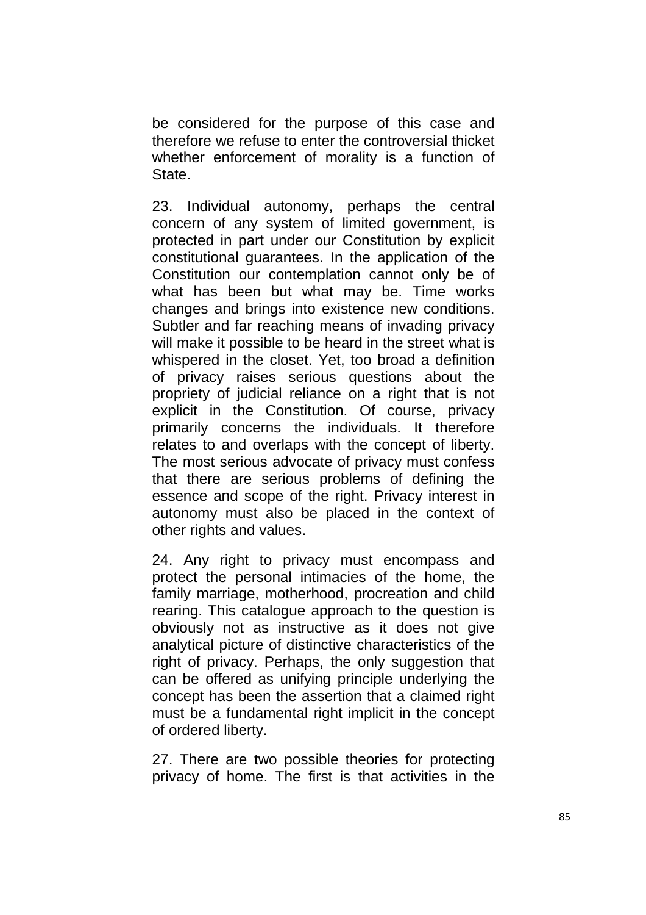be considered for the purpose of this case and therefore we refuse to enter the controversial thicket whether enforcement of morality is a function of State.

23. Individual autonomy, perhaps the central concern of any system of limited government, is protected in part under our Constitution by explicit constitutional guarantees. In the application of the Constitution our contemplation cannot only be of what has been but what may be. Time works changes and brings into existence new conditions. Subtler and far reaching means of invading privacy will make it possible to be heard in the street what is whispered in the closet. Yet, too broad a definition of privacy raises serious questions about the propriety of judicial reliance on a right that is not explicit in the Constitution. Of course, privacy primarily concerns the individuals. It therefore relates to and overlaps with the concept of liberty. The most serious advocate of privacy must confess that there are serious problems of defining the essence and scope of the right. Privacy interest in autonomy must also be placed in the context of other rights and values.

24. Any right to privacy must encompass and protect the personal intimacies of the home, the family marriage, motherhood, procreation and child rearing. This catalogue approach to the question is obviously not as instructive as it does not give analytical picture of distinctive characteristics of the right of privacy. Perhaps, the only suggestion that can be offered as unifying principle underlying the concept has been the assertion that a claimed right must be a fundamental right implicit in the concept of ordered liberty.

27. There are two possible theories for protecting privacy of home. The first is that activities in the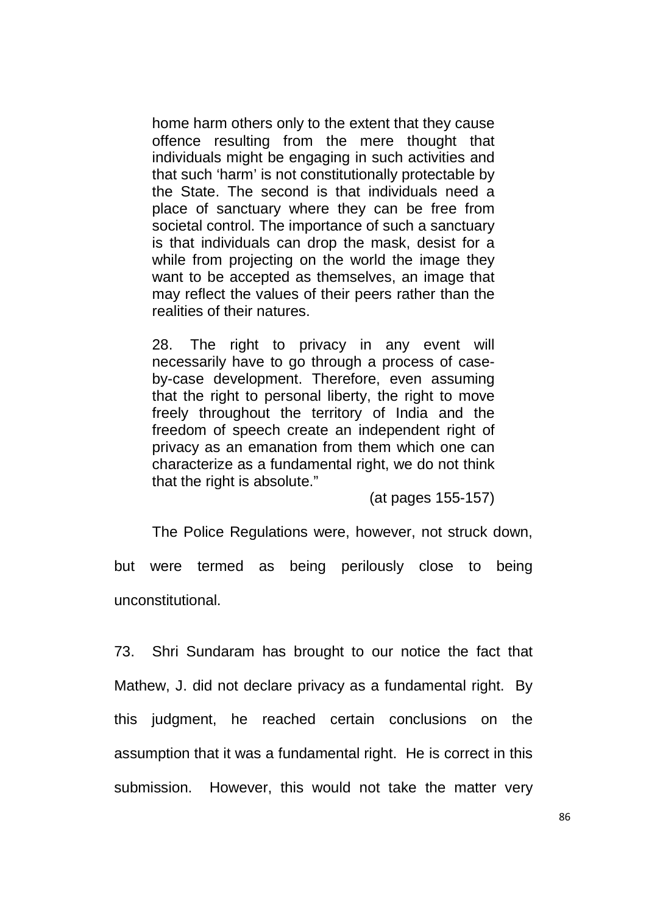home harm others only to the extent that they cause offence resulting from the mere thought that individuals might be engaging in such activities and that such 'harm' is not constitutionally protectable by the State. The second is that individuals need a place of sanctuary where they can be free from societal control. The importance of such a sanctuary is that individuals can drop the mask, desist for a while from projecting on the world the image they want to be accepted as themselves, an image that may reflect the values of their peers rather than the realities of their natures.

28. The right to privacy in any event will necessarily have to go through a process of caseby-case development. Therefore, even assuming that the right to personal liberty, the right to move freely throughout the territory of India and the freedom of speech create an independent right of privacy as an emanation from them which one can characterize as a fundamental right, we do not think that the right is absolute."

(at pages 155-157)

The Police Regulations were, however, not struck down,

but were termed as being perilously close to being unconstitutional.

73. Shri Sundaram has brought to our notice the fact that Mathew, J. did not declare privacy as a fundamental right. By this judgment, he reached certain conclusions on the assumption that it was a fundamental right. He is correct in this submission. However, this would not take the matter very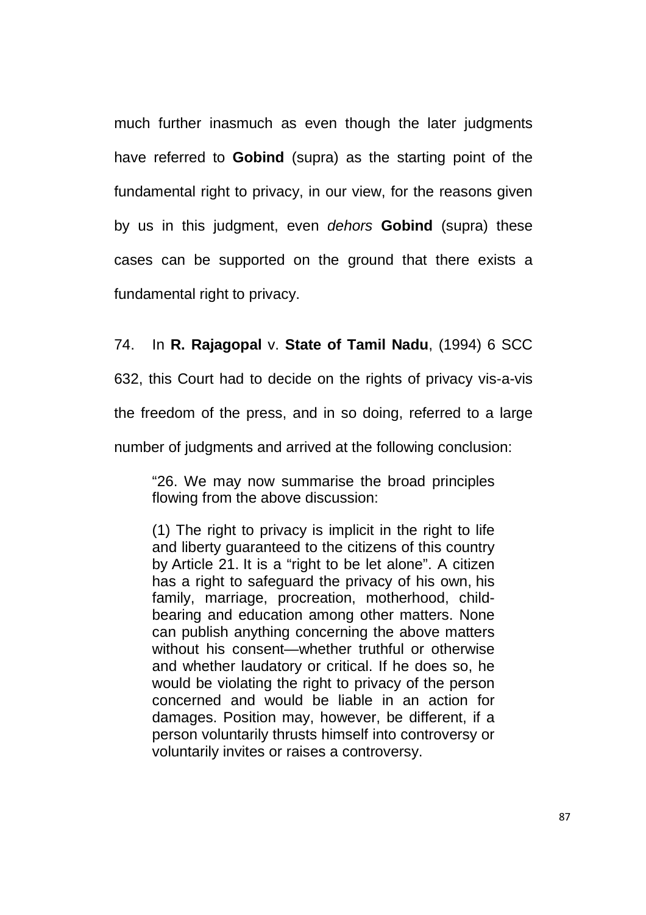much further inasmuch as even though the later judgments have referred to **Gobind** (supra) as the starting point of the fundamental right to privacy, in our view, for the reasons given by us in this judgment, even dehors **Gobind** (supra) these cases can be supported on the ground that there exists a fundamental right to privacy.

### 74. In **R. Rajagopal** v. **State of Tamil Nadu**, (1994) 6 SCC

632, this Court had to decide on the rights of privacy vis-a-vis

the freedom of the press, and in so doing, referred to a large

number of judgments and arrived at the following conclusion:

"26. We may now summarise the broad principles flowing from the above discussion:

(1) The right to privacy is implicit in the right to life and liberty guaranteed to the citizens of this country by Article 21. It is a "right to be let alone". A citizen has a right to safeguard the privacy of his own, his family, marriage, procreation, motherhood, childbearing and education among other matters. None can publish anything concerning the above matters without his consent—whether truthful or otherwise and whether laudatory or critical. If he does so, he would be violating the right to privacy of the person concerned and would be liable in an action for damages. Position may, however, be different, if a person voluntarily thrusts himself into controversy or voluntarily invites or raises a controversy.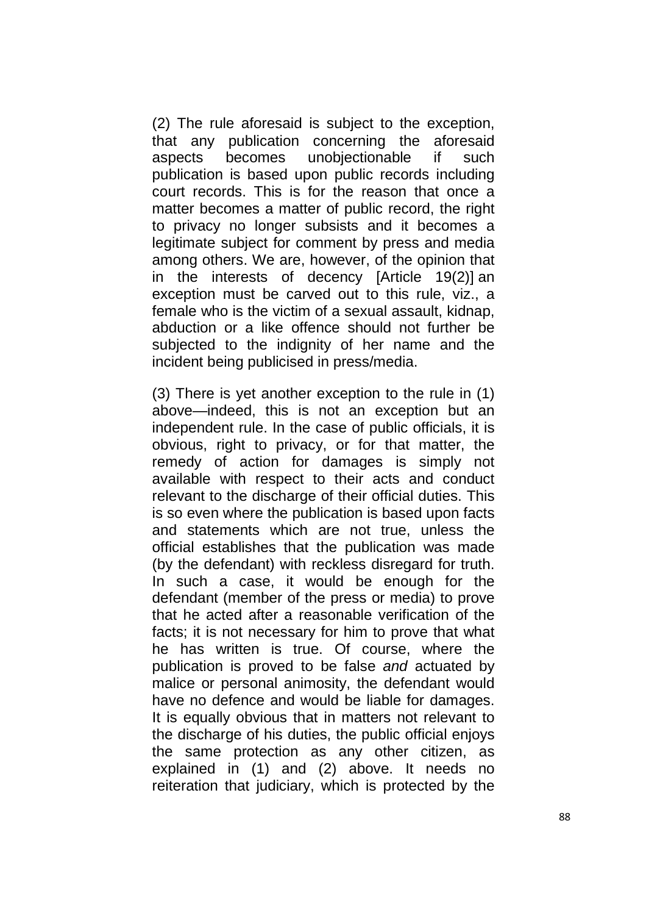(2) The rule aforesaid is subject to the exception, that any publication concerning the aforesaid aspects becomes unobjectionable if such publication is based upon public records including court records. This is for the reason that once a matter becomes a matter of public record, the right to privacy no longer subsists and it becomes a legitimate subject for comment by press and media among others. We are, however, of the opinion that in the interests of decency [Article 19(2)] an exception must be carved out to this rule, viz., a female who is the victim of a sexual assault, kidnap, abduction or a like offence should not further be subjected to the indignity of her name and the incident being publicised in press/media.

(3) There is yet another exception to the rule in (1) above—indeed, this is not an exception but an independent rule. In the case of public officials, it is obvious, right to privacy, or for that matter, the remedy of action for damages is simply not available with respect to their acts and conduct relevant to the discharge of their official duties. This is so even where the publication is based upon facts and statements which are not true, unless the official establishes that the publication was made (by the defendant) with reckless disregard for truth. In such a case, it would be enough for the defendant (member of the press or media) to prove that he acted after a reasonable verification of the facts; it is not necessary for him to prove that what he has written is true. Of course, where the publication is proved to be false and actuated by malice or personal animosity, the defendant would have no defence and would be liable for damages. It is equally obvious that in matters not relevant to the discharge of his duties, the public official enjoys the same protection as any other citizen, as explained in (1) and (2) above. It needs no reiteration that judiciary, which is protected by the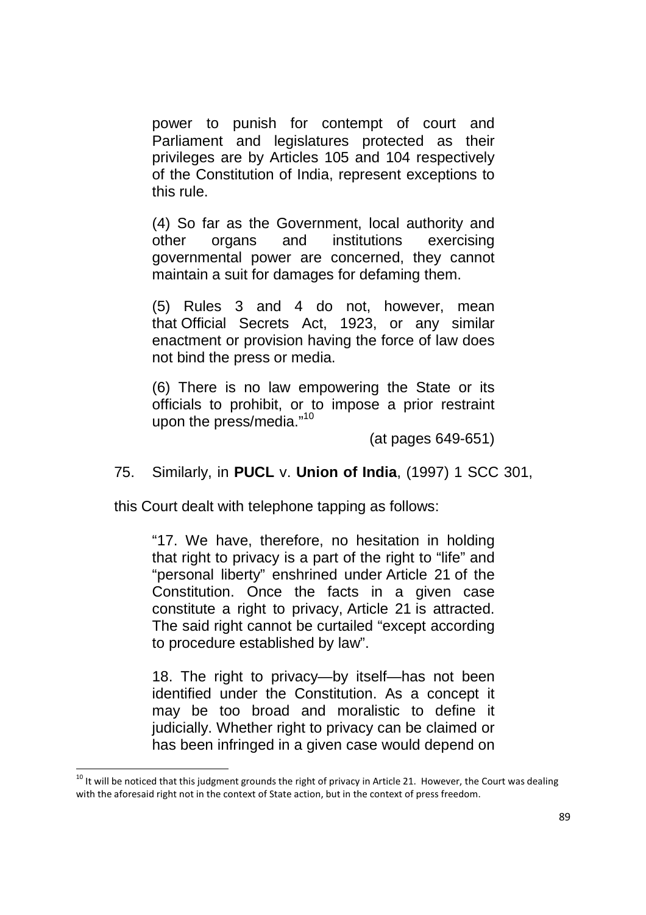power to punish for contempt of court and Parliament and legislatures protected as their privileges are by Articles 105 and 104 respectively of the Constitution of India, represent exceptions to this rule.

(4) So far as the Government, local authority and other organs and institutions exercising governmental power are concerned, they cannot maintain a suit for damages for defaming them.

(5) Rules 3 and 4 do not, however, mean that Official Secrets Act, 1923, or any similar enactment or provision having the force of law does not bind the press or media.

(6) There is no law empowering the State or its officials to prohibit, or to impose a prior restraint upon the press/media."<sup>10</sup>

(at pages 649-651)

75. Similarly, in **PUCL** v. **Union of India**, (1997) 1 SCC 301,

this Court dealt with telephone tapping as follows:

"17. We have, therefore, no hesitation in holding that right to privacy is a part of the right to "life" and "personal liberty" enshrined under Article 21 of the Constitution. Once the facts in a given case constitute a right to privacy, Article 21 is attracted. The said right cannot be curtailed "except according to procedure established by law".

18. The right to privacy—by itself—has not been identified under the Constitution. As a concept it may be too broad and moralistic to define it judicially. Whether right to privacy can be claimed or has been infringed in a given case would depend on

<u>.</u>

 $10$  It will be noticed that this judgment grounds the right of privacy in Article 21. However, the Court was dealing with the aforesaid right not in the context of State action, but in the context of press freedom.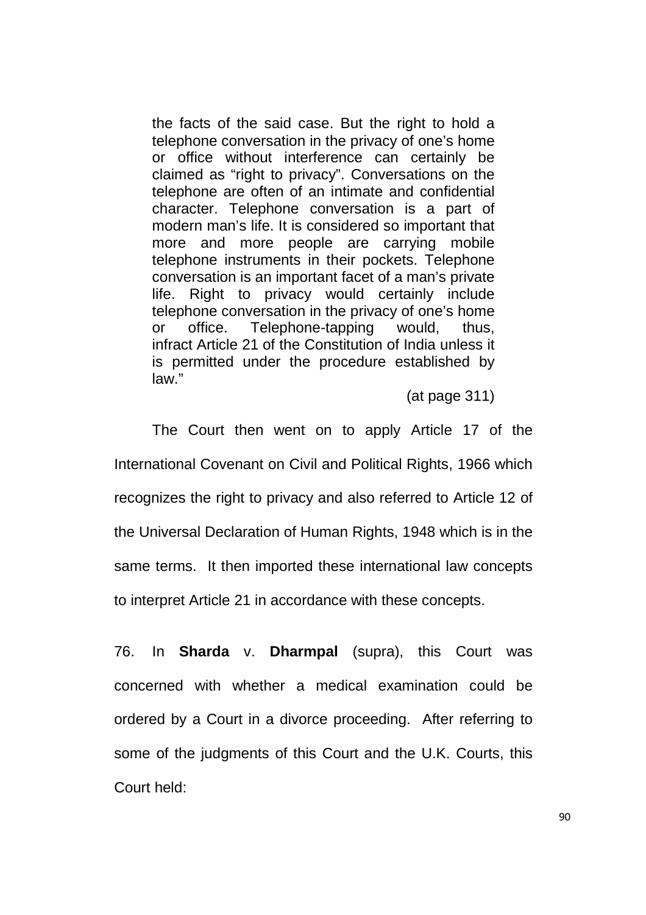the facts of the said case. But the right to hold a telephone conversation in the privacy of one's home or office without interference can certainly be claimed as "right to privacy". Conversations on the telephone are often of an intimate and confidential character. Telephone conversation is a part of modern man's life. It is considered so important that more and more people are carrying mobile telephone instruments in their pockets. Telephone conversation is an important facet of a man's private life. Right to privacy would certainly include telephone conversation in the privacy of one's home or office. Telephone-tapping would, thus, infract Article 21 of the Constitution of India unless it is permitted under the procedure established by law."

(at page 311)

The Court then went on to apply Article 17 of the International Covenant on Civil and Political Rights, 1966 which recognizes the right to privacy and also referred to Article 12 of the Universal Declaration of Human Rights, 1948 which is in the same terms. It then imported these international law concepts to interpret Article 21 in accordance with these concepts.

76. In **Sharda** v. **Dharmpal** (supra), this Court was concerned with whether a medical examination could be ordered by a Court in a divorce proceeding. After referring to some of the judgments of this Court and the U.K. Courts, this Court held: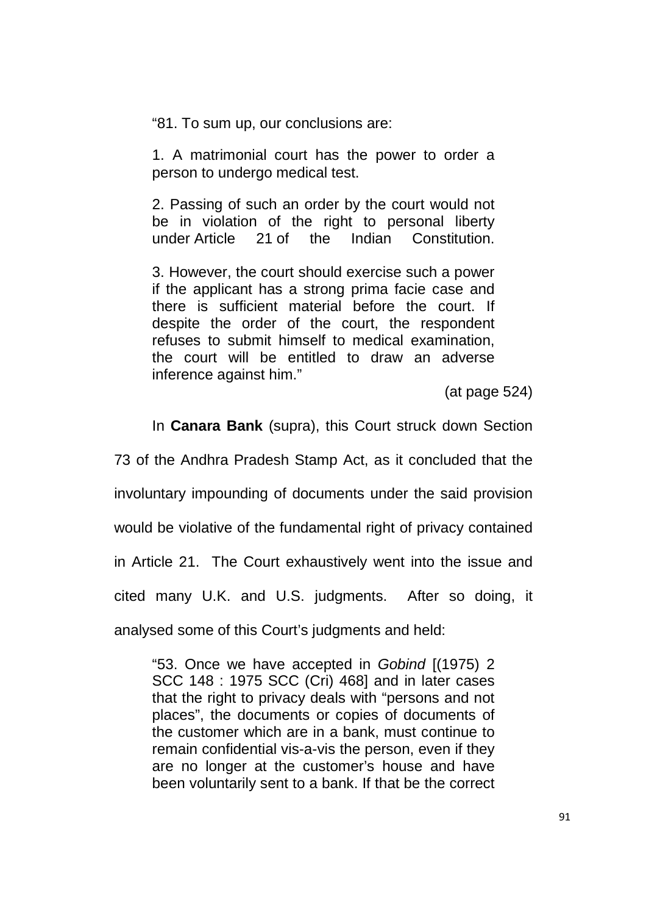"81. To sum up, our conclusions are:

1. A matrimonial court has the power to order a person to undergo medical test.

2. Passing of such an order by the court would not be in violation of the right to personal liberty under Article 21 of the Indian Constitution.

3. However, the court should exercise such a power if the applicant has a strong prima facie case and there is sufficient material before the court. If despite the order of the court, the respondent refuses to submit himself to medical examination, the court will be entitled to draw an adverse inference against him."

(at page 524)

In **Canara Bank** (supra), this Court struck down Section

73 of the Andhra Pradesh Stamp Act, as it concluded that the involuntary impounding of documents under the said provision would be violative of the fundamental right of privacy contained in Article 21. The Court exhaustively went into the issue and cited many U.K. and U.S. judgments. After so doing, it analysed some of this Court's judgments and held:

"53. Once we have accepted in Gobind [(1975) 2 SCC 148 : 1975 SCC (Cri) 468] and in later cases that the right to privacy deals with "persons and not places", the documents or copies of documents of the customer which are in a bank, must continue to remain confidential vis-a-vis the person, even if they are no longer at the customer's house and have been voluntarily sent to a bank. If that be the correct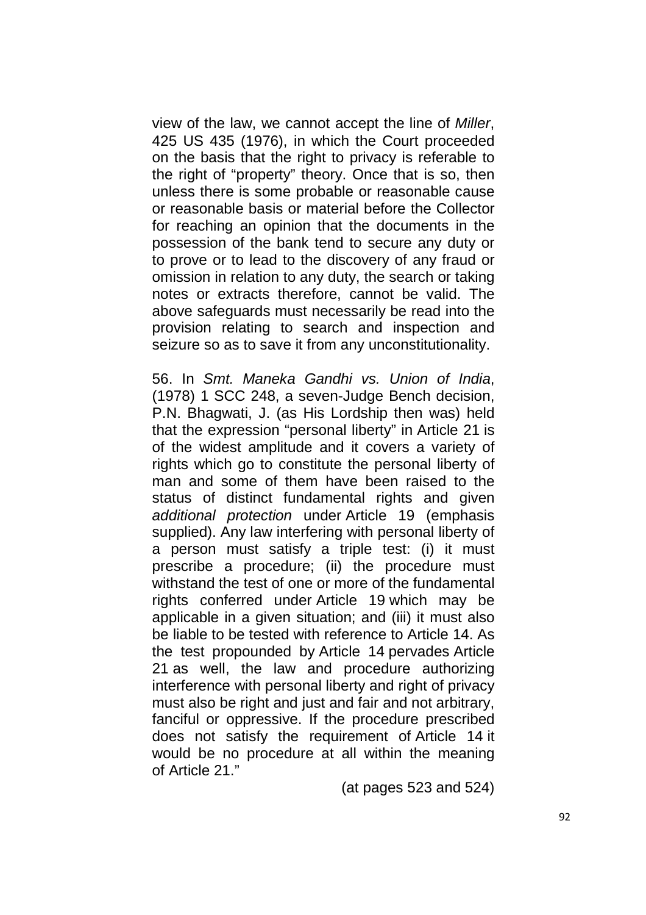view of the law, we cannot accept the line of Miller, 425 US 435 (1976), in which the Court proceeded on the basis that the right to privacy is referable to the right of "property" theory. Once that is so, then unless there is some probable or reasonable cause or reasonable basis or material before the Collector for reaching an opinion that the documents in the possession of the bank tend to secure any duty or to prove or to lead to the discovery of any fraud or omission in relation to any duty, the search or taking notes or extracts therefore, cannot be valid. The above safeguards must necessarily be read into the provision relating to search and inspection and seizure so as to save it from any unconstitutionality.

56. In Smt. Maneka Gandhi vs. Union of India, (1978) 1 SCC 248, a seven-Judge Bench decision, P.N. Bhagwati, J. (as His Lordship then was) held that the expression "personal liberty" in Article 21 is of the widest amplitude and it covers a variety of rights which go to constitute the personal liberty of man and some of them have been raised to the status of distinct fundamental rights and given additional protection under Article 19 (emphasis supplied). Any law interfering with personal liberty of a person must satisfy a triple test: (i) it must prescribe a procedure; (ii) the procedure must withstand the test of one or more of the fundamental rights conferred under Article 19 which may be applicable in a given situation; and (iii) it must also be liable to be tested with reference to Article 14. As the test propounded by Article 14 pervades Article 21 as well, the law and procedure authorizing interference with personal liberty and right of privacy must also be right and just and fair and not arbitrary, fanciful or oppressive. If the procedure prescribed does not satisfy the requirement of Article 14 it would be no procedure at all within the meaning of Article 21."

(at pages 523 and 524)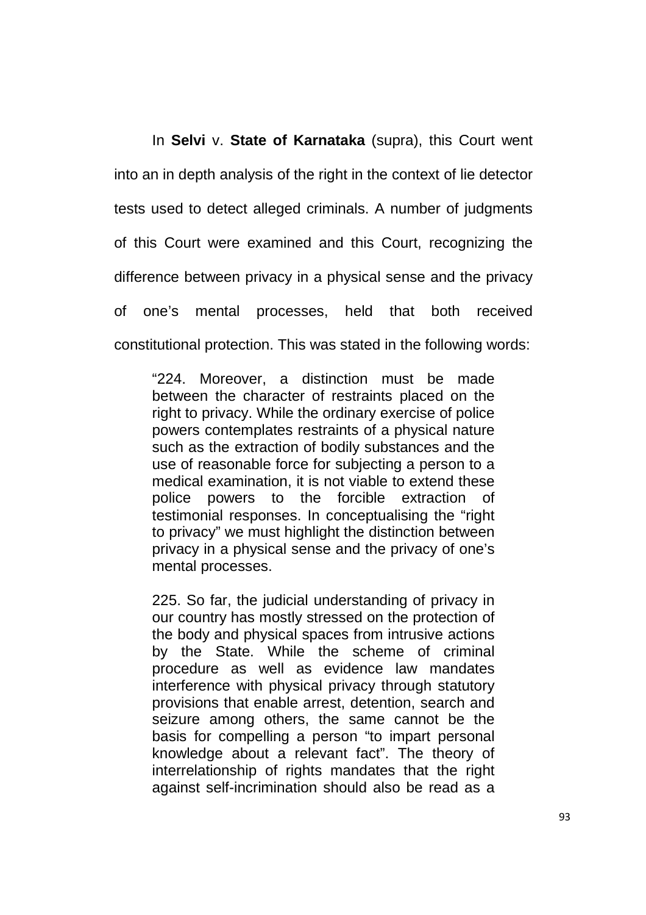In **Selvi** v. **State of Karnataka** (supra), this Court went into an in depth analysis of the right in the context of lie detector tests used to detect alleged criminals. A number of judgments of this Court were examined and this Court, recognizing the difference between privacy in a physical sense and the privacy of one's mental processes, held that both received constitutional protection. This was stated in the following words:

"224. Moreover, a distinction must be made between the character of restraints placed on the right to privacy. While the ordinary exercise of police powers contemplates restraints of a physical nature such as the extraction of bodily substances and the use of reasonable force for subjecting a person to a medical examination, it is not viable to extend these police powers to the forcible extraction of testimonial responses. In conceptualising the "right to privacy" we must highlight the distinction between privacy in a physical sense and the privacy of one's mental processes.

225. So far, the judicial understanding of privacy in our country has mostly stressed on the protection of the body and physical spaces from intrusive actions by the State. While the scheme of criminal procedure as well as evidence law mandates interference with physical privacy through statutory provisions that enable arrest, detention, search and seizure among others, the same cannot be the basis for compelling a person "to impart personal knowledge about a relevant fact". The theory of interrelationship of rights mandates that the right against self-incrimination should also be read as a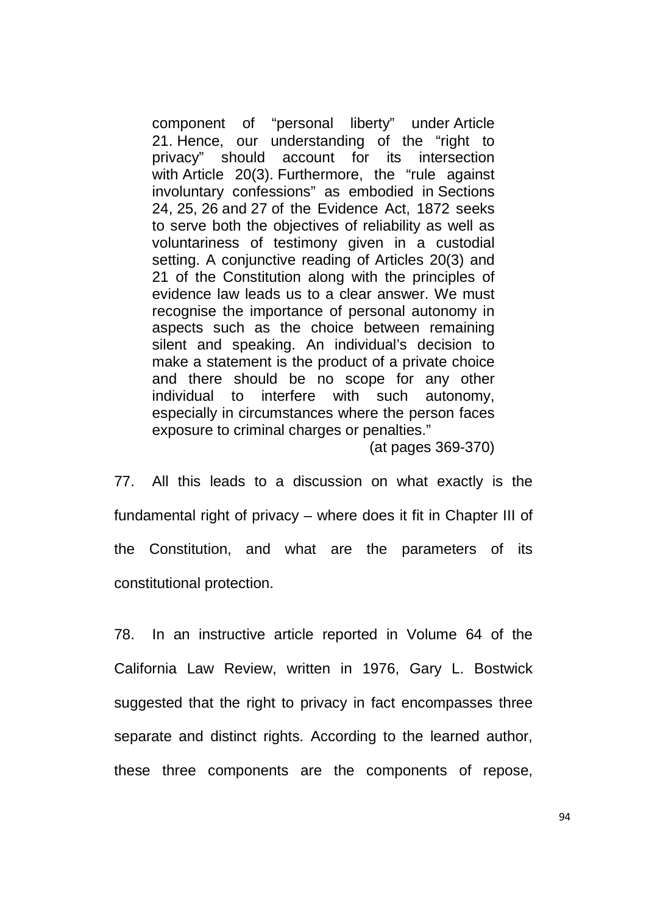component of "personal liberty" under Article 21. Hence, our understanding of the "right to privacy" should account for its intersection with Article 20(3). Furthermore, the "rule against involuntary confessions" as embodied in Sections 24, 25, 26 and 27 of the Evidence Act, 1872 seeks to serve both the objectives of reliability as well as voluntariness of testimony given in a custodial setting. A conjunctive reading of Articles 20(3) and 21 of the Constitution along with the principles of evidence law leads us to a clear answer. We must recognise the importance of personal autonomy in aspects such as the choice between remaining silent and speaking. An individual's decision to make a statement is the product of a private choice and there should be no scope for any other individual to interfere with such autonomy, especially in circumstances where the person faces exposure to criminal charges or penalties."

(at pages 369-370)

77. All this leads to a discussion on what exactly is the fundamental right of privacy – where does it fit in Chapter III of the Constitution, and what are the parameters of its constitutional protection.

78. In an instructive article reported in Volume 64 of the California Law Review, written in 1976, Gary L. Bostwick suggested that the right to privacy in fact encompasses three separate and distinct rights. According to the learned author, these three components are the components of repose,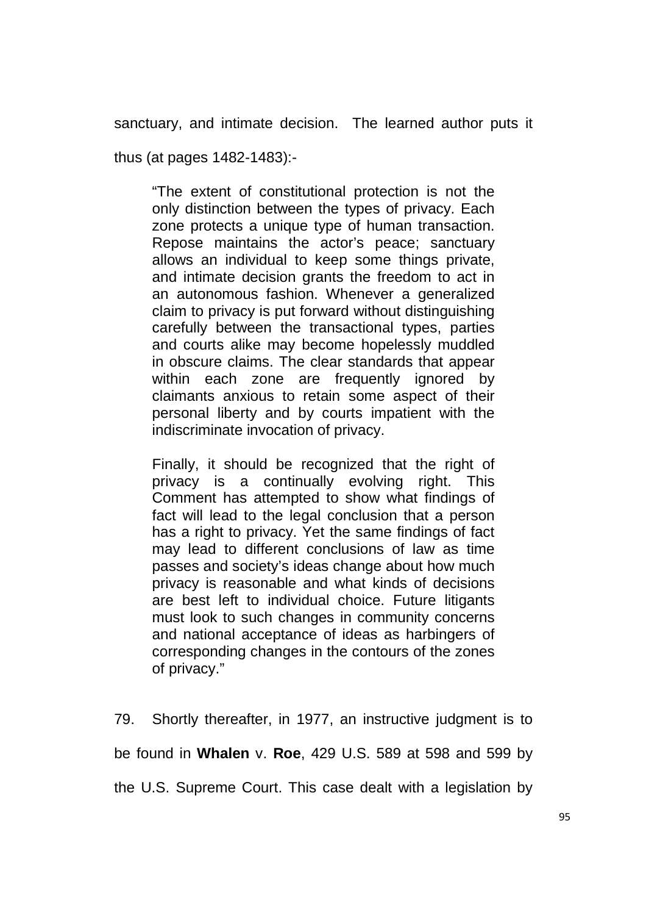sanctuary, and intimate decision. The learned author puts it

thus (at pages 1482-1483):-

"The extent of constitutional protection is not the only distinction between the types of privacy. Each zone protects a unique type of human transaction. Repose maintains the actor's peace; sanctuary allows an individual to keep some things private, and intimate decision grants the freedom to act in an autonomous fashion. Whenever a generalized claim to privacy is put forward without distinguishing carefully between the transactional types, parties and courts alike may become hopelessly muddled in obscure claims. The clear standards that appear within each zone are frequently ignored by claimants anxious to retain some aspect of their personal liberty and by courts impatient with the indiscriminate invocation of privacy.

Finally, it should be recognized that the right of privacy is a continually evolving right. This Comment has attempted to show what findings of fact will lead to the legal conclusion that a person has a right to privacy. Yet the same findings of fact may lead to different conclusions of law as time passes and society's ideas change about how much privacy is reasonable and what kinds of decisions are best left to individual choice. Future litigants must look to such changes in community concerns and national acceptance of ideas as harbingers of corresponding changes in the contours of the zones of privacy."

79. Shortly thereafter, in 1977, an instructive judgment is to be found in **Whalen** v. **Roe**, 429 U.S. 589 at 598 and 599 by the U.S. Supreme Court. This case dealt with a legislation by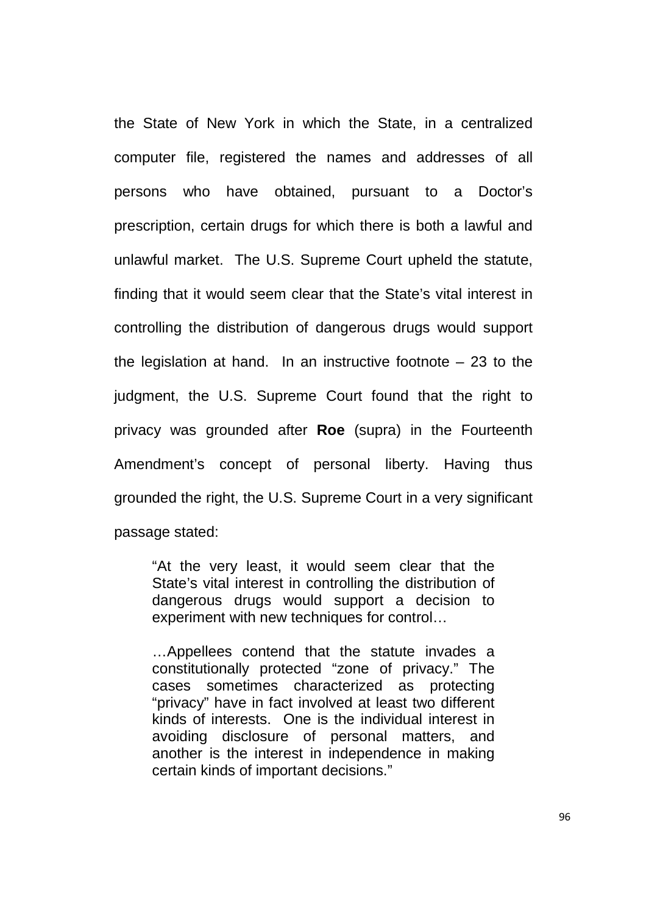the State of New York in which the State, in a centralized computer file, registered the names and addresses of all persons who have obtained, pursuant to a Doctor's prescription, certain drugs for which there is both a lawful and unlawful market. The U.S. Supreme Court upheld the statute, finding that it would seem clear that the State's vital interest in controlling the distribution of dangerous drugs would support the legislation at hand. In an instructive footnote  $-23$  to the judgment, the U.S. Supreme Court found that the right to privacy was grounded after **Roe** (supra) in the Fourteenth Amendment's concept of personal liberty. Having thus grounded the right, the U.S. Supreme Court in a very significant passage stated:

"At the very least, it would seem clear that the State's vital interest in controlling the distribution of dangerous drugs would support a decision to experiment with new techniques for control…

…Appellees contend that the statute invades a constitutionally protected "zone of privacy." The cases sometimes characterized as protecting "privacy" have in fact involved at least two different kinds of interests. One is the individual interest in avoiding disclosure of personal matters, and another is the interest in independence in making certain kinds of important decisions."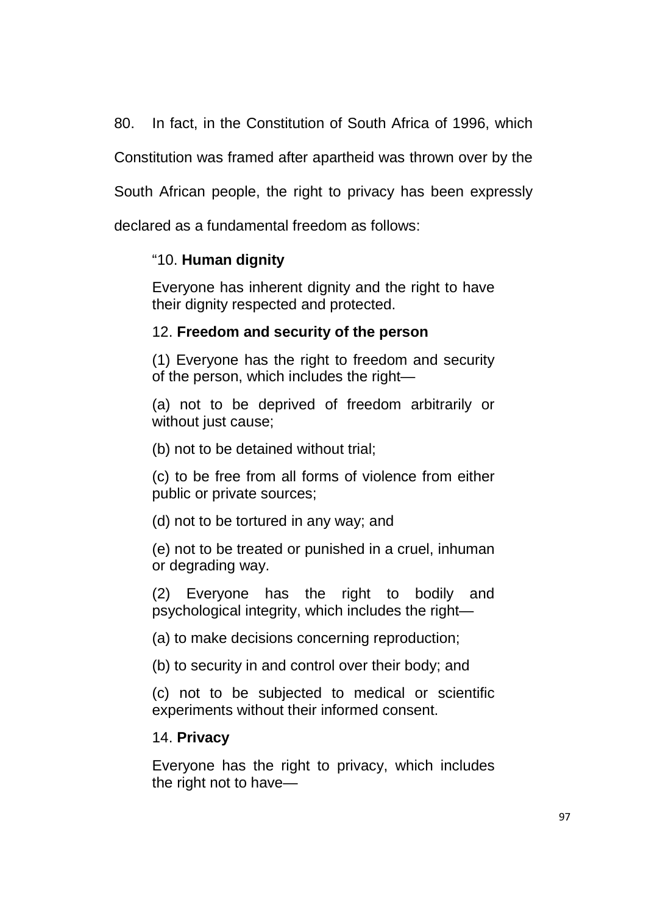80. In fact, in the Constitution of South Africa of 1996, which

Constitution was framed after apartheid was thrown over by the

South African people, the right to privacy has been expressly

declared as a fundamental freedom as follows:

## "10. **Human dignity**

Everyone has inherent dignity and the right to have their dignity respected and protected.

# 12. **Freedom and security of the person**

(1) Everyone has the right to freedom and security of the person, which includes the right—

(a) not to be deprived of freedom arbitrarily or without just cause;

(b) not to be detained without trial;

(c) to be free from all forms of violence from either public or private sources;

(d) not to be tortured in any way; and

(e) not to be treated or punished in a cruel, inhuman or degrading way.

(2) Everyone has the right to bodily and psychological integrity, which includes the right—

(a) to make decisions concerning reproduction;

(b) to security in and control over their body; and

(c) not to be subjected to medical or scientific experiments without their informed consent.

## 14. **Privacy**

Everyone has the right to privacy, which includes the right not to have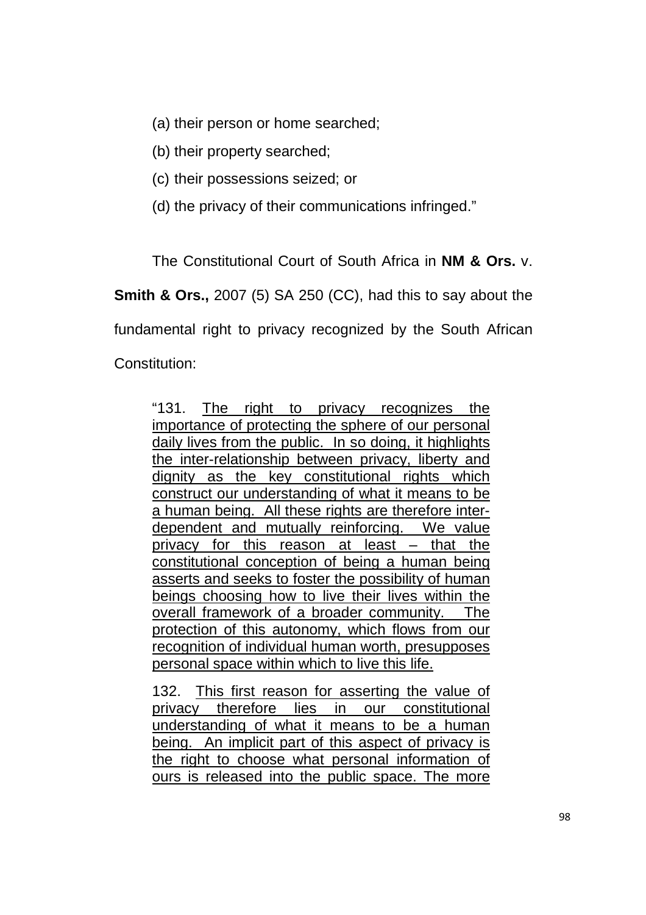(a) their person or home searched;

(b) their property searched;

(c) their possessions seized; or

(d) the privacy of their communications infringed."

The Constitutional Court of South Africa in **NM & Ors.** v.

**Smith & Ors., 2007 (5) SA 250 (CC), had this to say about the** 

fundamental right to privacy recognized by the South African

Constitution:

"131. The right to privacy recognizes the importance of protecting the sphere of our personal daily lives from the public. In so doing, it highlights the inter-relationship between privacy, liberty and dignity as the key constitutional rights which construct our understanding of what it means to be a human being. All these rights are therefore interdependent and mutually reinforcing. We value privacy for this reason at least – that the constitutional conception of being a human being asserts and seeks to foster the possibility of human beings choosing how to live their lives within the overall framework of a broader community. The protection of this autonomy, which flows from our recognition of individual human worth, presupposes personal space within which to live this life.

132. This first reason for asserting the value of privacy therefore lies in our constitutional understanding of what it means to be a human being. An implicit part of this aspect of privacy is the right to choose what personal information of ours is released into the public space. The more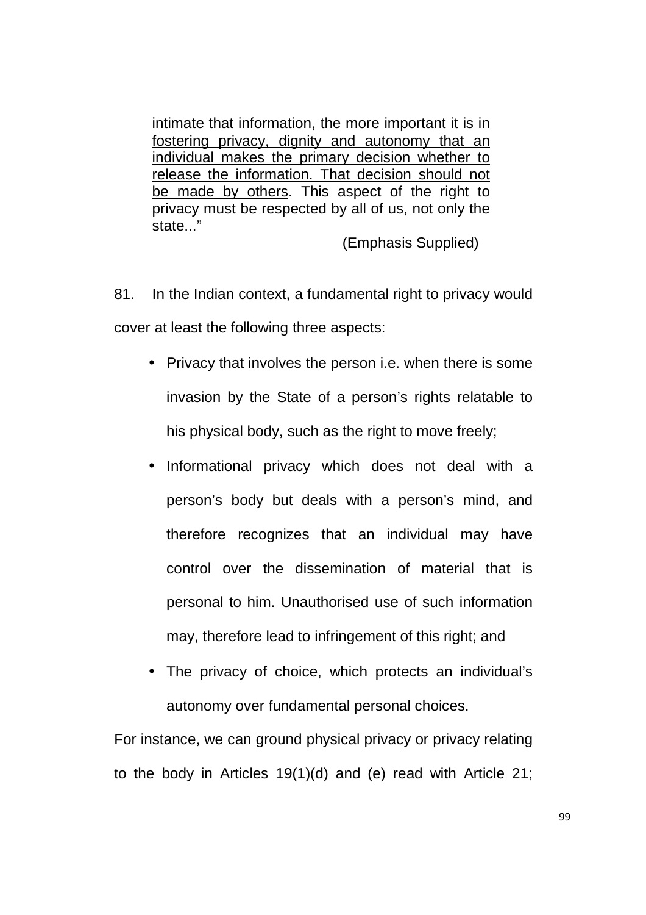intimate that information, the more important it is in fostering privacy, dignity and autonomy that an individual makes the primary decision whether to release the information. That decision should not be made by others. This aspect of the right to privacy must be respected by all of us, not only the state..."

(Emphasis Supplied)

81. In the Indian context, a fundamental right to privacy would cover at least the following three aspects:

- Privacy that involves the person i.e. when there is some invasion by the State of a person's rights relatable to his physical body, such as the right to move freely;
- Informational privacy which does not deal with a person's body but deals with a person's mind, and therefore recognizes that an individual may have control over the dissemination of material that is personal to him. Unauthorised use of such information may, therefore lead to infringement of this right; and
- The privacy of choice, which protects an individual's autonomy over fundamental personal choices.

For instance, we can ground physical privacy or privacy relating to the body in Articles 19(1)(d) and (e) read with Article 21;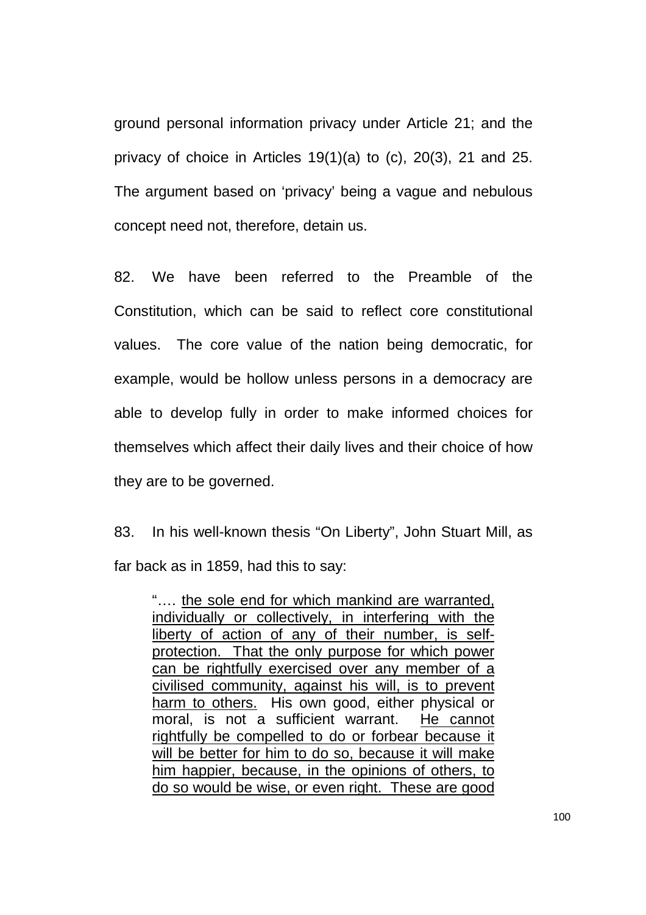ground personal information privacy under Article 21; and the privacy of choice in Articles 19(1)(a) to (c), 20(3), 21 and 25. The argument based on 'privacy' being a vague and nebulous concept need not, therefore, detain us.

82. We have been referred to the Preamble of the Constitution, which can be said to reflect core constitutional values. The core value of the nation being democratic, for example, would be hollow unless persons in a democracy are able to develop fully in order to make informed choices for themselves which affect their daily lives and their choice of how they are to be governed.

83. In his well-known thesis "On Liberty", John Stuart Mill, as far back as in 1859, had this to say:

"…. the sole end for which mankind are warranted, individually or collectively, in interfering with the liberty of action of any of their number, is selfprotection. That the only purpose for which power can be rightfully exercised over any member of a civilised community, against his will, is to prevent harm to others. His own good, either physical or moral, is not a sufficient warrant. He cannot rightfully be compelled to do or forbear because it will be better for him to do so, because it will make him happier, because, in the opinions of others, to do so would be wise, or even right. These are good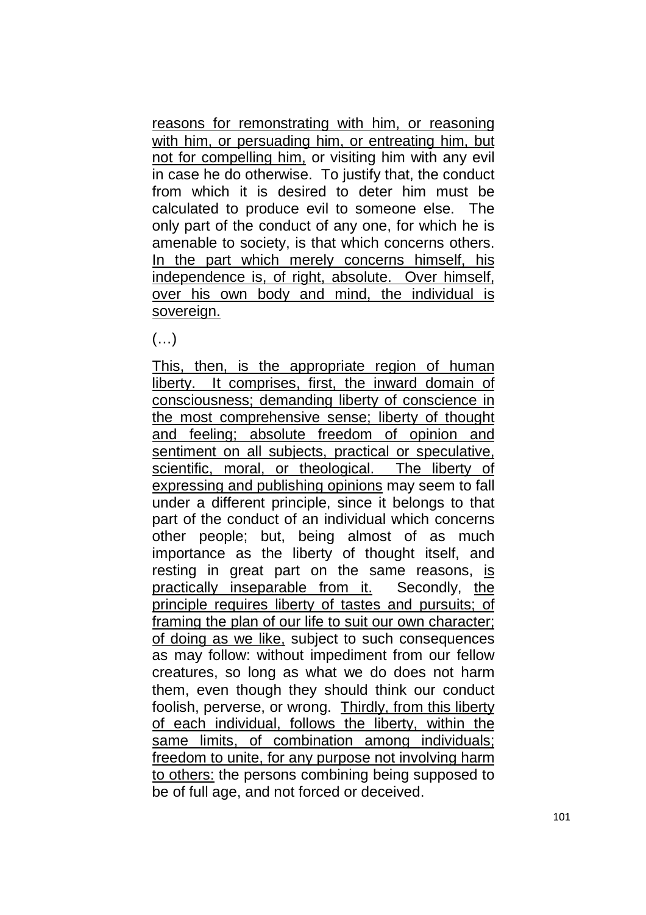reasons for remonstrating with him, or reasoning with him, or persuading him, or entreating him, but not for compelling him, or visiting him with any evil in case he do otherwise. To justify that, the conduct from which it is desired to deter him must be calculated to produce evil to someone else. The only part of the conduct of any one, for which he is amenable to society, is that which concerns others. In the part which merely concerns himself, his independence is, of right, absolute. Over himself, over his own body and mind, the individual is sovereign.

 $(\ldots)$ 

This, then, is the appropriate region of human liberty. It comprises, first, the inward domain of consciousness; demanding liberty of conscience in the most comprehensive sense; liberty of thought and feeling; absolute freedom of opinion and sentiment on all subjects, practical or speculative, scientific, moral, or theological. The liberty of expressing and publishing opinions may seem to fall under a different principle, since it belongs to that part of the conduct of an individual which concerns other people; but, being almost of as much importance as the liberty of thought itself, and resting in great part on the same reasons, is practically inseparable from it. Secondly, the principle requires liberty of tastes and pursuits; of framing the plan of our life to suit our own character; of doing as we like, subject to such consequences as may follow: without impediment from our fellow creatures, so long as what we do does not harm them, even though they should think our conduct foolish, perverse, or wrong. Thirdly, from this liberty of each individual, follows the liberty, within the same limits, of combination among individuals; freedom to unite, for any purpose not involving harm to others: the persons combining being supposed to be of full age, and not forced or deceived.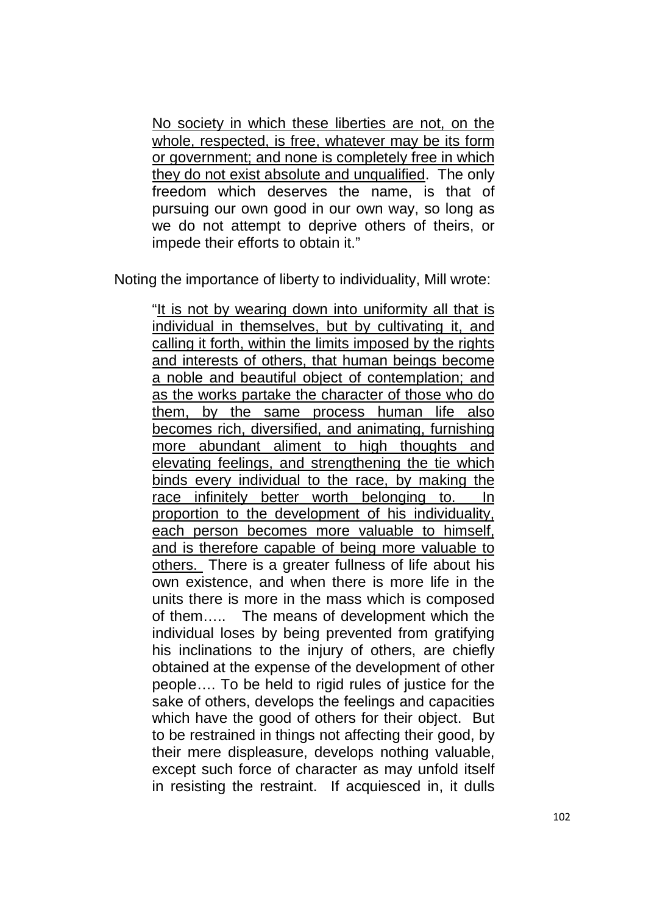No society in which these liberties are not, on the whole, respected, is free, whatever may be its form or government; and none is completely free in which they do not exist absolute and unqualified. The only freedom which deserves the name, is that of pursuing our own good in our own way, so long as we do not attempt to deprive others of theirs, or impede their efforts to obtain it."

Noting the importance of liberty to individuality, Mill wrote:

"It is not by wearing down into uniformity all that is individual in themselves, but by cultivating it, and calling it forth, within the limits imposed by the rights and interests of others, that human beings become a noble and beautiful object of contemplation; and as the works partake the character of those who do them, by the same process human life also becomes rich, diversified, and animating, furnishing more abundant aliment to high thoughts and elevating feelings, and strengthening the tie which binds every individual to the race, by making the race infinitely better worth belonging to. In proportion to the development of his individuality, each person becomes more valuable to himself, and is therefore capable of being more valuable to others. There is a greater fullness of life about his own existence, and when there is more life in the units there is more in the mass which is composed of them….. The means of development which the individual loses by being prevented from gratifying his inclinations to the injury of others, are chiefly obtained at the expense of the development of other people…. To be held to rigid rules of justice for the sake of others, develops the feelings and capacities which have the good of others for their object. But to be restrained in things not affecting their good, by their mere displeasure, develops nothing valuable, except such force of character as may unfold itself in resisting the restraint. If acquiesced in, it dulls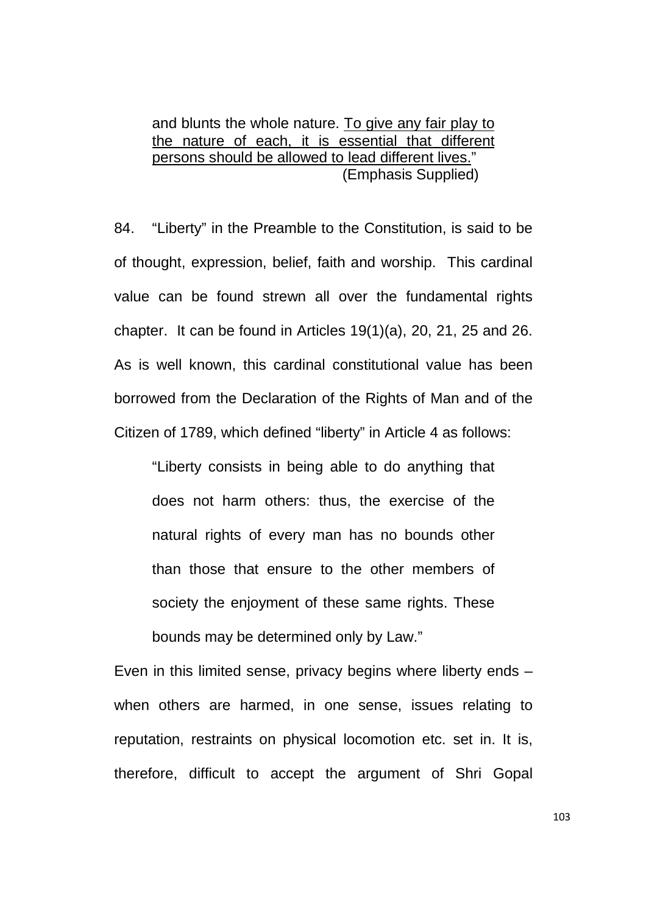and blunts the whole nature. To give any fair play to the nature of each, it is essential that different persons should be allowed to lead different lives." (Emphasis Supplied)

84. "Liberty" in the Preamble to the Constitution, is said to be of thought, expression, belief, faith and worship. This cardinal value can be found strewn all over the fundamental rights chapter. It can be found in Articles 19(1)(a), 20, 21, 25 and 26. As is well known, this cardinal constitutional value has been borrowed from the Declaration of the Rights of Man and of the Citizen of 1789, which defined "liberty" in Article 4 as follows:

"Liberty consists in being able to do anything that does not harm others: thus, the exercise of the natural rights of every man has no bounds other than those that ensure to the other members of society the enjoyment of these same rights. These bounds may be determined only by Law."

Even in this limited sense, privacy begins where liberty ends – when others are harmed, in one sense, issues relating to reputation, restraints on physical locomotion etc. set in. It is, therefore, difficult to accept the argument of Shri Gopal

103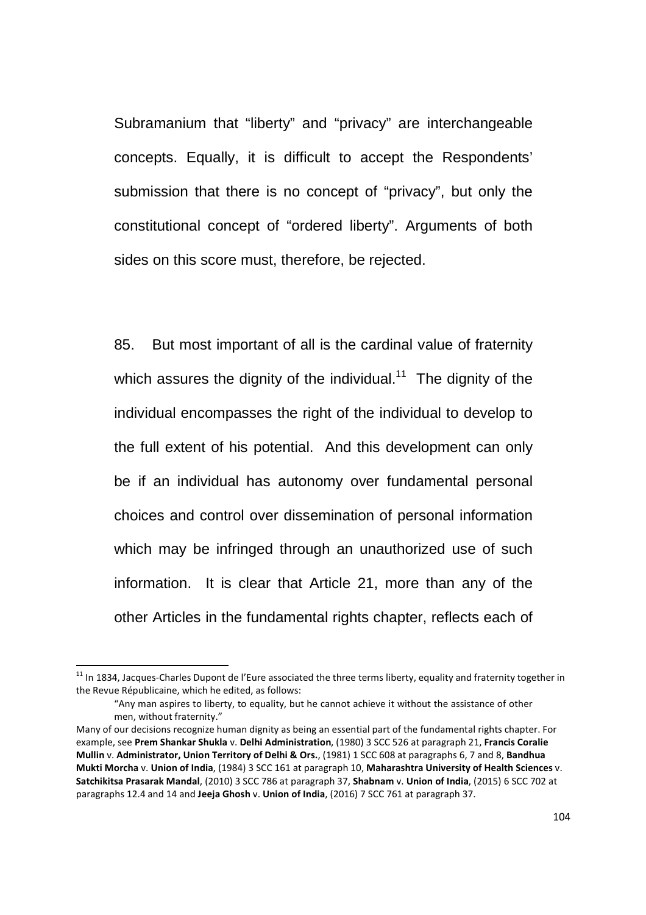Subramanium that "liberty" and "privacy" are interchangeable concepts. Equally, it is difficult to accept the Respondents' submission that there is no concept of "privacy", but only the constitutional concept of "ordered liberty". Arguments of both sides on this score must, therefore, be rejected.

85. But most important of all is the cardinal value of fraternity which assures the dignity of the individual.<sup>11</sup> The dignity of the individual encompasses the right of the individual to develop to the full extent of his potential. And this development can only be if an individual has autonomy over fundamental personal choices and control over dissemination of personal information which may be infringed through an unauthorized use of such information. It is clear that Article 21, more than any of the other Articles in the fundamental rights chapter, reflects each of

-

<sup>&</sup>lt;sup>11</sup> In 1834, Jacques-Charles Dupont de l'Eure associated the three terms liberty, equality and fraternity together in the Revue Républicaine, which he edited, as follows:

<sup>&</sup>quot;Any man aspires to liberty, to equality, but he cannot achieve it without the assistance of other men, without fraternity."

Many of our decisions recognize human dignity as being an essential part of the fundamental rights chapter. For example, see **Prem Shankar Shukla** v. **Delhi Administration**, (1980) 3 SCC 526 at paragraph 21, **Francis Coralie Mullin** v. **Administrator, Union Territory of Delhi & Ors.**, (1981) 1 SCC 608 at paragraphs 6, 7 and 8, **Bandhua Mukti Morcha** v. **Union of India**, (1984) 3 SCC 161 at paragraph 10, **Maharashtra University of Health Sciences** v. **Satchikitsa Prasarak Mandal**, (2010) 3 SCC 786 at paragraph 37, **Shabnam** v. **Union of India**, (2015) 6 SCC 702 at paragraphs 12.4 and 14 and **Jeeja Ghosh** v. **Union of India**, (2016) 7 SCC 761 at paragraph 37.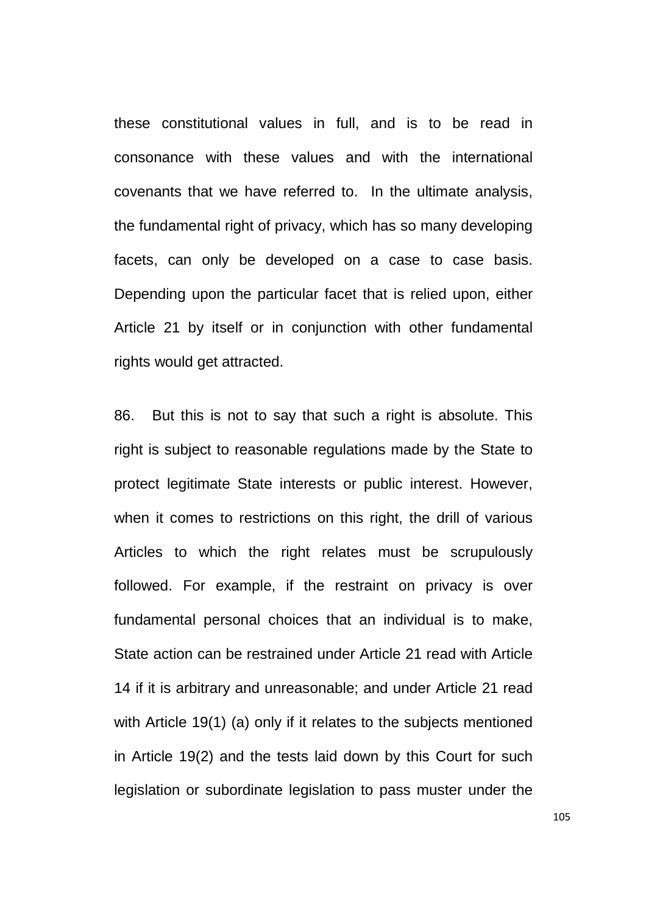these constitutional values in full, and is to be read in consonance with these values and with the international covenants that we have referred to. In the ultimate analysis, the fundamental right of privacy, which has so many developing facets, can only be developed on a case to case basis. Depending upon the particular facet that is relied upon, either Article 21 by itself or in conjunction with other fundamental rights would get attracted.

86. But this is not to say that such a right is absolute. This right is subject to reasonable regulations made by the State to protect legitimate State interests or public interest. However, when it comes to restrictions on this right, the drill of various Articles to which the right relates must be scrupulously followed. For example, if the restraint on privacy is over fundamental personal choices that an individual is to make, State action can be restrained under Article 21 read with Article 14 if it is arbitrary and unreasonable; and under Article 21 read with Article 19(1) (a) only if it relates to the subjects mentioned in Article 19(2) and the tests laid down by this Court for such legislation or subordinate legislation to pass muster under the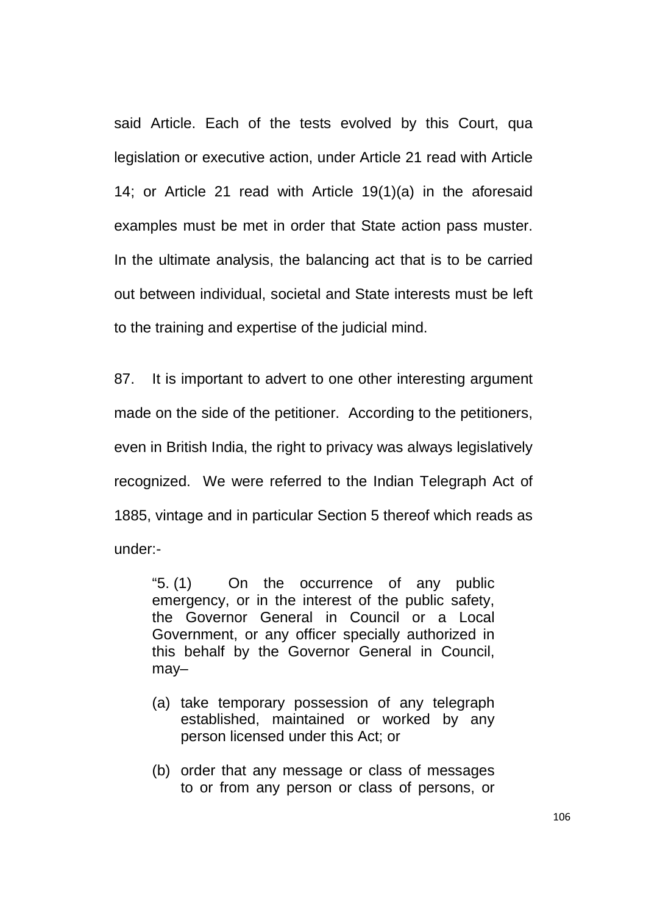said Article. Each of the tests evolved by this Court, qua legislation or executive action, under Article 21 read with Article 14; or Article 21 read with Article 19(1)(a) in the aforesaid examples must be met in order that State action pass muster. In the ultimate analysis, the balancing act that is to be carried out between individual, societal and State interests must be left to the training and expertise of the judicial mind.

87. It is important to advert to one other interesting argument made on the side of the petitioner. According to the petitioners, even in British India, the right to privacy was always legislatively recognized. We were referred to the Indian Telegraph Act of 1885, vintage and in particular Section 5 thereof which reads as under:-

"5. (1) On the occurrence of any public emergency, or in the interest of the public safety, the Governor General in Council or a Local Government, or any officer specially authorized in this behalf by the Governor General in Council, may–

- (a) take temporary possession of any telegraph established, maintained or worked by any person licensed under this Act; or
- (b) order that any message or class of messages to or from any person or class of persons, or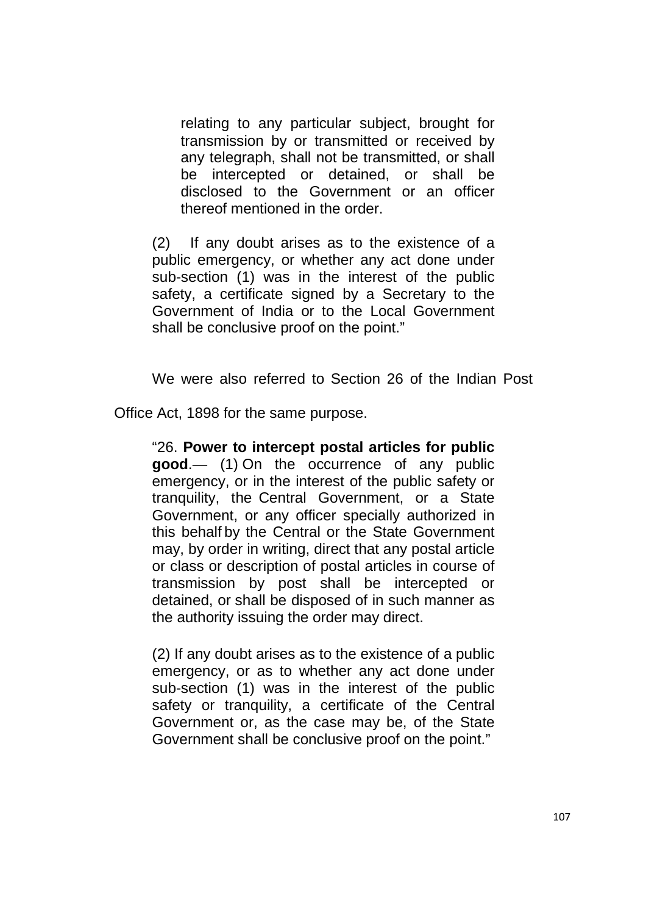relating to any particular subject, brought for transmission by or transmitted or received by any telegraph, shall not be transmitted, or shall be intercepted or detained, or shall be disclosed to the Government or an officer thereof mentioned in the order.

(2) If any doubt arises as to the existence of a public emergency, or whether any act done under sub-section (1) was in the interest of the public safety, a certificate signed by a Secretary to the Government of India or to the Local Government shall be conclusive proof on the point."

We were also referred to Section 26 of the Indian Post

Office Act, 1898 for the same purpose.

"26. **Power to intercept postal articles for public good**.— (1) On the occurrence of any public emergency, or in the interest of the public safety or tranquility, the Central Government, or a State Government, or any officer specially authorized in this behalf by the Central or the State Government may, by order in writing, direct that any postal article or class or description of postal articles in course of transmission by post shall be intercepted or detained, or shall be disposed of in such manner as the authority issuing the order may direct.

(2) If any doubt arises as to the existence of a public emergency, or as to whether any act done under sub-section (1) was in the interest of the public safety or tranquility, a certificate of the Central Government or, as the case may be, of the State Government shall be conclusive proof on the point."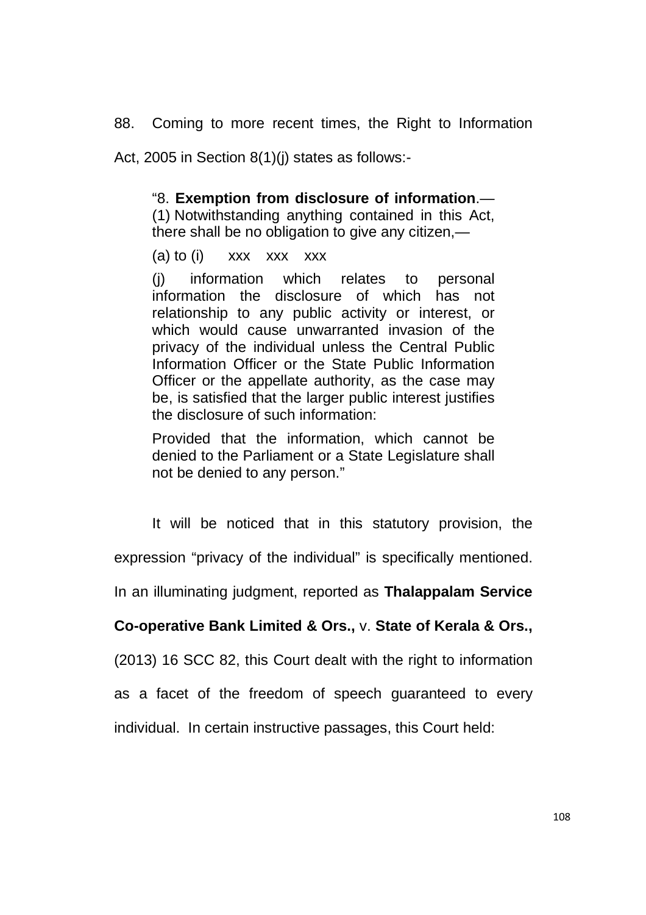88. Coming to more recent times, the Right to Information

Act, 2005 in Section 8(1)(j) states as follows:-

## "8. **Exemption from disclosure of information**.—

(1) Notwithstanding anything contained in this Act, there shall be no obligation to give any citizen,—

(a) to (i)  $\quad$  xxx  $\quad$  xxx  $\quad$  xxx

(j) information which relates to personal information the disclosure of which has not relationship to any public activity or interest, or which would cause unwarranted invasion of the privacy of the individual unless the Central Public Information Officer or the State Public Information Officer or the appellate authority, as the case may be, is satisfied that the larger public interest justifies the disclosure of such information:

Provided that the information, which cannot be denied to the Parliament or a State Legislature shall not be denied to any person."

It will be noticed that in this statutory provision, the

expression "privacy of the individual" is specifically mentioned.

In an illuminating judgment, reported as **Thalappalam Service** 

## **Co-operative Bank Limited & Ors.,** v. **State of Kerala & Ors.,**

(2013) 16 SCC 82, this Court dealt with the right to information

as a facet of the freedom of speech guaranteed to every

individual. In certain instructive passages, this Court held: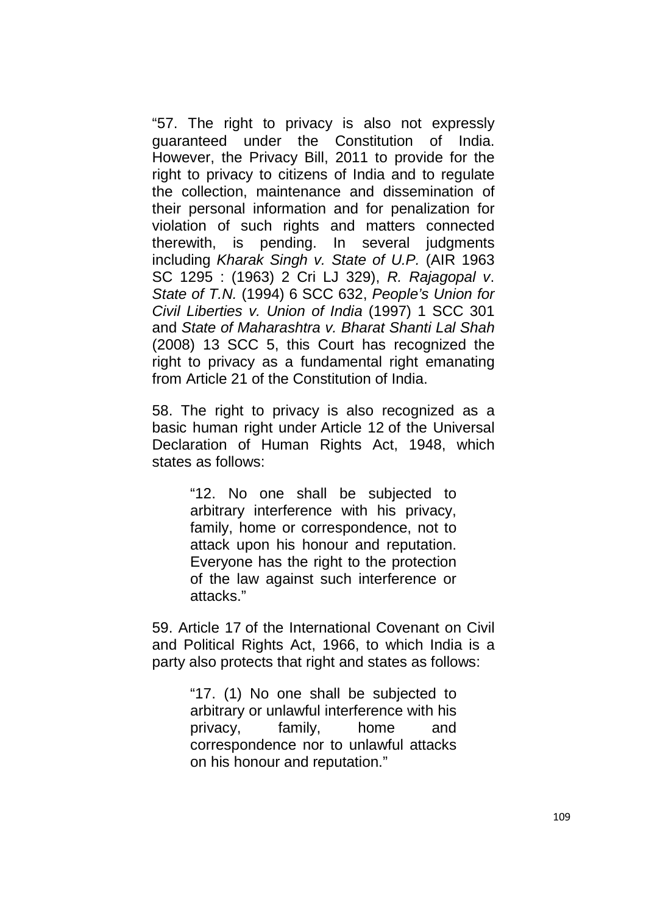"57. The right to privacy is also not expressly guaranteed under the Constitution of India. However, the Privacy Bill, 2011 to provide for the right to privacy to citizens of India and to regulate the collection, maintenance and dissemination of their personal information and for penalization for violation of such rights and matters connected therewith, is pending. In several judgments including Kharak Singh v. State of U.P. (AIR 1963 SC 1295 : (1963) 2 Cri LJ 329), R. Rajagopal v. State of T.N. (1994) 6 SCC 632, People's Union for Civil Liberties v. Union of India (1997) 1 SCC 301 and State of Maharashtra v. Bharat Shanti Lal Shah (2008) 13 SCC 5, this Court has recognized the right to privacy as a fundamental right emanating from Article 21 of the Constitution of India.

58. The right to privacy is also recognized as a basic human right under Article 12 of the Universal Declaration of Human Rights Act, 1948, which states as follows:

> "12. No one shall be subjected to arbitrary interference with his privacy, family, home or correspondence, not to attack upon his honour and reputation. Everyone has the right to the protection of the law against such interference or attacks."

59. Article 17 of the International Covenant on Civil and Political Rights Act, 1966, to which India is a party also protects that right and states as follows:

> "17. (1) No one shall be subjected to arbitrary or unlawful interference with his privacy, family, home and correspondence nor to unlawful attacks on his honour and reputation."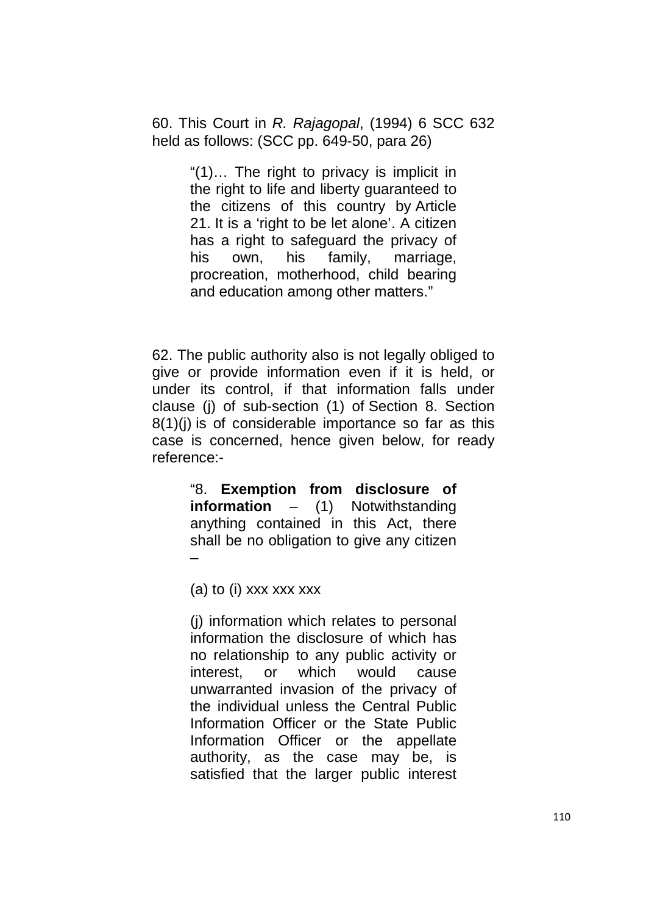60. This Court in R. Rajagopal, (1994) 6 SCC 632 held as follows: (SCC pp. 649-50, para 26)

> "(1)… The right to privacy is implicit in the right to life and liberty guaranteed to the citizens of this country by Article 21. It is a 'right to be let alone'. A citizen has a right to safeguard the privacy of his own, his family, marriage, procreation, motherhood, child bearing and education among other matters."

62. The public authority also is not legally obliged to give or provide information even if it is held, or under its control, if that information falls under clause (j) of sub-section (1) of Section 8. Section 8(1)(j) is of considerable importance so far as this case is concerned, hence given below, for ready reference:-

> "8. **Exemption from disclosure of information** – (1) Notwithstanding anything contained in this Act, there shall be no obligation to give any citizen –

(a) to (i) xxx xxx xxx

(j) information which relates to personal information the disclosure of which has no relationship to any public activity or interest, or which would cause unwarranted invasion of the privacy of the individual unless the Central Public Information Officer or the State Public Information Officer or the appellate authority, as the case may be, is satisfied that the larger public interest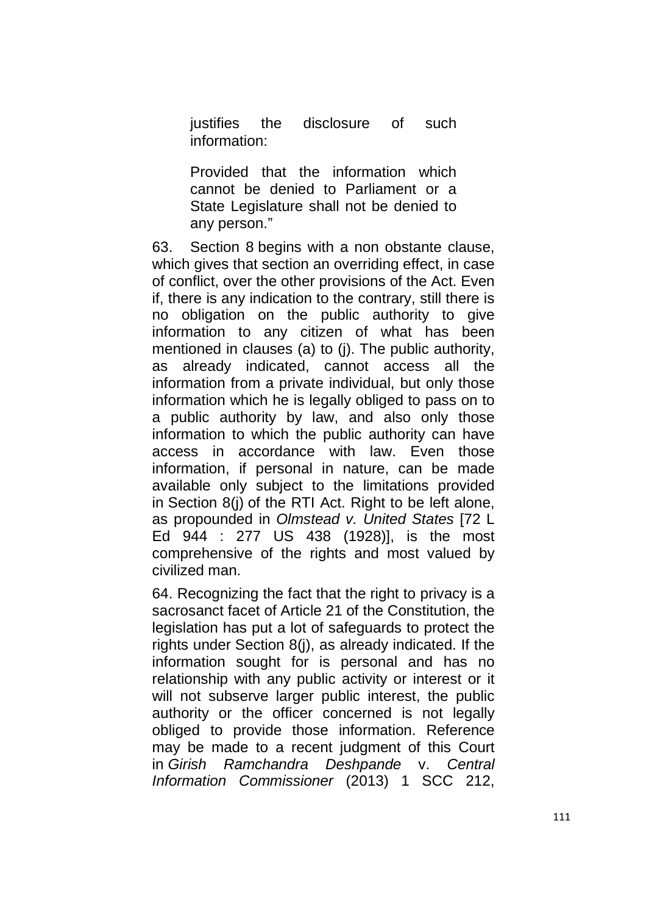justifies the disclosure of such information:

Provided that the information which cannot be denied to Parliament or a State Legislature shall not be denied to any person."

63. Section 8 begins with a non obstante clause, which gives that section an overriding effect, in case of conflict, over the other provisions of the Act. Even if, there is any indication to the contrary, still there is no obligation on the public authority to give information to any citizen of what has been mentioned in clauses (a) to (j). The public authority, as already indicated, cannot access all the information from a private individual, but only those information which he is legally obliged to pass on to a public authority by law, and also only those information to which the public authority can have access in accordance with law. Even those information, if personal in nature, can be made available only subject to the limitations provided in Section 8(j) of the RTI Act. Right to be left alone, as propounded in Olmstead v. United States [72 L Ed 944 : 277 US 438 (1928)], is the most comprehensive of the rights and most valued by civilized man.

64. Recognizing the fact that the right to privacy is a sacrosanct facet of Article 21 of the Constitution, the legislation has put a lot of safeguards to protect the rights under Section 8(j), as already indicated. If the information sought for is personal and has no relationship with any public activity or interest or it will not subserve larger public interest, the public authority or the officer concerned is not legally obliged to provide those information. Reference may be made to a recent judgment of this Court in Girish Ramchandra Deshpande v. Central Information Commissioner (2013) 1 SCC 212,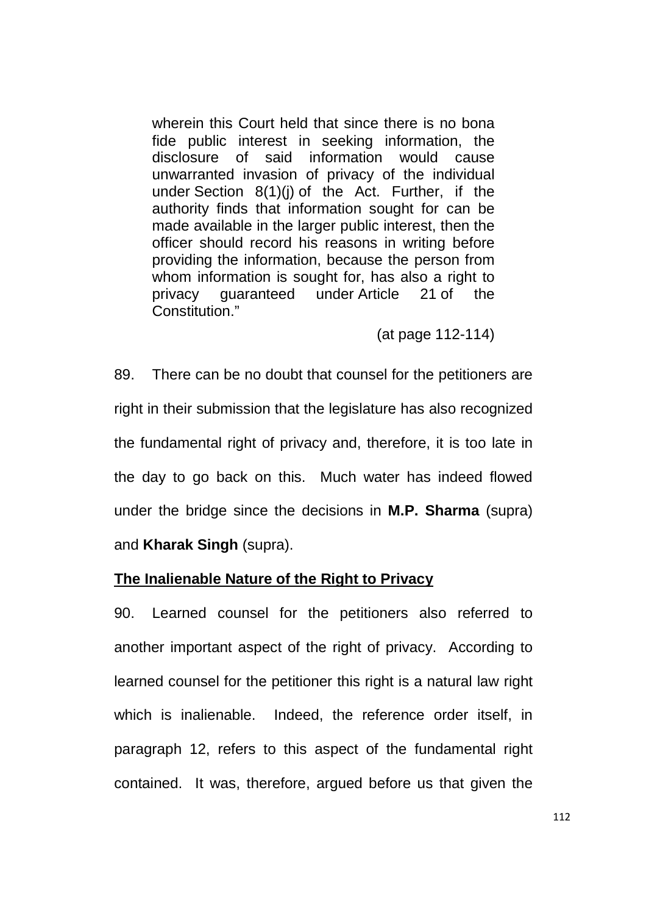wherein this Court held that since there is no bona fide public interest in seeking information, the disclosure of said information would cause unwarranted invasion of privacy of the individual under Section 8(1)(j) of the Act. Further, if the authority finds that information sought for can be made available in the larger public interest, then the officer should record his reasons in writing before providing the information, because the person from whom information is sought for, has also a right to privacy guaranteed under Article 21 of the Constitution."

(at page 112-114)

89. There can be no doubt that counsel for the petitioners are right in their submission that the legislature has also recognized the fundamental right of privacy and, therefore, it is too late in the day to go back on this. Much water has indeed flowed under the bridge since the decisions in **M.P. Sharma** (supra) and **Kharak Singh** (supra).

## **The Inalienable Nature of the Right to Privacy**

90. Learned counsel for the petitioners also referred to another important aspect of the right of privacy. According to learned counsel for the petitioner this right is a natural law right which is inalienable. Indeed, the reference order itself, in paragraph 12, refers to this aspect of the fundamental right contained. It was, therefore, argued before us that given the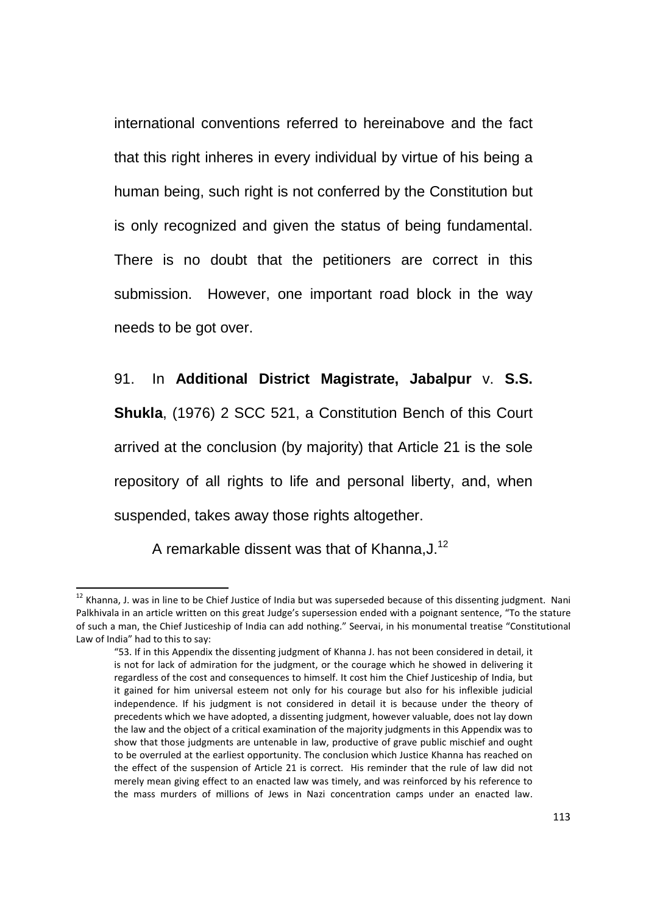international conventions referred to hereinabove and the fact that this right inheres in every individual by virtue of his being a human being, such right is not conferred by the Constitution but is only recognized and given the status of being fundamental. There is no doubt that the petitioners are correct in this submission. However, one important road block in the way needs to be got over.

91. In **Additional District Magistrate, Jabalpur** v. **S.S. Shukla**, (1976) 2 SCC 521, a Constitution Bench of this Court arrived at the conclusion (by majority) that Article 21 is the sole repository of all rights to life and personal liberty, and, when suspended, takes away those rights altogether.

A remarkable dissent was that of Khanna,J.<sup>12</sup>

<u>.</u>

 $12$  Khanna, J. was in line to be Chief Justice of India but was superseded because of this dissenting judgment. Nani Palkhivala in an article written on this great Judge's supersession ended with a poignant sentence, "To the stature of such a man, the Chief Justiceship of India can add nothing." Seervai, in his monumental treatise "Constitutional Law of India" had to this to say:

<sup>&</sup>quot;53. If in this Appendix the dissenting judgment of Khanna J. has not been considered in detail, it is not for lack of admiration for the judgment, or the courage which he showed in delivering it regardless of the cost and consequences to himself. It cost him the Chief Justiceship of India, but it gained for him universal esteem not only for his courage but also for his inflexible judicial independence. If his judgment is not considered in detail it is because under the theory of precedents which we have adopted, a dissenting judgment, however valuable, does not lay down the law and the object of a critical examination of the majority judgments in this Appendix was to show that those judgments are untenable in law, productive of grave public mischief and ought to be overruled at the earliest opportunity. The conclusion which Justice Khanna has reached on the effect of the suspension of Article 21 is correct. His reminder that the rule of law did not merely mean giving effect to an enacted law was timely, and was reinforced by his reference to the mass murders of millions of Jews in Nazi concentration camps under an enacted law.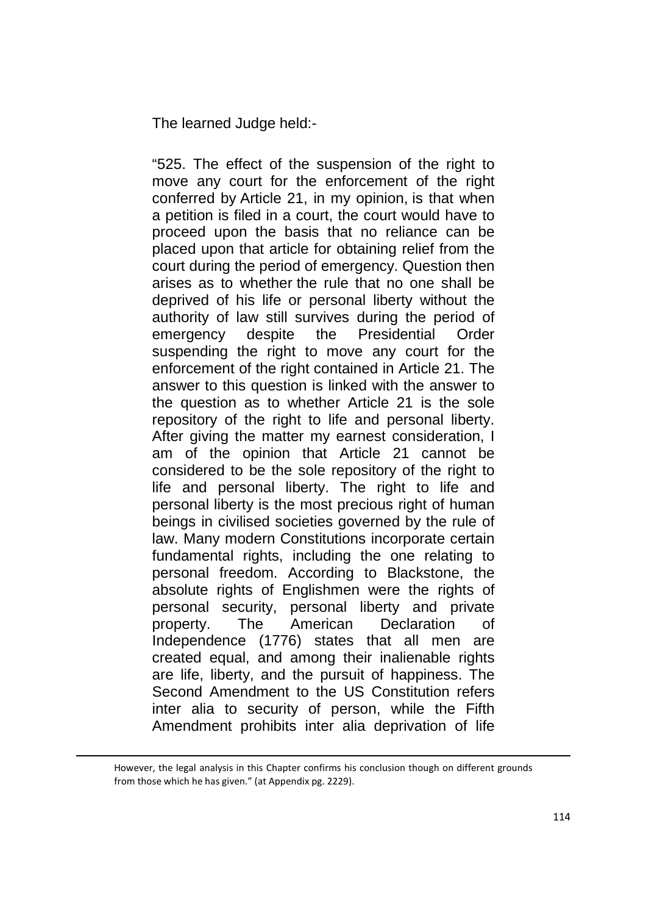The learned Judge held:-

"525. The effect of the suspension of the right to move any court for the enforcement of the right conferred by Article 21, in my opinion, is that when a petition is filed in a court, the court would have to proceed upon the basis that no reliance can be placed upon that article for obtaining relief from the court during the period of emergency. Question then arises as to whether the rule that no one shall be deprived of his life or personal liberty without the authority of law still survives during the period of emergency despite the Presidential Order suspending the right to move any court for the enforcement of the right contained in Article 21. The answer to this question is linked with the answer to the question as to whether Article 21 is the sole repository of the right to life and personal liberty. After giving the matter my earnest consideration, I am of the opinion that Article 21 cannot be considered to be the sole repository of the right to life and personal liberty. The right to life and personal liberty is the most precious right of human beings in civilised societies governed by the rule of law. Many modern Constitutions incorporate certain fundamental rights, including the one relating to personal freedom. According to Blackstone, the absolute rights of Englishmen were the rights of personal security, personal liberty and private property. The American Declaration of Independence (1776) states that all men are created equal, and among their inalienable rights are life, liberty, and the pursuit of happiness. The Second Amendment to the US Constitution refers inter alia to security of person, while the Fifth Amendment prohibits inter alia deprivation of life

However, the legal analysis in this Chapter confirms his conclusion though on different grounds from those which he has given." (at Appendix pg. 2229).

<u>.</u>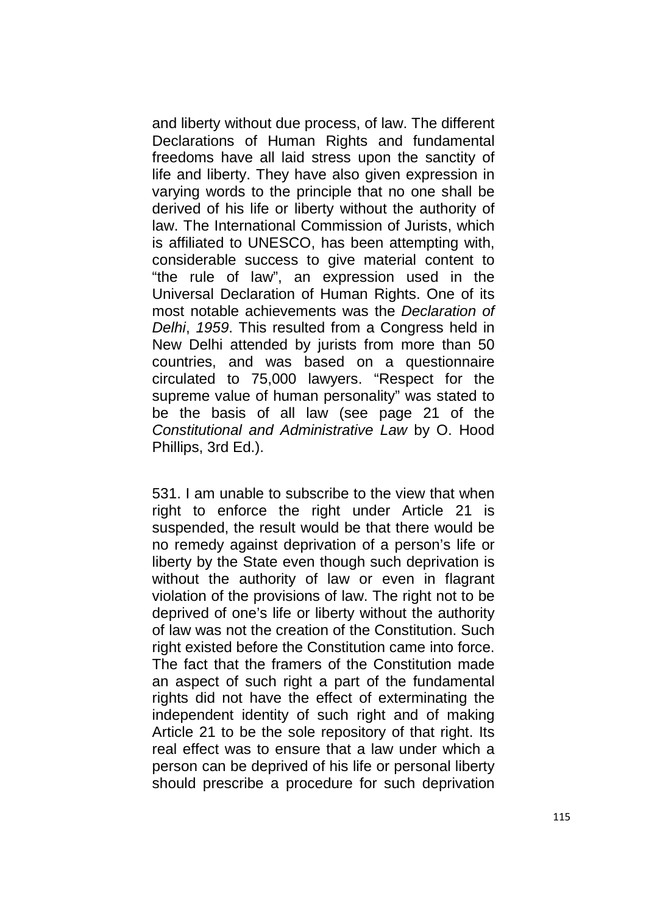and liberty without due process, of law. The different Declarations of Human Rights and fundamental freedoms have all laid stress upon the sanctity of life and liberty. They have also given expression in varying words to the principle that no one shall be derived of his life or liberty without the authority of law. The International Commission of Jurists, which is affiliated to UNESCO, has been attempting with, considerable success to give material content to "the rule of law", an expression used in the Universal Declaration of Human Rights. One of its most notable achievements was the Declaration of Delhi, 1959. This resulted from a Congress held in New Delhi attended by jurists from more than 50 countries, and was based on a questionnaire circulated to 75,000 lawyers. "Respect for the supreme value of human personality" was stated to be the basis of all law (see page 21 of the Constitutional and Administrative Law by O. Hood Phillips, 3rd Ed.).

531. I am unable to subscribe to the view that when right to enforce the right under Article 21 is suspended, the result would be that there would be no remedy against deprivation of a person's life or liberty by the State even though such deprivation is without the authority of law or even in flagrant violation of the provisions of law. The right not to be deprived of one's life or liberty without the authority of law was not the creation of the Constitution. Such right existed before the Constitution came into force. The fact that the framers of the Constitution made an aspect of such right a part of the fundamental rights did not have the effect of exterminating the independent identity of such right and of making Article 21 to be the sole repository of that right. Its real effect was to ensure that a law under which a person can be deprived of his life or personal liberty should prescribe a procedure for such deprivation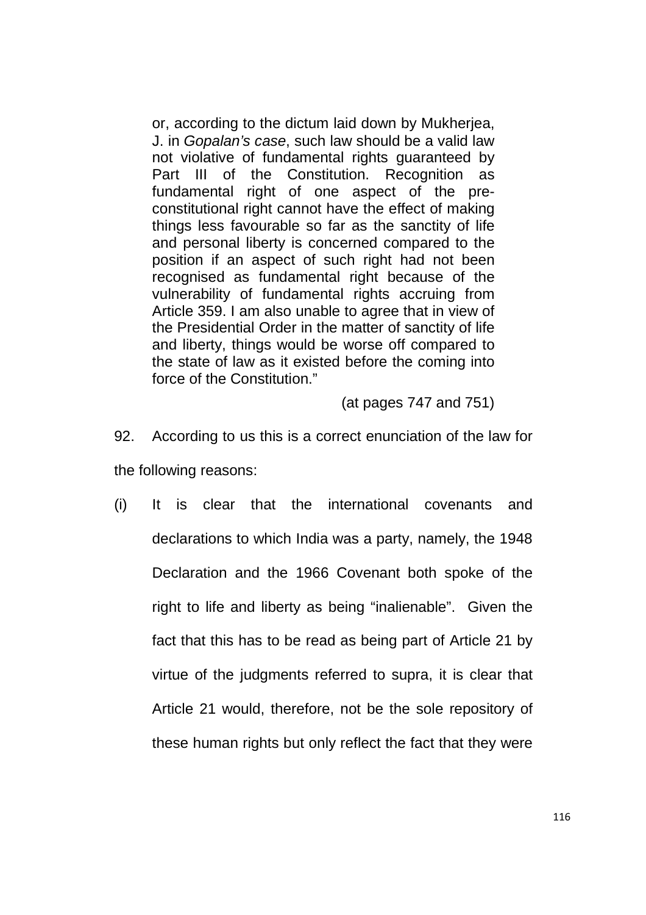or, according to the dictum laid down by Mukherjea, J. in Gopalan's case, such law should be a valid law not violative of fundamental rights guaranteed by Part III of the Constitution. Recognition as fundamental right of one aspect of the preconstitutional right cannot have the effect of making things less favourable so far as the sanctity of life and personal liberty is concerned compared to the position if an aspect of such right had not been recognised as fundamental right because of the vulnerability of fundamental rights accruing from Article 359. I am also unable to agree that in view of the Presidential Order in the matter of sanctity of life and liberty, things would be worse off compared to the state of law as it existed before the coming into force of the Constitution."

(at pages 747 and 751)

- 92. According to us this is a correct enunciation of the law for the following reasons:
- (i) It is clear that the international covenants and declarations to which India was a party, namely, the 1948 Declaration and the 1966 Covenant both spoke of the right to life and liberty as being "inalienable". Given the fact that this has to be read as being part of Article 21 by virtue of the judgments referred to supra, it is clear that Article 21 would, therefore, not be the sole repository of these human rights but only reflect the fact that they were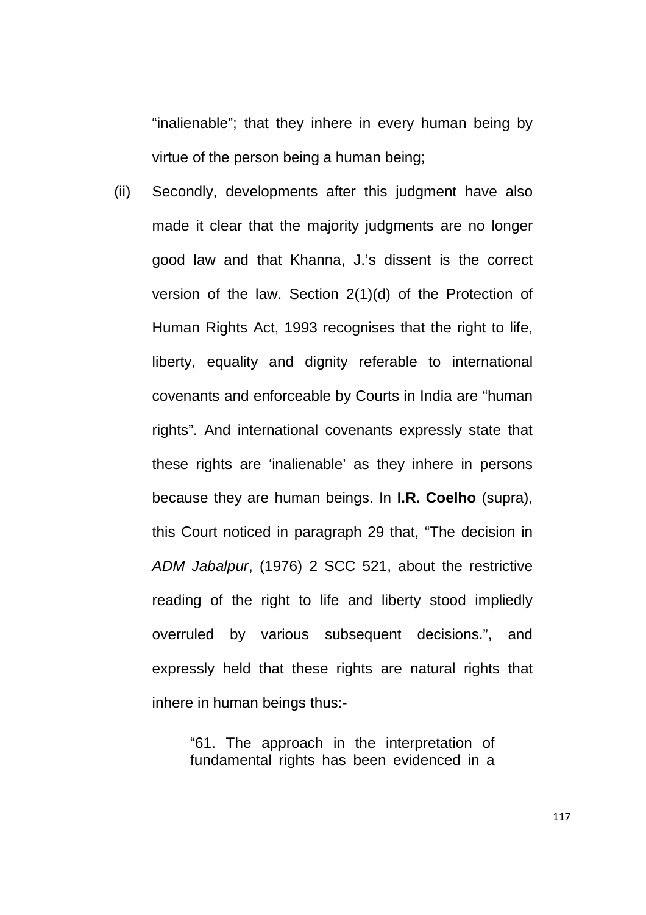"inalienable"; that they inhere in every human being by virtue of the person being a human being;

(ii) Secondly, developments after this judgment have also made it clear that the majority judgments are no longer good law and that Khanna, J.'s dissent is the correct version of the law. Section 2(1)(d) of the Protection of Human Rights Act, 1993 recognises that the right to life, liberty, equality and dignity referable to international covenants and enforceable by Courts in India are "human rights". And international covenants expressly state that these rights are 'inalienable' as they inhere in persons because they are human beings. In **I.R. Coelho** (supra), this Court noticed in paragraph 29 that, "The decision in ADM Jabalpur, (1976) 2 SCC 521, about the restrictive reading of the right to life and liberty stood impliedly overruled by various subsequent decisions.", and expressly held that these rights are natural rights that inhere in human beings thus:-

> "61. The approach in the interpretation of fundamental rights has been evidenced in a

> > 117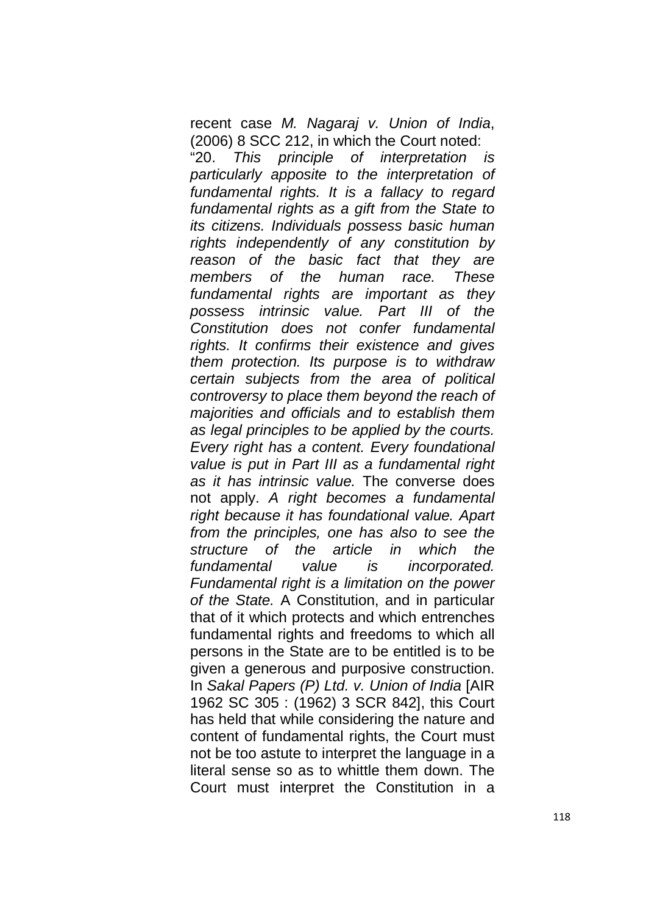recent case M. Nagaraj v. Union of India, (2006) 8 SCC 212, in which the Court noted:

"20. This principle of interpretation is particularly apposite to the interpretation of fundamental rights. It is a fallacy to regard fundamental rights as a gift from the State to its citizens. Individuals possess basic human rights independently of any constitution by reason of the basic fact that they are members of the human race. These fundamental rights are important as they possess intrinsic value. Part III of the Constitution does not confer fundamental rights. It confirms their existence and gives them protection. Its purpose is to withdraw certain subjects from the area of political controversy to place them beyond the reach of majorities and officials and to establish them as legal principles to be applied by the courts. Every right has a content. Every foundational value is put in Part III as a fundamental right as it has intrinsic value. The converse does not apply. A right becomes a fundamental right because it has foundational value. Apart from the principles, one has also to see the structure of the article in which the fundamental value is incorporated. Fundamental right is a limitation on the power of the State. A Constitution, and in particular that of it which protects and which entrenches fundamental rights and freedoms to which all persons in the State are to be entitled is to be given a generous and purposive construction. In Sakal Papers (P) Ltd. v. Union of India [AIR 1962 SC 305 : (1962) 3 SCR 842], this Court has held that while considering the nature and content of fundamental rights, the Court must not be too astute to interpret the language in a literal sense so as to whittle them down. The Court must interpret the Constitution in a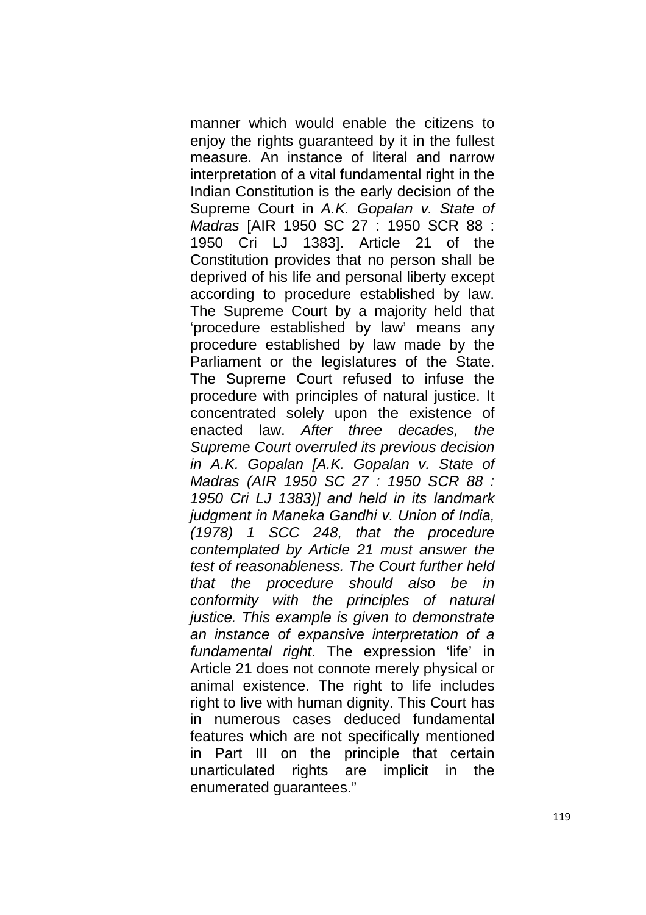manner which would enable the citizens to enjoy the rights guaranteed by it in the fullest measure. An instance of literal and narrow interpretation of a vital fundamental right in the Indian Constitution is the early decision of the Supreme Court in A.K. Gopalan v. State of Madras [AIR 1950 SC 27 : 1950 SCR 88 : 1950 Cri LJ 1383]. Article 21 of the Constitution provides that no person shall be deprived of his life and personal liberty except according to procedure established by law. The Supreme Court by a majority held that 'procedure established by law' means any procedure established by law made by the Parliament or the legislatures of the State. The Supreme Court refused to infuse the procedure with principles of natural justice. It concentrated solely upon the existence of enacted law. After three decades, the Supreme Court overruled its previous decision in A.K. Gopalan [A.K. Gopalan v. State of Madras (AIR 1950 SC 27 : 1950 SCR 88 : 1950 Cri LJ 1383)] and held in its landmark judgment in Maneka Gandhi v. Union of India, (1978) 1 SCC 248, that the procedure contemplated by Article 21 must answer the test of reasonableness. The Court further held that the procedure should also be in conformity with the principles of natural justice. This example is given to demonstrate an instance of expansive interpretation of a fundamental right. The expression 'life' in Article 21 does not connote merely physical or animal existence. The right to life includes right to live with human dignity. This Court has in numerous cases deduced fundamental features which are not specifically mentioned in Part III on the principle that certain unarticulated rights are implicit in the enumerated guarantees."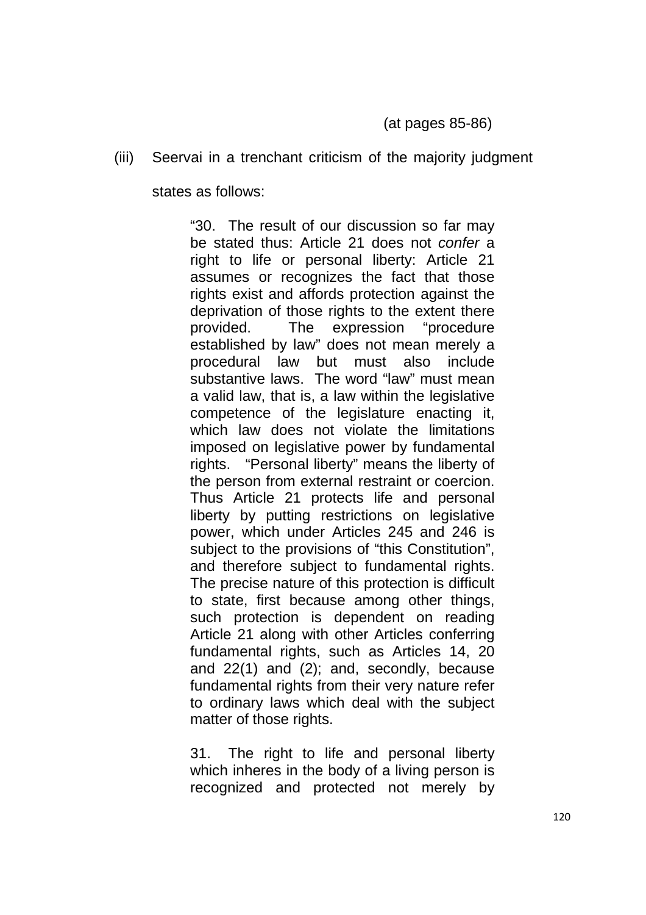(iii) Seervai in a trenchant criticism of the majority judgment

states as follows:

"30. The result of our discussion so far may be stated thus: Article 21 does not confer a right to life or personal liberty: Article 21 assumes or recognizes the fact that those rights exist and affords protection against the deprivation of those rights to the extent there provided. The expression "procedure established by law" does not mean merely a procedural law but must also include substantive laws. The word "law" must mean a valid law, that is, a law within the legislative competence of the legislature enacting it, which law does not violate the limitations imposed on legislative power by fundamental rights. "Personal liberty" means the liberty of the person from external restraint or coercion. Thus Article 21 protects life and personal liberty by putting restrictions on legislative power, which under Articles 245 and 246 is subject to the provisions of "this Constitution", and therefore subject to fundamental rights. The precise nature of this protection is difficult to state, first because among other things, such protection is dependent on reading Article 21 along with other Articles conferring fundamental rights, such as Articles 14, 20 and 22(1) and (2); and, secondly, because fundamental rights from their very nature refer to ordinary laws which deal with the subject matter of those rights.

31. The right to life and personal liberty which inheres in the body of a living person is recognized and protected not merely by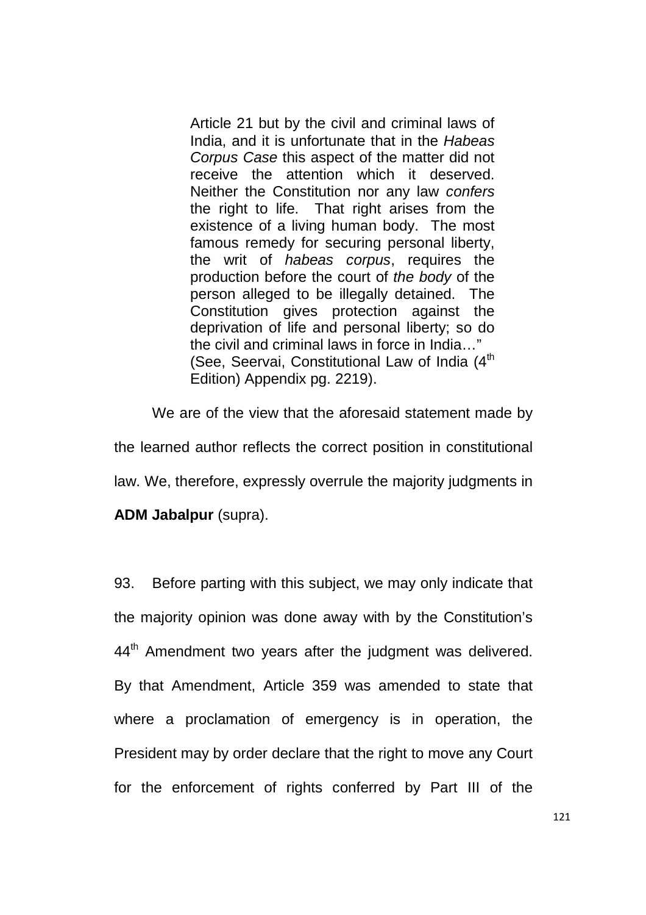Article 21 but by the civil and criminal laws of India, and it is unfortunate that in the Habeas Corpus Case this aspect of the matter did not receive the attention which it deserved. Neither the Constitution nor any law confers the right to life. That right arises from the existence of a living human body. The most famous remedy for securing personal liberty, the writ of habeas corpus, requires the production before the court of the body of the person alleged to be illegally detained. The Constitution gives protection against the deprivation of life and personal liberty; so do the civil and criminal laws in force in India…" (See, Seervai, Constitutional Law of India (4<sup>th</sup> Edition) Appendix pg. 2219).

 We are of the view that the aforesaid statement made by the learned author reflects the correct position in constitutional law. We, therefore, expressly overrule the majority judgments in

**ADM Jabalpur** (supra).

93. Before parting with this subject, we may only indicate that the majority opinion was done away with by the Constitution's  $44<sup>th</sup>$  Amendment two years after the judgment was delivered. By that Amendment, Article 359 was amended to state that where a proclamation of emergency is in operation, the President may by order declare that the right to move any Court for the enforcement of rights conferred by Part III of the